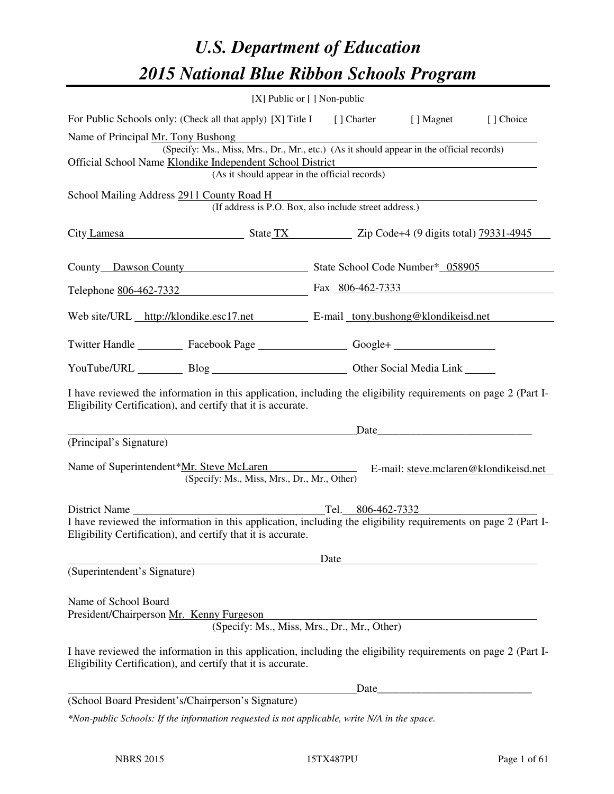# *U.S. Department of Education 2015 National Blue Ribbon Schools Program*

|                                                                                                                                                                                | [X] Public or [] Non-public                                                                                                               |       |                   |                                       |  |
|--------------------------------------------------------------------------------------------------------------------------------------------------------------------------------|-------------------------------------------------------------------------------------------------------------------------------------------|-------|-------------------|---------------------------------------|--|
| For Public Schools only: (Check all that apply) [X] Title I [] Charter [] Magnet                                                                                               |                                                                                                                                           |       |                   | [] Choice                             |  |
| Name of Principal Mr. Tony Bushong<br>Official School Name Klondike Independent School District                                                                                | (Specify: Ms., Miss, Mrs., Dr., Mr., etc.) (As it should appear in the official records)<br>(As it should appear in the official records) |       |                   |                                       |  |
| School Mailing Address 2911 County Road H                                                                                                                                      | (If address is P.O. Box, also include street address.)                                                                                    |       |                   |                                       |  |
| City Lamesa State TX State TX Zip Code+4 (9 digits total) 79331-4945                                                                                                           |                                                                                                                                           |       |                   |                                       |  |
| County Dawson County State School Code Number* 058905                                                                                                                          |                                                                                                                                           |       |                   |                                       |  |
| Telephone <u>806-462-7332</u> Fax 806-462-7333                                                                                                                                 |                                                                                                                                           |       |                   |                                       |  |
| Web site/URL http://klondike.esc17.net E-mail tony.bushong@klondikeisd.net                                                                                                     |                                                                                                                                           |       |                   |                                       |  |
| Twitter Handle ___________ Facebook Page ___________________ Google+ ____________                                                                                              |                                                                                                                                           |       |                   |                                       |  |
| YouTube/URL Blog Blog Cher Social Media Link                                                                                                                                   |                                                                                                                                           |       |                   |                                       |  |
| I have reviewed the information in this application, including the eligibility requirements on page 2 (Part I-<br>Eligibility Certification), and certify that it is accurate. |                                                                                                                                           |       |                   |                                       |  |
| (Principal's Signature)                                                                                                                                                        | Date                                                                                                                                      |       |                   |                                       |  |
| Name of Superintendent*Mr. Steve McLaren                                                                                                                                       | (Specify: Ms., Miss, Mrs., Dr., Mr., Other)                                                                                               |       |                   | E-mail: steve.mclaren@klondikeisd.net |  |
| District Name                                                                                                                                                                  |                                                                                                                                           |       | Tel. 806-462-7332 |                                       |  |
| I have reviewed the information in this application, including the eligibility requirements on page 2 (Part I-<br>Eligibility Certification), and certify that it is accurate. |                                                                                                                                           |       |                   |                                       |  |
| (Superintendent's Signature)                                                                                                                                                   |                                                                                                                                           | Date  |                   |                                       |  |
| Name of School Board<br>President/Chairperson Mr. Kenny Furgeson                                                                                                               | (Specify: Ms., Miss, Mrs., Dr., Mr., Other)                                                                                               |       |                   |                                       |  |
| I have reviewed the information in this application, including the eligibility requirements on page 2 (Part I-<br>Eligibility Certification), and certify that it is accurate. |                                                                                                                                           |       |                   |                                       |  |
|                                                                                                                                                                                |                                                                                                                                           | Date_ |                   |                                       |  |
| (School Board President's/Chairperson's Signature)                                                                                                                             |                                                                                                                                           |       |                   |                                       |  |
| *Non-public Schools: If the information requested is not applicable, write N/A in the space.                                                                                   |                                                                                                                                           |       |                   |                                       |  |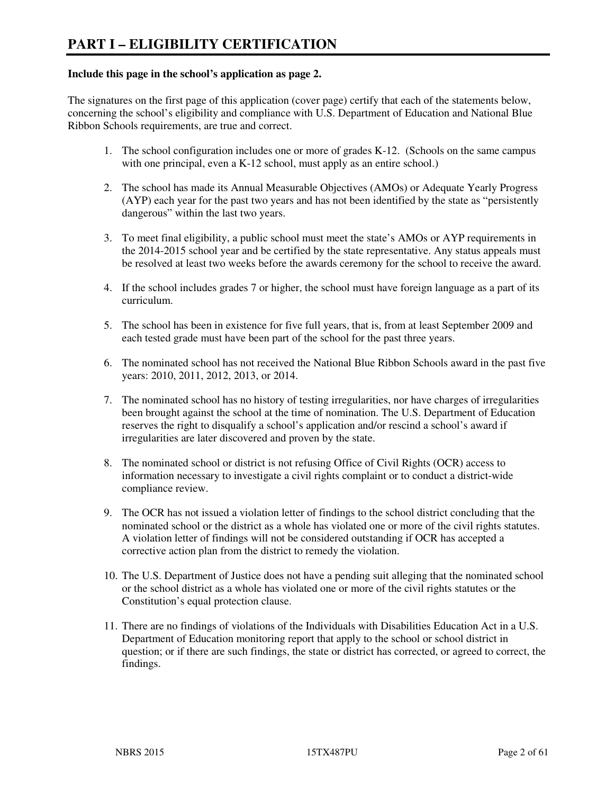#### **Include this page in the school's application as page 2.**

The signatures on the first page of this application (cover page) certify that each of the statements below, concerning the school's eligibility and compliance with U.S. Department of Education and National Blue Ribbon Schools requirements, are true and correct.

- 1. The school configuration includes one or more of grades K-12. (Schools on the same campus with one principal, even a K-12 school, must apply as an entire school.)
- 2. The school has made its Annual Measurable Objectives (AMOs) or Adequate Yearly Progress (AYP) each year for the past two years and has not been identified by the state as "persistently dangerous" within the last two years.
- 3. To meet final eligibility, a public school must meet the state's AMOs or AYP requirements in the 2014-2015 school year and be certified by the state representative. Any status appeals must be resolved at least two weeks before the awards ceremony for the school to receive the award.
- 4. If the school includes grades 7 or higher, the school must have foreign language as a part of its curriculum.
- 5. The school has been in existence for five full years, that is, from at least September 2009 and each tested grade must have been part of the school for the past three years.
- 6. The nominated school has not received the National Blue Ribbon Schools award in the past five years: 2010, 2011, 2012, 2013, or 2014.
- 7. The nominated school has no history of testing irregularities, nor have charges of irregularities been brought against the school at the time of nomination. The U.S. Department of Education reserves the right to disqualify a school's application and/or rescind a school's award if irregularities are later discovered and proven by the state.
- 8. The nominated school or district is not refusing Office of Civil Rights (OCR) access to information necessary to investigate a civil rights complaint or to conduct a district-wide compliance review.
- 9. The OCR has not issued a violation letter of findings to the school district concluding that the nominated school or the district as a whole has violated one or more of the civil rights statutes. A violation letter of findings will not be considered outstanding if OCR has accepted a corrective action plan from the district to remedy the violation.
- 10. The U.S. Department of Justice does not have a pending suit alleging that the nominated school or the school district as a whole has violated one or more of the civil rights statutes or the Constitution's equal protection clause.
- 11. There are no findings of violations of the Individuals with Disabilities Education Act in a U.S. Department of Education monitoring report that apply to the school or school district in question; or if there are such findings, the state or district has corrected, or agreed to correct, the findings.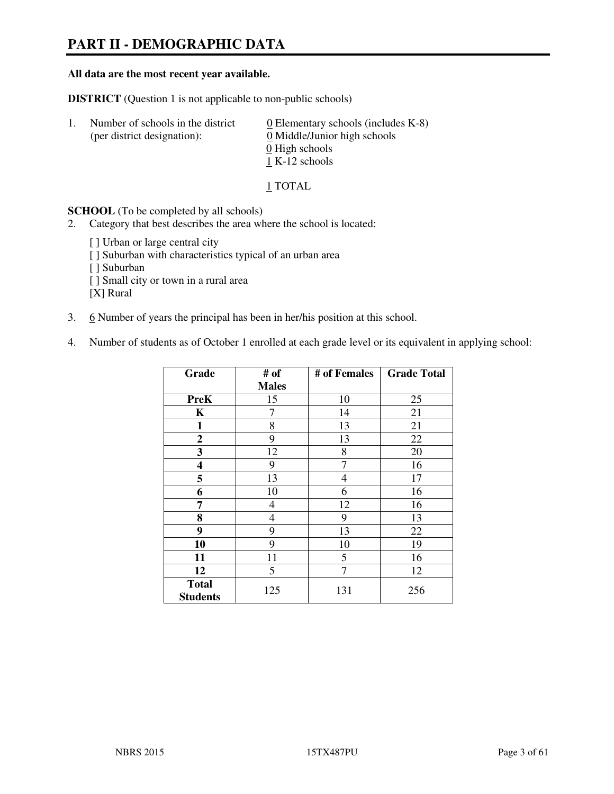# **PART II - DEMOGRAPHIC DATA**

#### **All data are the most recent year available.**

**DISTRICT** (Question 1 is not applicable to non-public schools)

| $\mathbf{L}$ | Number of schools in the district<br>(per district designation): | $\underline{0}$ Elementary schools (includes K-8)<br>0 Middle/Junior high schools |
|--------------|------------------------------------------------------------------|-----------------------------------------------------------------------------------|
|              |                                                                  | 0 High schools                                                                    |
|              |                                                                  | 1 K-12 schools                                                                    |

1 TOTAL

**SCHOOL** (To be completed by all schools)

- 2. Category that best describes the area where the school is located:
	- [ ] Urban or large central city [ ] Suburban with characteristics typical of an urban area [ ] Suburban [ ] Small city or town in a rural area [X] Rural
- 3. 6 Number of years the principal has been in her/his position at this school.
- 4. Number of students as of October 1 enrolled at each grade level or its equivalent in applying school:

| Grade                           | # of         | # of Females | <b>Grade Total</b> |
|---------------------------------|--------------|--------------|--------------------|
|                                 | <b>Males</b> |              |                    |
| <b>PreK</b>                     | 15           | 10           | 25                 |
| K                               | 7            | 14           | 21                 |
| 1                               | 8            | 13           | 21                 |
| $\mathbf{2}$                    | 9            | 13           | 22                 |
| 3                               | 12           | 8            | 20                 |
| 4                               | 9            | 7            | 16                 |
| 5                               | 13           | 4            | 17                 |
| 6                               | 10           | 6            | 16                 |
| 7                               | 4            | 12           | 16                 |
| 8                               | 4            | 9            | 13                 |
| 9                               | 9            | 13           | 22                 |
| 10                              | 9            | 10           | 19                 |
| 11                              | 11           | 5            | 16                 |
| 12                              | 5            | 7            | 12                 |
| <b>Total</b><br><b>Students</b> | 125          | 131          | 256                |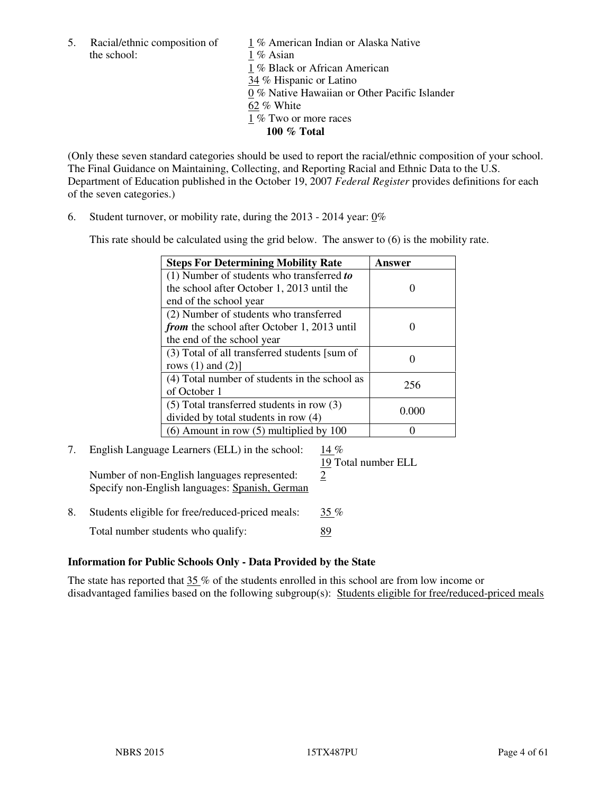the school: 1 % Asian

5. Racial/ethnic composition of  $1\%$  American Indian or Alaska Native 1 % Black or African American 34 % Hispanic or Latino 0 % Native Hawaiian or Other Pacific Islander 62 % White 1 % Two or more races **100 % Total** 

(Only these seven standard categories should be used to report the racial/ethnic composition of your school. The Final Guidance on Maintaining, Collecting, and Reporting Racial and Ethnic Data to the U.S. Department of Education published in the October 19, 2007 *Federal Register* provides definitions for each of the seven categories.)

6. Student turnover, or mobility rate, during the 2013 - 2014 year: 0%

This rate should be calculated using the grid below. The answer to (6) is the mobility rate.

| <b>Steps For Determining Mobility Rate</b>         | Answer  |
|----------------------------------------------------|---------|
| $(1)$ Number of students who transferred to        |         |
| the school after October 1, 2013 until the         |         |
| end of the school year                             |         |
| (2) Number of students who transferred             |         |
| <i>from</i> the school after October 1, 2013 until |         |
| the end of the school year                         |         |
| (3) Total of all transferred students [sum of      |         |
| rows $(1)$ and $(2)$ ]                             |         |
| (4) Total number of students in the school as      | 256     |
| of October 1                                       |         |
| $(5)$ Total transferred students in row $(3)$      |         |
| divided by total students in row (4)               | (0.000) |
| $(6)$ Amount in row $(5)$ multiplied by 100        |         |

# 7. English Language Learners (ELL) in the school: 14 %

Number of non-English languages represented:  $2$ Specify non-English languages: Spanish, German

19 Total number ELL

8. Students eligible for free/reduced-priced meals:  $35\%$ Total number students who qualify: 89

#### **Information for Public Schools Only - Data Provided by the State**

The state has reported that  $35\%$  of the students enrolled in this school are from low income or disadvantaged families based on the following subgroup(s): Students eligible for free/reduced-priced meals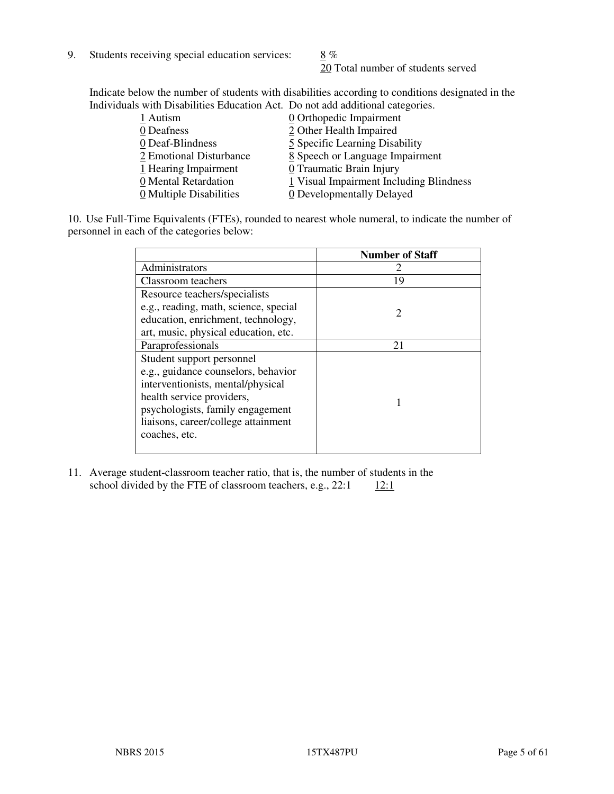9. Students receiving special education services:  $8\%$ 

20 Total number of students served

Indicate below the number of students with disabilities according to conditions designated in the Individuals with Disabilities Education Act. Do not add additional categories.

| 0 Orthopedic Impairment                 |
|-----------------------------------------|
| 2 Other Health Impaired                 |
| 5 Specific Learning Disability          |
| 8 Speech or Language Impairment         |
| 0 Traumatic Brain Injury                |
| 1 Visual Impairment Including Blindness |
| 0 Developmentally Delayed               |
|                                         |

10. Use Full-Time Equivalents (FTEs), rounded to nearest whole numeral, to indicate the number of personnel in each of the categories below:

|                                       | <b>Number of Staff</b>      |
|---------------------------------------|-----------------------------|
| Administrators                        |                             |
| Classroom teachers                    | 19                          |
| Resource teachers/specialists         |                             |
| e.g., reading, math, science, special | $\mathcal{D}_{\mathcal{L}}$ |
| education, enrichment, technology,    |                             |
| art, music, physical education, etc.  |                             |
| Paraprofessionals                     | 21                          |
| Student support personnel             |                             |
| e.g., guidance counselors, behavior   |                             |
| interventionists, mental/physical     |                             |
| health service providers,             |                             |
| psychologists, family engagement      |                             |
| liaisons, career/college attainment   |                             |
| coaches, etc.                         |                             |
|                                       |                             |

11. Average student-classroom teacher ratio, that is, the number of students in the school divided by the FTE of classroom teachers, e.g.,  $22:1 \qquad \underline{12:1}$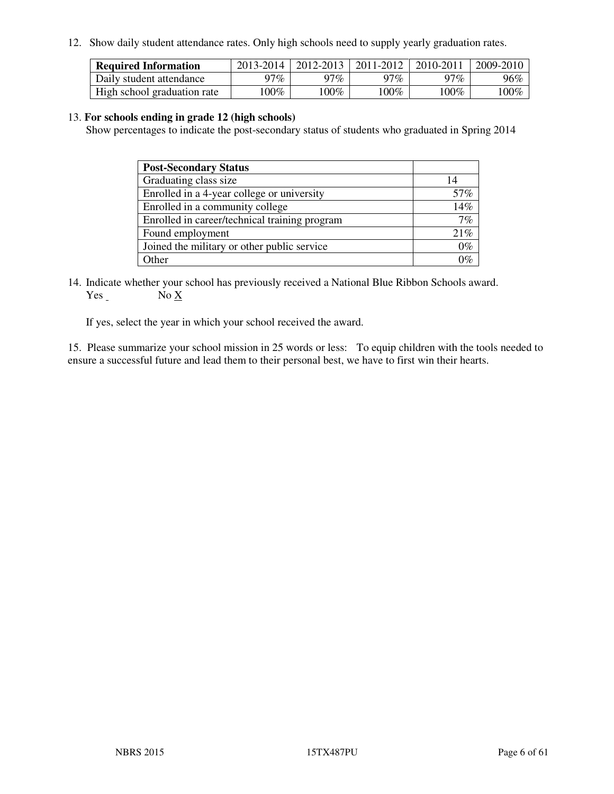12. Show daily student attendance rates. Only high schools need to supply yearly graduation rates.

| <b>Required Information</b> | 2013-2014 | 2012-2013 | 2011-2012 | 2010-2011 | 2009-2010 |
|-----------------------------|-----------|-----------|-----------|-----------|-----------|
| Daily student attendance    | 97%       | 97%       | 97%       | 97%       | 96%       |
| High school graduation rate | $00\%$    | $.00\%$   | 100%      | $100\%$   | $100\%$   |

#### 13. **For schools ending in grade 12 (high schools)**

Show percentages to indicate the post-secondary status of students who graduated in Spring 2014

| <b>Post-Secondary Status</b>                  |       |
|-----------------------------------------------|-------|
| Graduating class size                         | 14    |
| Enrolled in a 4-year college or university    | 57%   |
| Enrolled in a community college               | 14%   |
| Enrolled in career/technical training program | 7%    |
| Found employment                              | 21%   |
| Joined the military or other public service   | $0\%$ |
| Other                                         | 101   |

14. Indicate whether your school has previously received a National Blue Ribbon Schools award. Yes No X

If yes, select the year in which your school received the award.

15. Please summarize your school mission in 25 words or less: To equip children with the tools needed to ensure a successful future and lead them to their personal best, we have to first win their hearts.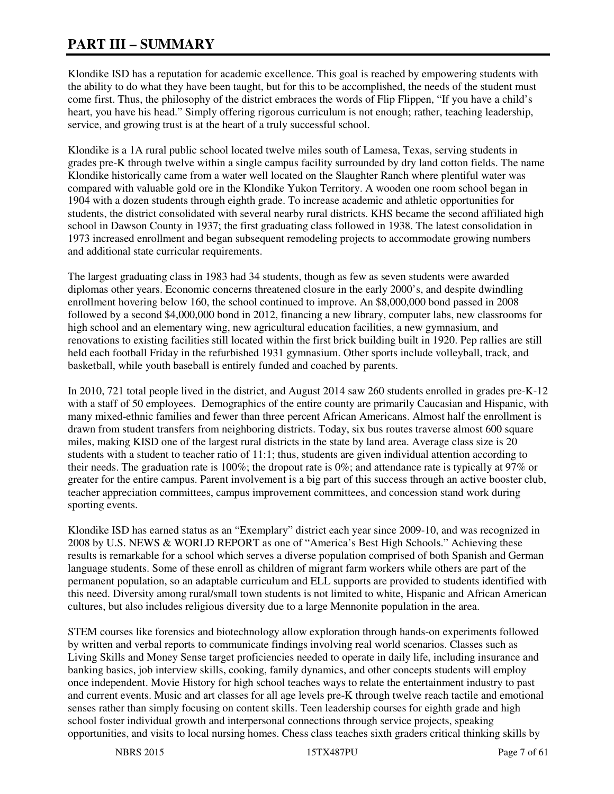# **PART III – SUMMARY**

Klondike ISD has a reputation for academic excellence. This goal is reached by empowering students with the ability to do what they have been taught, but for this to be accomplished, the needs of the student must come first. Thus, the philosophy of the district embraces the words of Flip Flippen, "If you have a child's heart, you have his head." Simply offering rigorous curriculum is not enough; rather, teaching leadership, service, and growing trust is at the heart of a truly successful school.

Klondike is a 1A rural public school located twelve miles south of Lamesa, Texas, serving students in grades pre-K through twelve within a single campus facility surrounded by dry land cotton fields. The name Klondike historically came from a water well located on the Slaughter Ranch where plentiful water was compared with valuable gold ore in the Klondike Yukon Territory. A wooden one room school began in 1904 with a dozen students through eighth grade. To increase academic and athletic opportunities for students, the district consolidated with several nearby rural districts. KHS became the second affiliated high school in Dawson County in 1937; the first graduating class followed in 1938. The latest consolidation in 1973 increased enrollment and began subsequent remodeling projects to accommodate growing numbers and additional state curricular requirements.

The largest graduating class in 1983 had 34 students, though as few as seven students were awarded diplomas other years. Economic concerns threatened closure in the early 2000's, and despite dwindling enrollment hovering below 160, the school continued to improve. An \$8,000,000 bond passed in 2008 followed by a second \$4,000,000 bond in 2012, financing a new library, computer labs, new classrooms for high school and an elementary wing, new agricultural education facilities, a new gymnasium, and renovations to existing facilities still located within the first brick building built in 1920. Pep rallies are still held each football Friday in the refurbished 1931 gymnasium. Other sports include volleyball, track, and basketball, while youth baseball is entirely funded and coached by parents.

In 2010, 721 total people lived in the district, and August 2014 saw 260 students enrolled in grades pre-K-12 with a staff of 50 employees. Demographics of the entire county are primarily Caucasian and Hispanic, with many mixed-ethnic families and fewer than three percent African Americans. Almost half the enrollment is drawn from student transfers from neighboring districts. Today, six bus routes traverse almost 600 square miles, making KISD one of the largest rural districts in the state by land area. Average class size is 20 students with a student to teacher ratio of 11:1; thus, students are given individual attention according to their needs. The graduation rate is  $100\%$ ; the dropout rate is 0%; and attendance rate is typically at 97% or greater for the entire campus. Parent involvement is a big part of this success through an active booster club, teacher appreciation committees, campus improvement committees, and concession stand work during sporting events.

Klondike ISD has earned status as an "Exemplary" district each year since 2009-10, and was recognized in 2008 by U.S. NEWS & WORLD REPORT as one of "America's Best High Schools." Achieving these results is remarkable for a school which serves a diverse population comprised of both Spanish and German language students. Some of these enroll as children of migrant farm workers while others are part of the permanent population, so an adaptable curriculum and ELL supports are provided to students identified with this need. Diversity among rural/small town students is not limited to white, Hispanic and African American cultures, but also includes religious diversity due to a large Mennonite population in the area.

STEM courses like forensics and biotechnology allow exploration through hands-on experiments followed by written and verbal reports to communicate findings involving real world scenarios. Classes such as Living Skills and Money Sense target proficiencies needed to operate in daily life, including insurance and banking basics, job interview skills, cooking, family dynamics, and other concepts students will employ once independent. Movie History for high school teaches ways to relate the entertainment industry to past and current events. Music and art classes for all age levels pre-K through twelve reach tactile and emotional senses rather than simply focusing on content skills. Teen leadership courses for eighth grade and high school foster individual growth and interpersonal connections through service projects, speaking opportunities, and visits to local nursing homes. Chess class teaches sixth graders critical thinking skills by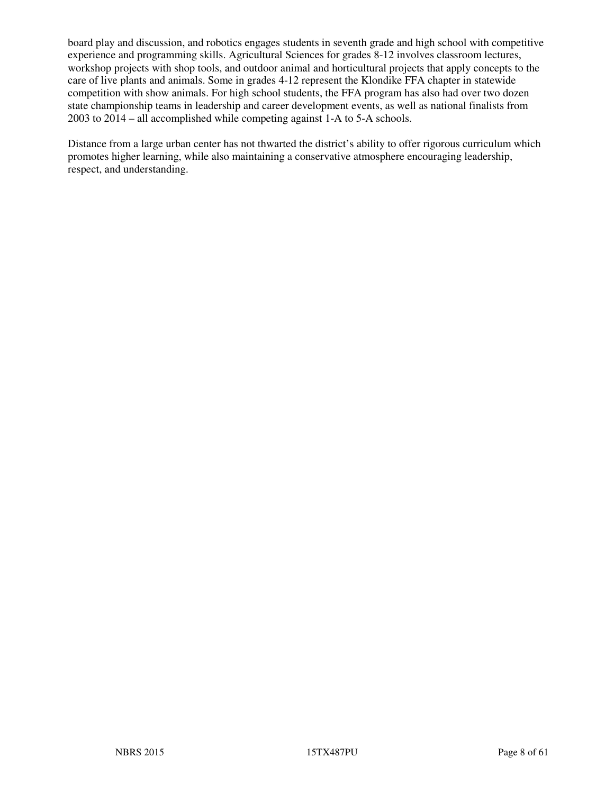board play and discussion, and robotics engages students in seventh grade and high school with competitive experience and programming skills. Agricultural Sciences for grades 8-12 involves classroom lectures, workshop projects with shop tools, and outdoor animal and horticultural projects that apply concepts to the care of live plants and animals. Some in grades 4-12 represent the Klondike FFA chapter in statewide competition with show animals. For high school students, the FFA program has also had over two dozen state championship teams in leadership and career development events, as well as national finalists from 2003 to 2014 – all accomplished while competing against 1-A to 5-A schools.

Distance from a large urban center has not thwarted the district's ability to offer rigorous curriculum which promotes higher learning, while also maintaining a conservative atmosphere encouraging leadership, respect, and understanding.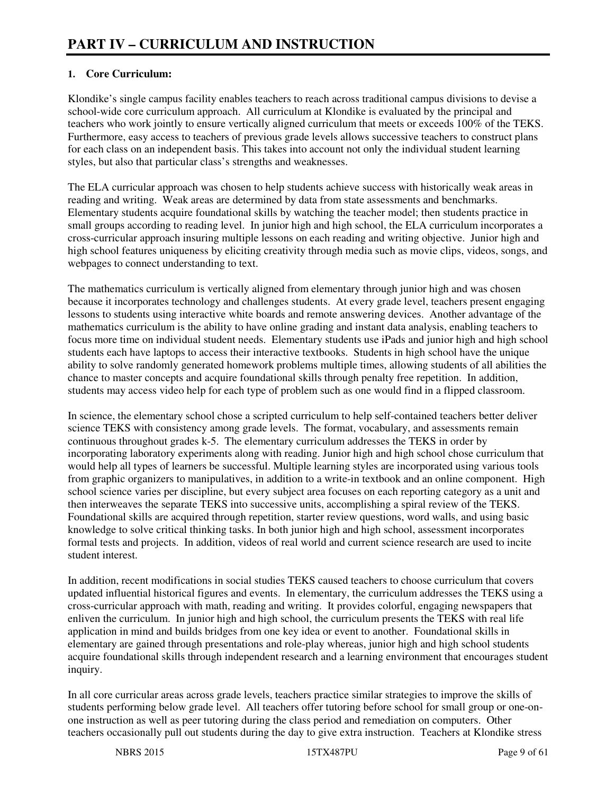#### **1. Core Curriculum:**

Klondike's single campus facility enables teachers to reach across traditional campus divisions to devise a school-wide core curriculum approach. All curriculum at Klondike is evaluated by the principal and teachers who work jointly to ensure vertically aligned curriculum that meets or exceeds 100% of the TEKS. Furthermore, easy access to teachers of previous grade levels allows successive teachers to construct plans for each class on an independent basis. This takes into account not only the individual student learning styles, but also that particular class's strengths and weaknesses.

The ELA curricular approach was chosen to help students achieve success with historically weak areas in reading and writing. Weak areas are determined by data from state assessments and benchmarks. Elementary students acquire foundational skills by watching the teacher model; then students practice in small groups according to reading level. In junior high and high school, the ELA curriculum incorporates a cross-curricular approach insuring multiple lessons on each reading and writing objective. Junior high and high school features uniqueness by eliciting creativity through media such as movie clips, videos, songs, and webpages to connect understanding to text.

The mathematics curriculum is vertically aligned from elementary through junior high and was chosen because it incorporates technology and challenges students. At every grade level, teachers present engaging lessons to students using interactive white boards and remote answering devices. Another advantage of the mathematics curriculum is the ability to have online grading and instant data analysis, enabling teachers to focus more time on individual student needs. Elementary students use iPads and junior high and high school students each have laptops to access their interactive textbooks. Students in high school have the unique ability to solve randomly generated homework problems multiple times, allowing students of all abilities the chance to master concepts and acquire foundational skills through penalty free repetition. In addition, students may access video help for each type of problem such as one would find in a flipped classroom.

In science, the elementary school chose a scripted curriculum to help self-contained teachers better deliver science TEKS with consistency among grade levels. The format, vocabulary, and assessments remain continuous throughout grades k-5. The elementary curriculum addresses the TEKS in order by incorporating laboratory experiments along with reading. Junior high and high school chose curriculum that would help all types of learners be successful. Multiple learning styles are incorporated using various tools from graphic organizers to manipulatives, in addition to a write-in textbook and an online component. High school science varies per discipline, but every subject area focuses on each reporting category as a unit and then interweaves the separate TEKS into successive units, accomplishing a spiral review of the TEKS. Foundational skills are acquired through repetition, starter review questions, word walls, and using basic knowledge to solve critical thinking tasks. In both junior high and high school, assessment incorporates formal tests and projects. In addition, videos of real world and current science research are used to incite student interest.

In addition, recent modifications in social studies TEKS caused teachers to choose curriculum that covers updated influential historical figures and events. In elementary, the curriculum addresses the TEKS using a cross-curricular approach with math, reading and writing. It provides colorful, engaging newspapers that enliven the curriculum. In junior high and high school, the curriculum presents the TEKS with real life application in mind and builds bridges from one key idea or event to another. Foundational skills in elementary are gained through presentations and role-play whereas, junior high and high school students acquire foundational skills through independent research and a learning environment that encourages student inquiry.

In all core curricular areas across grade levels, teachers practice similar strategies to improve the skills of students performing below grade level. All teachers offer tutoring before school for small group or one-onone instruction as well as peer tutoring during the class period and remediation on computers. Other teachers occasionally pull out students during the day to give extra instruction. Teachers at Klondike stress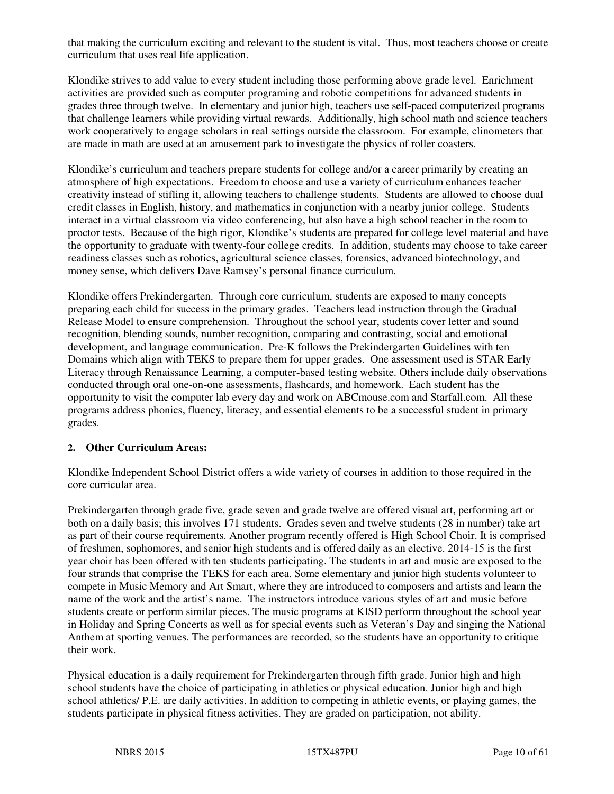that making the curriculum exciting and relevant to the student is vital. Thus, most teachers choose or create curriculum that uses real life application.

Klondike strives to add value to every student including those performing above grade level. Enrichment activities are provided such as computer programing and robotic competitions for advanced students in grades three through twelve. In elementary and junior high, teachers use self-paced computerized programs that challenge learners while providing virtual rewards. Additionally, high school math and science teachers work cooperatively to engage scholars in real settings outside the classroom. For example, clinometers that are made in math are used at an amusement park to investigate the physics of roller coasters.

Klondike's curriculum and teachers prepare students for college and/or a career primarily by creating an atmosphere of high expectations. Freedom to choose and use a variety of curriculum enhances teacher creativity instead of stifling it, allowing teachers to challenge students. Students are allowed to choose dual credit classes in English, history, and mathematics in conjunction with a nearby junior college. Students interact in a virtual classroom via video conferencing, but also have a high school teacher in the room to proctor tests. Because of the high rigor, Klondike's students are prepared for college level material and have the opportunity to graduate with twenty-four college credits. In addition, students may choose to take career readiness classes such as robotics, agricultural science classes, forensics, advanced biotechnology, and money sense, which delivers Dave Ramsey's personal finance curriculum.

Klondike offers Prekindergarten. Through core curriculum, students are exposed to many concepts preparing each child for success in the primary grades. Teachers lead instruction through the Gradual Release Model to ensure comprehension. Throughout the school year, students cover letter and sound recognition, blending sounds, number recognition, comparing and contrasting, social and emotional development, and language communication. Pre-K follows the Prekindergarten Guidelines with ten Domains which align with TEKS to prepare them for upper grades. One assessment used is STAR Early Literacy through Renaissance Learning, a computer-based testing website. Others include daily observations conducted through oral one-on-one assessments, flashcards, and homework. Each student has the opportunity to visit the computer lab every day and work on ABCmouse.com and Starfall.com. All these programs address phonics, fluency, literacy, and essential elements to be a successful student in primary grades.

#### **2. Other Curriculum Areas:**

Klondike Independent School District offers a wide variety of courses in addition to those required in the core curricular area.

Prekindergarten through grade five, grade seven and grade twelve are offered visual art, performing art or both on a daily basis; this involves 171 students. Grades seven and twelve students (28 in number) take art as part of their course requirements. Another program recently offered is High School Choir. It is comprised of freshmen, sophomores, and senior high students and is offered daily as an elective. 2014-15 is the first year choir has been offered with ten students participating. The students in art and music are exposed to the four strands that comprise the TEKS for each area. Some elementary and junior high students volunteer to compete in Music Memory and Art Smart, where they are introduced to composers and artists and learn the name of the work and the artist's name. The instructors introduce various styles of art and music before students create or perform similar pieces. The music programs at KISD perform throughout the school year in Holiday and Spring Concerts as well as for special events such as Veteran's Day and singing the National Anthem at sporting venues. The performances are recorded, so the students have an opportunity to critique their work.

Physical education is a daily requirement for Prekindergarten through fifth grade. Junior high and high school students have the choice of participating in athletics or physical education. Junior high and high school athletics/ P.E. are daily activities. In addition to competing in athletic events, or playing games, the students participate in physical fitness activities. They are graded on participation, not ability.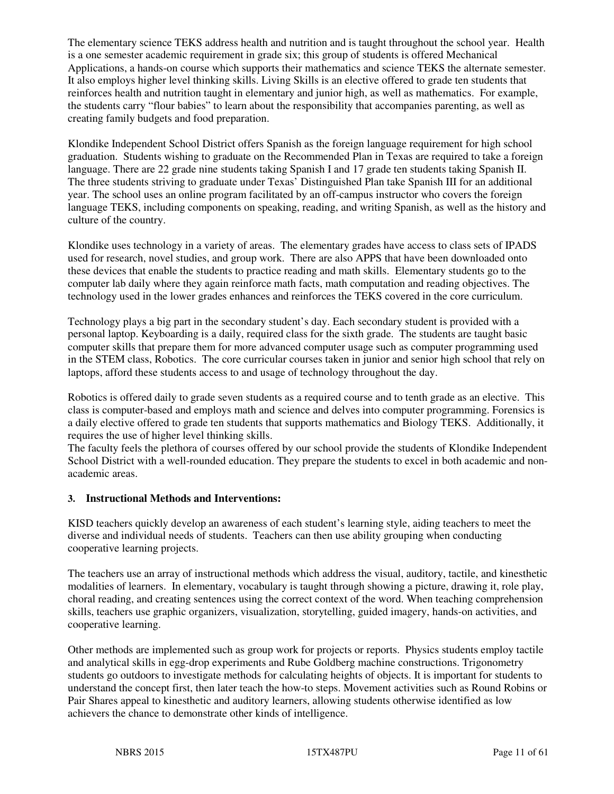The elementary science TEKS address health and nutrition and is taught throughout the school year. Health is a one semester academic requirement in grade six; this group of students is offered Mechanical Applications, a hands-on course which supports their mathematics and science TEKS the alternate semester. It also employs higher level thinking skills. Living Skills is an elective offered to grade ten students that reinforces health and nutrition taught in elementary and junior high, as well as mathematics. For example, the students carry "flour babies" to learn about the responsibility that accompanies parenting, as well as creating family budgets and food preparation.

Klondike Independent School District offers Spanish as the foreign language requirement for high school graduation. Students wishing to graduate on the Recommended Plan in Texas are required to take a foreign language. There are 22 grade nine students taking Spanish I and 17 grade ten students taking Spanish II. The three students striving to graduate under Texas' Distinguished Plan take Spanish III for an additional year. The school uses an online program facilitated by an off-campus instructor who covers the foreign language TEKS, including components on speaking, reading, and writing Spanish, as well as the history and culture of the country.

Klondike uses technology in a variety of areas. The elementary grades have access to class sets of IPADS used for research, novel studies, and group work. There are also APPS that have been downloaded onto these devices that enable the students to practice reading and math skills. Elementary students go to the computer lab daily where they again reinforce math facts, math computation and reading objectives. The technology used in the lower grades enhances and reinforces the TEKS covered in the core curriculum.

Technology plays a big part in the secondary student's day. Each secondary student is provided with a personal laptop. Keyboarding is a daily, required class for the sixth grade. The students are taught basic computer skills that prepare them for more advanced computer usage such as computer programming used in the STEM class, Robotics. The core curricular courses taken in junior and senior high school that rely on laptops, afford these students access to and usage of technology throughout the day.

Robotics is offered daily to grade seven students as a required course and to tenth grade as an elective. This class is computer-based and employs math and science and delves into computer programming. Forensics is a daily elective offered to grade ten students that supports mathematics and Biology TEKS. Additionally, it requires the use of higher level thinking skills.

The faculty feels the plethora of courses offered by our school provide the students of Klondike Independent School District with a well-rounded education. They prepare the students to excel in both academic and nonacademic areas.

#### **3. Instructional Methods and Interventions:**

KISD teachers quickly develop an awareness of each student's learning style, aiding teachers to meet the diverse and individual needs of students. Teachers can then use ability grouping when conducting cooperative learning projects.

The teachers use an array of instructional methods which address the visual, auditory, tactile, and kinesthetic modalities of learners. In elementary, vocabulary is taught through showing a picture, drawing it, role play, choral reading, and creating sentences using the correct context of the word. When teaching comprehension skills, teachers use graphic organizers, visualization, storytelling, guided imagery, hands-on activities, and cooperative learning.

Other methods are implemented such as group work for projects or reports. Physics students employ tactile and analytical skills in egg-drop experiments and Rube Goldberg machine constructions. Trigonometry students go outdoors to investigate methods for calculating heights of objects. It is important for students to understand the concept first, then later teach the how-to steps. Movement activities such as Round Robins or Pair Shares appeal to kinesthetic and auditory learners, allowing students otherwise identified as low achievers the chance to demonstrate other kinds of intelligence.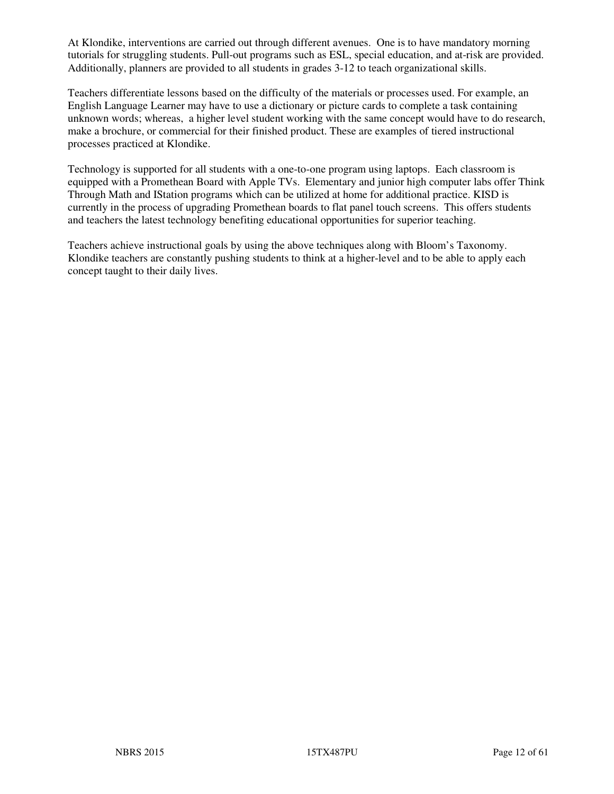At Klondike, interventions are carried out through different avenues. One is to have mandatory morning tutorials for struggling students. Pull-out programs such as ESL, special education, and at-risk are provided. Additionally, planners are provided to all students in grades 3-12 to teach organizational skills.

Teachers differentiate lessons based on the difficulty of the materials or processes used. For example, an English Language Learner may have to use a dictionary or picture cards to complete a task containing unknown words; whereas, a higher level student working with the same concept would have to do research, make a brochure, or commercial for their finished product. These are examples of tiered instructional processes practiced at Klondike.

Technology is supported for all students with a one-to-one program using laptops. Each classroom is equipped with a Promethean Board with Apple TVs. Elementary and junior high computer labs offer Think Through Math and IStation programs which can be utilized at home for additional practice. KISD is currently in the process of upgrading Promethean boards to flat panel touch screens. This offers students and teachers the latest technology benefiting educational opportunities for superior teaching.

Teachers achieve instructional goals by using the above techniques along with Bloom's Taxonomy. Klondike teachers are constantly pushing students to think at a higher-level and to be able to apply each concept taught to their daily lives.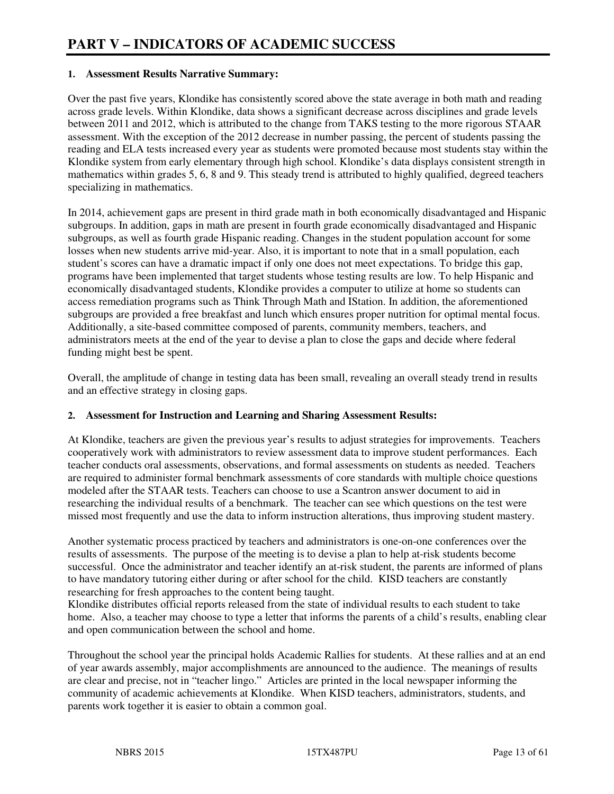#### **1. Assessment Results Narrative Summary:**

Over the past five years, Klondike has consistently scored above the state average in both math and reading across grade levels. Within Klondike, data shows a significant decrease across disciplines and grade levels between 2011 and 2012, which is attributed to the change from TAKS testing to the more rigorous STAAR assessment. With the exception of the 2012 decrease in number passing, the percent of students passing the reading and ELA tests increased every year as students were promoted because most students stay within the Klondike system from early elementary through high school. Klondike's data displays consistent strength in mathematics within grades 5, 6, 8 and 9. This steady trend is attributed to highly qualified, degreed teachers specializing in mathematics.

In 2014, achievement gaps are present in third grade math in both economically disadvantaged and Hispanic subgroups. In addition, gaps in math are present in fourth grade economically disadvantaged and Hispanic subgroups, as well as fourth grade Hispanic reading. Changes in the student population account for some losses when new students arrive mid-year. Also, it is important to note that in a small population, each student's scores can have a dramatic impact if only one does not meet expectations. To bridge this gap, programs have been implemented that target students whose testing results are low. To help Hispanic and economically disadvantaged students, Klondike provides a computer to utilize at home so students can access remediation programs such as Think Through Math and IStation. In addition, the aforementioned subgroups are provided a free breakfast and lunch which ensures proper nutrition for optimal mental focus. Additionally, a site-based committee composed of parents, community members, teachers, and administrators meets at the end of the year to devise a plan to close the gaps and decide where federal funding might best be spent.

Overall, the amplitude of change in testing data has been small, revealing an overall steady trend in results and an effective strategy in closing gaps.

#### **2. Assessment for Instruction and Learning and Sharing Assessment Results:**

At Klondike, teachers are given the previous year's results to adjust strategies for improvements. Teachers cooperatively work with administrators to review assessment data to improve student performances. Each teacher conducts oral assessments, observations, and formal assessments on students as needed. Teachers are required to administer formal benchmark assessments of core standards with multiple choice questions modeled after the STAAR tests. Teachers can choose to use a Scantron answer document to aid in researching the individual results of a benchmark. The teacher can see which questions on the test were missed most frequently and use the data to inform instruction alterations, thus improving student mastery.

Another systematic process practiced by teachers and administrators is one-on-one conferences over the results of assessments. The purpose of the meeting is to devise a plan to help at-risk students become successful. Once the administrator and teacher identify an at-risk student, the parents are informed of plans to have mandatory tutoring either during or after school for the child. KISD teachers are constantly researching for fresh approaches to the content being taught.

Klondike distributes official reports released from the state of individual results to each student to take home. Also, a teacher may choose to type a letter that informs the parents of a child's results, enabling clear and open communication between the school and home.

Throughout the school year the principal holds Academic Rallies for students. At these rallies and at an end of year awards assembly, major accomplishments are announced to the audience. The meanings of results are clear and precise, not in "teacher lingo." Articles are printed in the local newspaper informing the community of academic achievements at Klondike. When KISD teachers, administrators, students, and parents work together it is easier to obtain a common goal.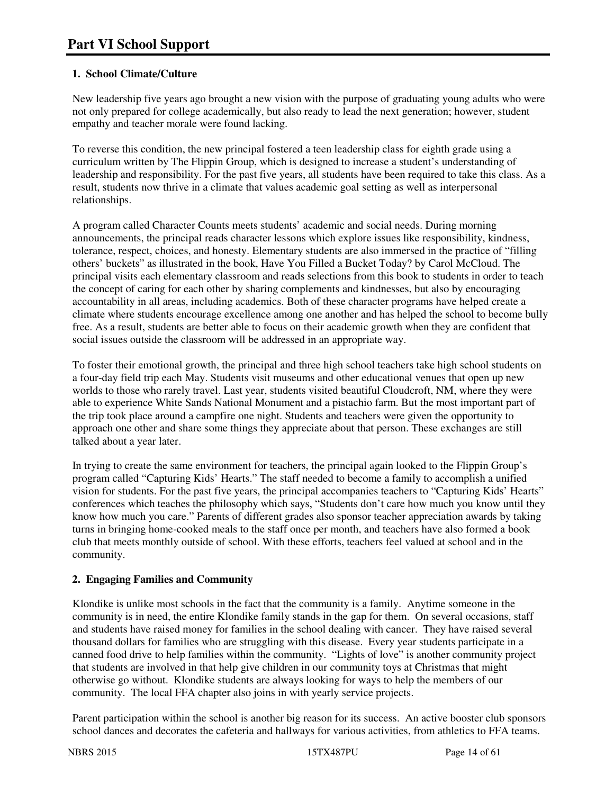#### **1. School Climate/Culture**

New leadership five years ago brought a new vision with the purpose of graduating young adults who were not only prepared for college academically, but also ready to lead the next generation; however, student empathy and teacher morale were found lacking.

To reverse this condition, the new principal fostered a teen leadership class for eighth grade using a curriculum written by The Flippin Group, which is designed to increase a student's understanding of leadership and responsibility. For the past five years, all students have been required to take this class. As a result, students now thrive in a climate that values academic goal setting as well as interpersonal relationships.

A program called Character Counts meets students' academic and social needs. During morning announcements, the principal reads character lessons which explore issues like responsibility, kindness, tolerance, respect, choices, and honesty. Elementary students are also immersed in the practice of "filling others' buckets" as illustrated in the book, Have You Filled a Bucket Today? by Carol McCloud. The principal visits each elementary classroom and reads selections from this book to students in order to teach the concept of caring for each other by sharing complements and kindnesses, but also by encouraging accountability in all areas, including academics. Both of these character programs have helped create a climate where students encourage excellence among one another and has helped the school to become bully free. As a result, students are better able to focus on their academic growth when they are confident that social issues outside the classroom will be addressed in an appropriate way.

To foster their emotional growth, the principal and three high school teachers take high school students on a four-day field trip each May. Students visit museums and other educational venues that open up new worlds to those who rarely travel. Last year, students visited beautiful Cloudcroft, NM, where they were able to experience White Sands National Monument and a pistachio farm. But the most important part of the trip took place around a campfire one night. Students and teachers were given the opportunity to approach one other and share some things they appreciate about that person. These exchanges are still talked about a year later.

In trying to create the same environment for teachers, the principal again looked to the Flippin Group's program called "Capturing Kids' Hearts." The staff needed to become a family to accomplish a unified vision for students. For the past five years, the principal accompanies teachers to "Capturing Kids' Hearts" conferences which teaches the philosophy which says, "Students don't care how much you know until they know how much you care." Parents of different grades also sponsor teacher appreciation awards by taking turns in bringing home-cooked meals to the staff once per month, and teachers have also formed a book club that meets monthly outside of school. With these efforts, teachers feel valued at school and in the community.

# **2. Engaging Families and Community**

Klondike is unlike most schools in the fact that the community is a family. Anytime someone in the community is in need, the entire Klondike family stands in the gap for them. On several occasions, staff and students have raised money for families in the school dealing with cancer. They have raised several thousand dollars for families who are struggling with this disease. Every year students participate in a canned food drive to help families within the community. "Lights of love" is another community project that students are involved in that help give children in our community toys at Christmas that might otherwise go without. Klondike students are always looking for ways to help the members of our community. The local FFA chapter also joins in with yearly service projects.

Parent participation within the school is another big reason for its success. An active booster club sponsors school dances and decorates the cafeteria and hallways for various activities, from athletics to FFA teams.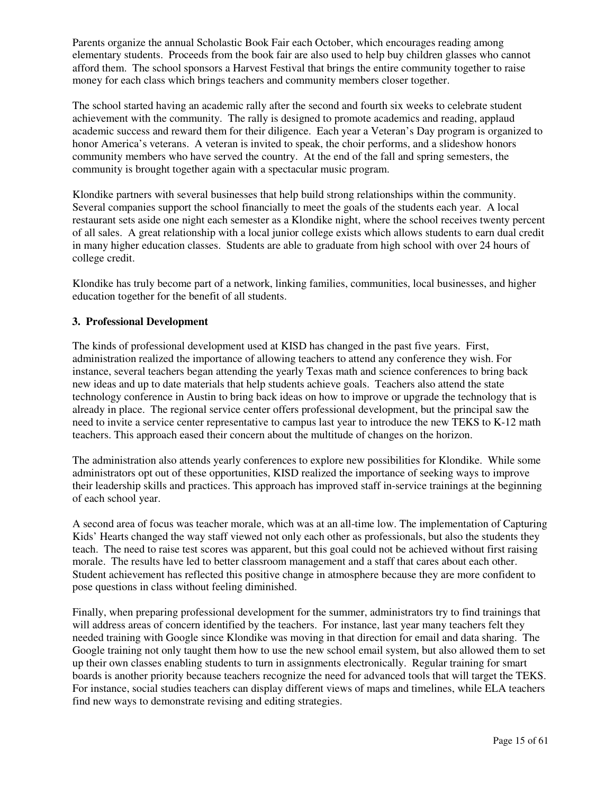Parents organize the annual Scholastic Book Fair each October, which encourages reading among elementary students. Proceeds from the book fair are also used to help buy children glasses who cannot afford them. The school sponsors a Harvest Festival that brings the entire community together to raise money for each class which brings teachers and community members closer together.

The school started having an academic rally after the second and fourth six weeks to celebrate student achievement with the community. The rally is designed to promote academics and reading, applaud academic success and reward them for their diligence. Each year a Veteran's Day program is organized to honor America's veterans. A veteran is invited to speak, the choir performs, and a slideshow honors community members who have served the country. At the end of the fall and spring semesters, the community is brought together again with a spectacular music program.

Klondike partners with several businesses that help build strong relationships within the community. Several companies support the school financially to meet the goals of the students each year. A local restaurant sets aside one night each semester as a Klondike night, where the school receives twenty percent of all sales. A great relationship with a local junior college exists which allows students to earn dual credit in many higher education classes. Students are able to graduate from high school with over 24 hours of college credit.

Klondike has truly become part of a network, linking families, communities, local businesses, and higher education together for the benefit of all students.

#### **3. Professional Development**

The kinds of professional development used at KISD has changed in the past five years. First, administration realized the importance of allowing teachers to attend any conference they wish. For instance, several teachers began attending the yearly Texas math and science conferences to bring back new ideas and up to date materials that help students achieve goals. Teachers also attend the state technology conference in Austin to bring back ideas on how to improve or upgrade the technology that is already in place. The regional service center offers professional development, but the principal saw the need to invite a service center representative to campus last year to introduce the new TEKS to K-12 math teachers. This approach eased their concern about the multitude of changes on the horizon.

The administration also attends yearly conferences to explore new possibilities for Klondike. While some administrators opt out of these opportunities, KISD realized the importance of seeking ways to improve their leadership skills and practices. This approach has improved staff in-service trainings at the beginning of each school year.

A second area of focus was teacher morale, which was at an all-time low. The implementation of Capturing Kids' Hearts changed the way staff viewed not only each other as professionals, but also the students they teach. The need to raise test scores was apparent, but this goal could not be achieved without first raising morale. The results have led to better classroom management and a staff that cares about each other. Student achievement has reflected this positive change in atmosphere because they are more confident to pose questions in class without feeling diminished.

Finally, when preparing professional development for the summer, administrators try to find trainings that will address areas of concern identified by the teachers. For instance, last year many teachers felt they needed training with Google since Klondike was moving in that direction for email and data sharing. The Google training not only taught them how to use the new school email system, but also allowed them to set up their own classes enabling students to turn in assignments electronically. Regular training for smart boards is another priority because teachers recognize the need for advanced tools that will target the TEKS. For instance, social studies teachers can display different views of maps and timelines, while ELA teachers find new ways to demonstrate revising and editing strategies.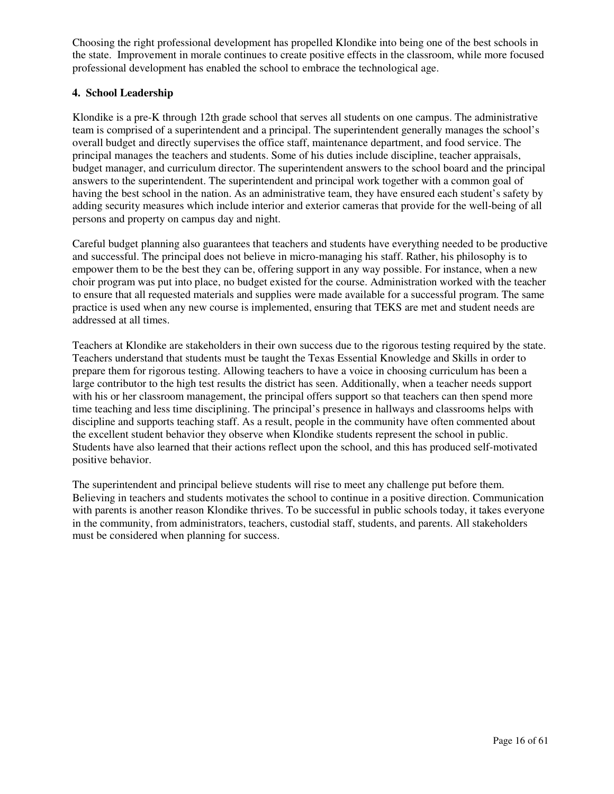Choosing the right professional development has propelled Klondike into being one of the best schools in the state. Improvement in morale continues to create positive effects in the classroom, while more focused professional development has enabled the school to embrace the technological age.

#### **4. School Leadership**

Klondike is a pre-K through 12th grade school that serves all students on one campus. The administrative team is comprised of a superintendent and a principal. The superintendent generally manages the school's overall budget and directly supervises the office staff, maintenance department, and food service. The principal manages the teachers and students. Some of his duties include discipline, teacher appraisals, budget manager, and curriculum director. The superintendent answers to the school board and the principal answers to the superintendent. The superintendent and principal work together with a common goal of having the best school in the nation. As an administrative team, they have ensured each student's safety by adding security measures which include interior and exterior cameras that provide for the well-being of all persons and property on campus day and night.

Careful budget planning also guarantees that teachers and students have everything needed to be productive and successful. The principal does not believe in micro-managing his staff. Rather, his philosophy is to empower them to be the best they can be, offering support in any way possible. For instance, when a new choir program was put into place, no budget existed for the course. Administration worked with the teacher to ensure that all requested materials and supplies were made available for a successful program. The same practice is used when any new course is implemented, ensuring that TEKS are met and student needs are addressed at all times.

Teachers at Klondike are stakeholders in their own success due to the rigorous testing required by the state. Teachers understand that students must be taught the Texas Essential Knowledge and Skills in order to prepare them for rigorous testing. Allowing teachers to have a voice in choosing curriculum has been a large contributor to the high test results the district has seen. Additionally, when a teacher needs support with his or her classroom management, the principal offers support so that teachers can then spend more time teaching and less time disciplining. The principal's presence in hallways and classrooms helps with discipline and supports teaching staff. As a result, people in the community have often commented about the excellent student behavior they observe when Klondike students represent the school in public. Students have also learned that their actions reflect upon the school, and this has produced self-motivated positive behavior.

The superintendent and principal believe students will rise to meet any challenge put before them. Believing in teachers and students motivates the school to continue in a positive direction. Communication with parents is another reason Klondike thrives. To be successful in public schools today, it takes everyone in the community, from administrators, teachers, custodial staff, students, and parents. All stakeholders must be considered when planning for success.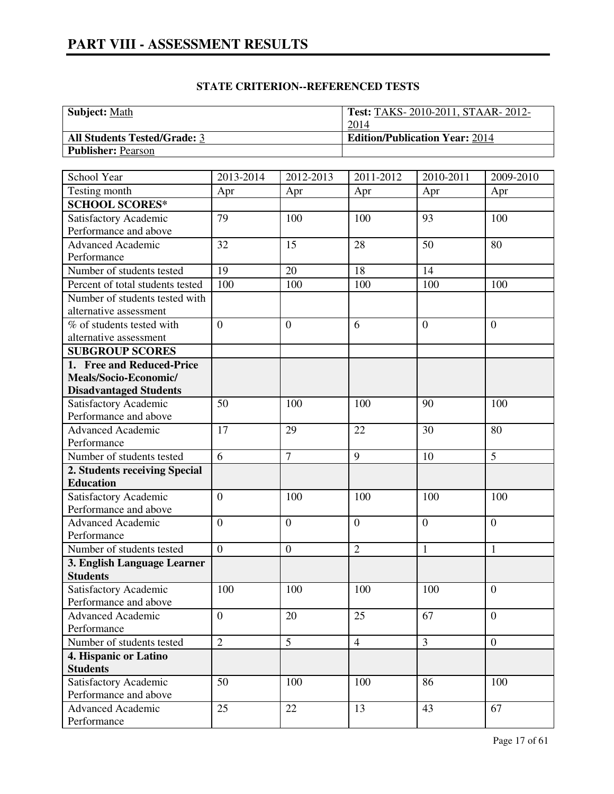| <b>Subject:</b> Math                | Test: TAKS-2010-2011, STAAR-2012-     |
|-------------------------------------|---------------------------------------|
|                                     | 2014                                  |
| <b>All Students Tested/Grade: 3</b> | <b>Edition/Publication Year: 2014</b> |
| <b>Publisher: Pearson</b>           |                                       |

| School Year                      | 2013-2014        | 2012-2013        | 2011-2012      | 2010-2011      | 2009-2010        |
|----------------------------------|------------------|------------------|----------------|----------------|------------------|
| Testing month                    | Apr              | Apr              | Apr            | Apr            | Apr              |
| <b>SCHOOL SCORES*</b>            |                  |                  |                |                |                  |
| Satisfactory Academic            | 79               | 100              | 100            | 93             | 100              |
| Performance and above            |                  |                  |                |                |                  |
| <b>Advanced Academic</b>         | 32               | 15               | 28             | 50             | 80               |
| Performance                      |                  |                  |                |                |                  |
| Number of students tested        | 19               | 20               | 18             | 14             |                  |
| Percent of total students tested | 100              | 100              | 100            | 100            | 100              |
| Number of students tested with   |                  |                  |                |                |                  |
| alternative assessment           |                  |                  |                |                |                  |
| % of students tested with        | $\overline{0}$   | $\overline{0}$   | 6              | $\overline{0}$ | $\overline{0}$   |
| alternative assessment           |                  |                  |                |                |                  |
| <b>SUBGROUP SCORES</b>           |                  |                  |                |                |                  |
| 1. Free and Reduced-Price        |                  |                  |                |                |                  |
| Meals/Socio-Economic/            |                  |                  |                |                |                  |
| <b>Disadvantaged Students</b>    |                  |                  |                |                |                  |
| Satisfactory Academic            | 50               | 100              | 100            | 90             | 100              |
| Performance and above            |                  |                  |                |                |                  |
| Advanced Academic                | 17               | 29               | 22             | 30             | 80               |
| Performance                      |                  |                  |                |                |                  |
| Number of students tested        | $\overline{6}$   | $\overline{7}$   | $\overline{9}$ | 10             | $\overline{5}$   |
| 2. Students receiving Special    |                  |                  |                |                |                  |
| <b>Education</b>                 |                  |                  |                |                |                  |
| Satisfactory Academic            | $\overline{0}$   | 100              | 100            | 100            | 100              |
| Performance and above            |                  |                  |                |                |                  |
| <b>Advanced Academic</b>         | $\overline{0}$   | $\overline{0}$   | $\overline{0}$ | $\overline{0}$ | $\overline{0}$   |
| Performance                      |                  |                  |                |                |                  |
| Number of students tested        | $\overline{0}$   | $\boldsymbol{0}$ | $\overline{2}$ | $\mathbf{1}$   | 1                |
| 3. English Language Learner      |                  |                  |                |                |                  |
| <b>Students</b>                  |                  |                  |                |                |                  |
| Satisfactory Academic            | 100              | 100              | 100            | 100            | $\overline{0}$   |
| Performance and above            |                  |                  |                |                |                  |
| <b>Advanced Academic</b>         | $\boldsymbol{0}$ | 20               | 25             | 67             | $\boldsymbol{0}$ |
| Performance                      |                  |                  |                |                |                  |
| Number of students tested        | $\overline{2}$   | 5                | $\overline{4}$ | $\overline{3}$ | $\boldsymbol{0}$ |
| 4. Hispanic or Latino            |                  |                  |                |                |                  |
| <b>Students</b>                  |                  |                  |                |                |                  |
| Satisfactory Academic            | 50               | 100              | 100            | 86             | 100              |
| Performance and above            |                  |                  |                |                |                  |
| <b>Advanced Academic</b>         | 25               | 22               | 13             | 43             | 67               |
| Performance                      |                  |                  |                |                |                  |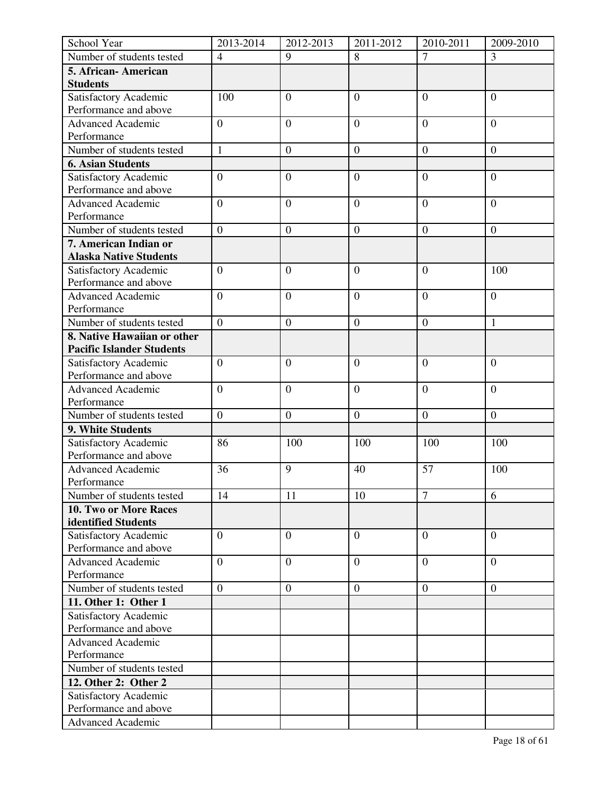| School Year                            | 2013-2014        | 2012-2013        | 2011-2012        | 2010-2011        | 2009-2010        |
|----------------------------------------|------------------|------------------|------------------|------------------|------------------|
| Number of students tested              | $\overline{4}$   | 9                | 8                | $\tau$           | 3                |
| 5. African-American<br><b>Students</b> |                  |                  |                  |                  |                  |
| Satisfactory Academic                  | 100              | $\overline{0}$   | $\overline{0}$   | $\overline{0}$   | $\overline{0}$   |
| Performance and above                  |                  |                  |                  |                  |                  |
| <b>Advanced Academic</b>               | $\boldsymbol{0}$ | $\boldsymbol{0}$ | $\boldsymbol{0}$ | $\boldsymbol{0}$ | $\overline{0}$   |
| Performance                            |                  |                  |                  |                  |                  |
| Number of students tested              | $\mathbf{1}$     | $\boldsymbol{0}$ | $\boldsymbol{0}$ | $\boldsymbol{0}$ | $\mathbf{0}$     |
| <b>6. Asian Students</b>               |                  |                  |                  |                  |                  |
| Satisfactory Academic                  | $\boldsymbol{0}$ | $\boldsymbol{0}$ | $\overline{0}$   | $\mathbf{0}$     | $\overline{0}$   |
| Performance and above                  |                  |                  |                  |                  |                  |
| <b>Advanced Academic</b>               | $\overline{0}$   | $\mathbf{0}$     | $\boldsymbol{0}$ | $\overline{0}$   | $\overline{0}$   |
| Performance                            |                  |                  |                  |                  |                  |
| Number of students tested              | $\overline{0}$   | $\mathbf{0}$     | $\boldsymbol{0}$ | $\boldsymbol{0}$ | $\boldsymbol{0}$ |
| 7. American Indian or                  |                  |                  |                  |                  |                  |
| <b>Alaska Native Students</b>          |                  |                  |                  |                  |                  |
| Satisfactory Academic                  | $\boldsymbol{0}$ | $\overline{0}$   | $\overline{0}$   | $\boldsymbol{0}$ | 100              |
| Performance and above                  |                  |                  |                  |                  |                  |
| <b>Advanced Academic</b>               | $\overline{0}$   | $\overline{0}$   | $\overline{0}$   | $\overline{0}$   | $\overline{0}$   |
| Performance                            |                  |                  |                  |                  |                  |
| Number of students tested              | $\mathbf{0}$     | $\boldsymbol{0}$ | $\mathbf{0}$     | $\boldsymbol{0}$ | $\mathbf{1}$     |
| 8. Native Hawaiian or other            |                  |                  |                  |                  |                  |
| <b>Pacific Islander Students</b>       |                  |                  |                  |                  |                  |
| Satisfactory Academic                  | $\overline{0}$   | $\overline{0}$   | $\overline{0}$   | $\overline{0}$   | $\overline{0}$   |
| Performance and above                  |                  |                  |                  |                  |                  |
| <b>Advanced Academic</b>               | $\overline{0}$   | $\overline{0}$   | $\overline{0}$   | $\overline{0}$   | $\overline{0}$   |
| Performance                            |                  |                  |                  |                  |                  |
| Number of students tested              | $\boldsymbol{0}$ | $\boldsymbol{0}$ | $\mathbf{0}$     | $\overline{0}$   | $\boldsymbol{0}$ |
| 9. White Students                      |                  |                  |                  |                  |                  |
| Satisfactory Academic                  | 86               | 100              | 100              | 100              | 100              |
| Performance and above                  |                  |                  |                  |                  |                  |
| <b>Advanced Academic</b>               | 36               | 9                | 40               | 57               | 100              |
| Performance                            |                  |                  |                  |                  |                  |
| Number of students tested              | 14               | 11               | 10               | $\overline{7}$   | 6                |
| 10. Two or More Races                  |                  |                  |                  |                  |                  |
| identified Students                    |                  |                  |                  |                  |                  |
| Satisfactory Academic                  | $\boldsymbol{0}$ | $\overline{0}$   | $\overline{0}$   | $\overline{0}$   | $\overline{0}$   |
| Performance and above                  |                  |                  |                  |                  |                  |
| <b>Advanced Academic</b>               | $\boldsymbol{0}$ | $\boldsymbol{0}$ | $\boldsymbol{0}$ | $\boldsymbol{0}$ | $\overline{0}$   |
| Performance                            |                  |                  |                  |                  |                  |
| Number of students tested              | $\overline{0}$   | $\boldsymbol{0}$ | $\overline{0}$   | $\overline{0}$   | $\overline{0}$   |
| 11. Other 1: Other 1                   |                  |                  |                  |                  |                  |
| Satisfactory Academic                  |                  |                  |                  |                  |                  |
| Performance and above                  |                  |                  |                  |                  |                  |
| <b>Advanced Academic</b>               |                  |                  |                  |                  |                  |
| Performance                            |                  |                  |                  |                  |                  |
| Number of students tested              |                  |                  |                  |                  |                  |
| 12. Other 2: Other 2                   |                  |                  |                  |                  |                  |
| Satisfactory Academic                  |                  |                  |                  |                  |                  |
| Performance and above                  |                  |                  |                  |                  |                  |
| <b>Advanced Academic</b>               |                  |                  |                  |                  |                  |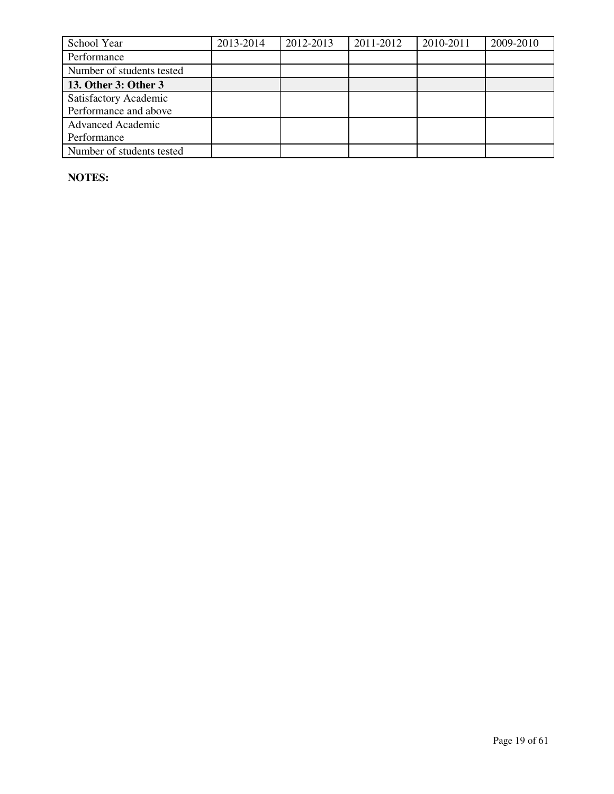| School Year               | 2013-2014 | 2012-2013 | 2011-2012 | 2010-2011 | 2009-2010 |
|---------------------------|-----------|-----------|-----------|-----------|-----------|
| Performance               |           |           |           |           |           |
| Number of students tested |           |           |           |           |           |
| 13. Other 3: Other 3      |           |           |           |           |           |
| Satisfactory Academic     |           |           |           |           |           |
| Performance and above     |           |           |           |           |           |
| <b>Advanced Academic</b>  |           |           |           |           |           |
| Performance               |           |           |           |           |           |
| Number of students tested |           |           |           |           |           |

**NOTES:**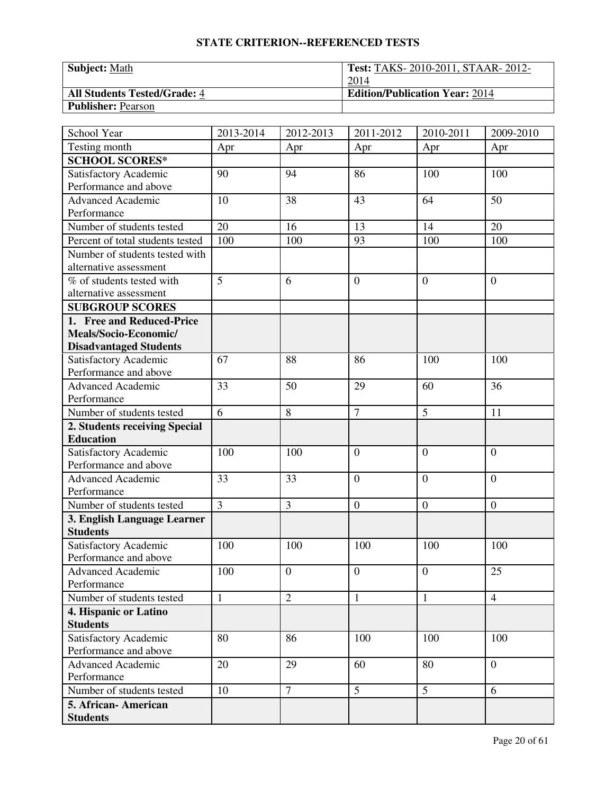| <b>Subject:</b> Math                | <b>Test: TAKS-2010-2011, STAAR-2012-</b> |
|-------------------------------------|------------------------------------------|
|                                     | 2014                                     |
| <b>All Students Tested/Grade: 4</b> | <b>Edition/Publication Year: 2014</b>    |
| <b>Publisher: Pearson</b>           |                                          |

| School Year                      | 2013-2014       | 2012-2013        | 2011-2012        | 2010-2011        | 2009-2010        |
|----------------------------------|-----------------|------------------|------------------|------------------|------------------|
| Testing month                    | Apr             | Apr              | Apr              | Apr              | Apr              |
| <b>SCHOOL SCORES*</b>            |                 |                  |                  |                  |                  |
| Satisfactory Academic            | 90              | 94               | 86               | 100              | 100              |
| Performance and above            |                 |                  |                  |                  |                  |
| <b>Advanced Academic</b>         | 10              | 38               | 43               | 64               | 50               |
| Performance                      |                 |                  |                  |                  |                  |
| Number of students tested        | $\overline{20}$ | 16               | 13               | 14               | 20               |
| Percent of total students tested | 100             | 100              | 93               | 100              | 100              |
| Number of students tested with   |                 |                  |                  |                  |                  |
| alternative assessment           |                 |                  |                  |                  |                  |
| % of students tested with        | $\overline{5}$  | 6                | $\overline{0}$   | $\theta$         | $\overline{0}$   |
| alternative assessment           |                 |                  |                  |                  |                  |
| <b>SUBGROUP SCORES</b>           |                 |                  |                  |                  |                  |
| 1. Free and Reduced-Price        |                 |                  |                  |                  |                  |
| Meals/Socio-Economic/            |                 |                  |                  |                  |                  |
| <b>Disadvantaged Students</b>    |                 |                  |                  |                  |                  |
| Satisfactory Academic            | 67              | 88               | 86               | 100              | 100              |
| Performance and above            |                 |                  |                  |                  |                  |
| Advanced Academic                | 33              | 50               | 29               | 60               | 36               |
| Performance                      |                 |                  |                  |                  |                  |
| Number of students tested        | $\overline{6}$  | 8                | $\overline{7}$   | 5                | 11               |
| 2. Students receiving Special    |                 |                  |                  |                  |                  |
| <b>Education</b>                 |                 |                  |                  |                  |                  |
| Satisfactory Academic            | 100             | 100              | $\overline{0}$   | $\overline{0}$   | $\overline{0}$   |
| Performance and above            |                 |                  |                  |                  |                  |
| <b>Advanced Academic</b>         | 33              | 33               | $\overline{0}$   | $\theta$         | $\overline{0}$   |
| Performance                      |                 |                  |                  |                  |                  |
| Number of students tested        | $\overline{3}$  | 3                | $\boldsymbol{0}$ | $\boldsymbol{0}$ | $\boldsymbol{0}$ |
| 3. English Language Learner      |                 |                  |                  |                  |                  |
| <b>Students</b>                  |                 |                  |                  |                  |                  |
| Satisfactory Academic            | 100             | 100              | 100              | 100              | 100              |
| Performance and above            |                 |                  |                  |                  |                  |
| <b>Advanced Academic</b>         | 100             | $\boldsymbol{0}$ | $\mathbf{0}$     | $\overline{0}$   | 25               |
| Performance                      |                 |                  |                  |                  |                  |
| Number of students tested        | $\mathbf{1}$    | $\overline{2}$   | $\mathbf{1}$     | $\mathbf{1}$     | $\overline{4}$   |
| 4. Hispanic or Latino            |                 |                  |                  |                  |                  |
| <b>Students</b>                  |                 |                  |                  |                  |                  |
| <b>Satisfactory Academic</b>     | 80              | 86               | 100              | 100              | 100              |
| Performance and above            |                 |                  |                  |                  |                  |
| <b>Advanced Academic</b>         | 20              | 29               | 60               | 80               | $\boldsymbol{0}$ |
| Performance                      |                 |                  |                  |                  |                  |
| Number of students tested        | 10              | $\overline{7}$   | 5                | 5                | 6                |
| 5. African- American             |                 |                  |                  |                  |                  |
| <b>Students</b>                  |                 |                  |                  |                  |                  |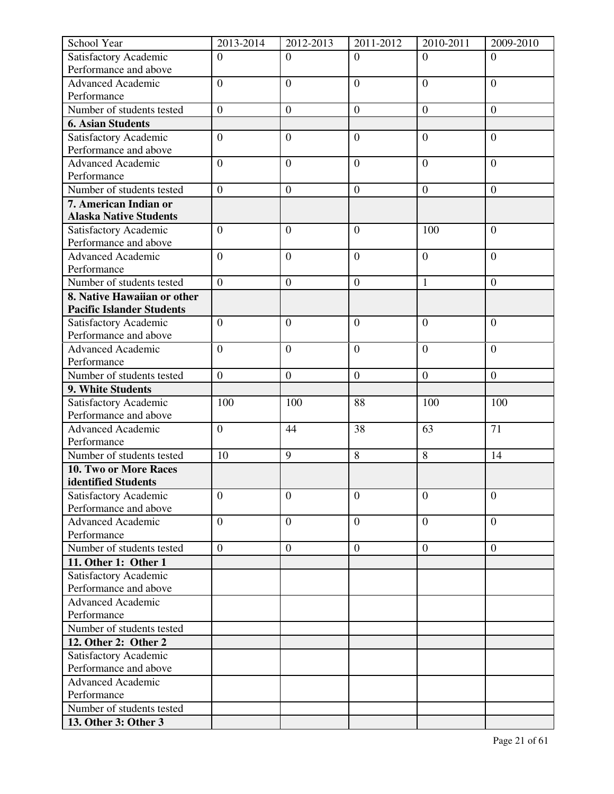| School Year                                  | 2013-2014        | 2012-2013        | 2011-2012        | 2010-2011        | 2009-2010        |
|----------------------------------------------|------------------|------------------|------------------|------------------|------------------|
| Satisfactory Academic                        | $\overline{0}$   | $\Omega$         | $\Omega$         | $\Omega$         | $\Omega$         |
| Performance and above                        |                  |                  |                  |                  |                  |
| <b>Advanced Academic</b>                     | $\overline{0}$   | $\overline{0}$   | $\overline{0}$   | $\overline{0}$   | $\overline{0}$   |
| Performance                                  |                  |                  |                  |                  |                  |
| Number of students tested                    | $\overline{0}$   | $\boldsymbol{0}$ | $\boldsymbol{0}$ | $\boldsymbol{0}$ | $\boldsymbol{0}$ |
| <b>6. Asian Students</b>                     |                  |                  |                  |                  |                  |
| Satisfactory Academic                        | $\boldsymbol{0}$ | $\overline{0}$   | $\overline{0}$   | $\overline{0}$   | $\overline{0}$   |
| Performance and above                        |                  |                  |                  |                  |                  |
| <b>Advanced Academic</b>                     | $\overline{0}$   | $\overline{0}$   | $\overline{0}$   | $\overline{0}$   | $\overline{0}$   |
| Performance                                  |                  |                  |                  |                  |                  |
| Number of students tested                    | $\overline{0}$   | $\boldsymbol{0}$ | $\mathbf{0}$     | $\boldsymbol{0}$ | $\overline{0}$   |
| 7. American Indian or                        |                  |                  |                  |                  |                  |
| <b>Alaska Native Students</b>                |                  |                  |                  |                  |                  |
| Satisfactory Academic                        | $\overline{0}$   | $\overline{0}$   | $\overline{0}$   | 100              | $\overline{0}$   |
| Performance and above                        |                  |                  |                  |                  |                  |
| <b>Advanced Academic</b>                     | $\overline{0}$   | $\overline{0}$   | $\overline{0}$   | $\overline{0}$   | $\overline{0}$   |
| Performance                                  |                  |                  |                  |                  |                  |
| Number of students tested                    | $\overline{0}$   | $\overline{0}$   | $\mathbf{0}$     | $\mathbf{1}$     | $\boldsymbol{0}$ |
| 8. Native Hawaiian or other                  |                  |                  |                  |                  |                  |
| <b>Pacific Islander Students</b>             |                  |                  |                  |                  |                  |
| Satisfactory Academic                        | $\overline{0}$   | $\overline{0}$   | $\overline{0}$   | $\mathbf{0}$     | $\mathbf{0}$     |
| Performance and above                        |                  |                  |                  |                  |                  |
| <b>Advanced Academic</b>                     | $\overline{0}$   | $\overline{0}$   | $\overline{0}$   | $\overline{0}$   | $\overline{0}$   |
| Performance                                  |                  |                  |                  |                  |                  |
| Number of students tested                    | $\boldsymbol{0}$ | $\boldsymbol{0}$ | $\boldsymbol{0}$ | $\boldsymbol{0}$ | $\overline{0}$   |
| 9. White Students                            |                  |                  |                  |                  |                  |
| Satisfactory Academic                        | 100              | 100              | 88               | 100              | 100              |
| Performance and above                        | $\overline{0}$   |                  |                  |                  | 71               |
| <b>Advanced Academic</b><br>Performance      |                  | 44               | 38               | 63               |                  |
| Number of students tested                    | 10               | 9                | 8                | 8                | 14               |
|                                              |                  |                  |                  |                  |                  |
| 10. Two or More Races<br>identified Students |                  |                  |                  |                  |                  |
| Satisfactory Academic                        | $\overline{0}$   | $\overline{0}$   | $\overline{0}$   | $\overline{0}$   | $\mathbf{0}$     |
| Performance and above                        |                  |                  |                  |                  |                  |
| <b>Advanced Academic</b>                     | $\overline{0}$   | $\boldsymbol{0}$ | $\overline{0}$   | $\overline{0}$   | $\overline{0}$   |
| Performance                                  |                  |                  |                  |                  |                  |
| Number of students tested                    | $\overline{0}$   | $\boldsymbol{0}$ | $\boldsymbol{0}$ | $\overline{0}$   | $\boldsymbol{0}$ |
| 11. Other 1: Other 1                         |                  |                  |                  |                  |                  |
| Satisfactory Academic                        |                  |                  |                  |                  |                  |
| Performance and above                        |                  |                  |                  |                  |                  |
| <b>Advanced Academic</b>                     |                  |                  |                  |                  |                  |
| Performance                                  |                  |                  |                  |                  |                  |
| Number of students tested                    |                  |                  |                  |                  |                  |
| 12. Other 2: Other 2                         |                  |                  |                  |                  |                  |
| Satisfactory Academic                        |                  |                  |                  |                  |                  |
| Performance and above                        |                  |                  |                  |                  |                  |
| <b>Advanced Academic</b>                     |                  |                  |                  |                  |                  |
| Performance                                  |                  |                  |                  |                  |                  |
| Number of students tested                    |                  |                  |                  |                  |                  |
| 13. Other 3: Other 3                         |                  |                  |                  |                  |                  |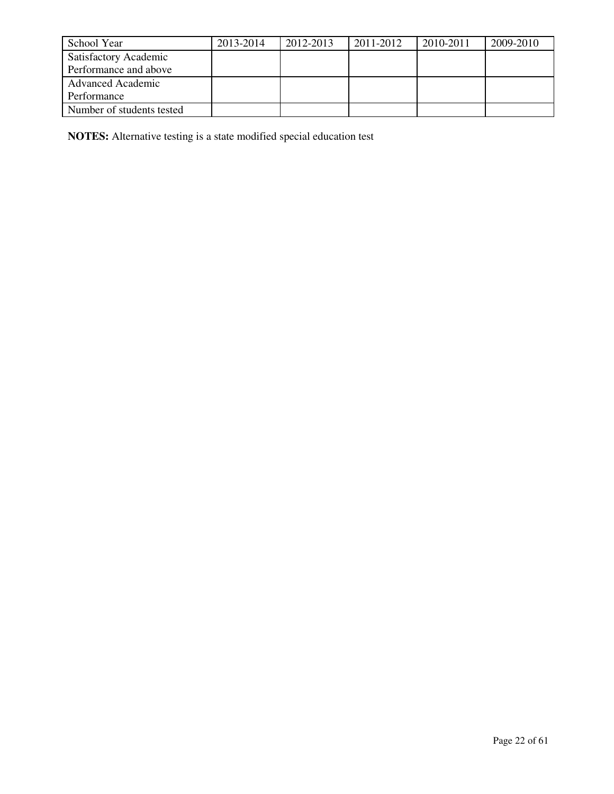| School Year               | 2013-2014 | 2012-2013 | 2011-2012 | 2010-2011 | 2009-2010 |
|---------------------------|-----------|-----------|-----------|-----------|-----------|
| Satisfactory Academic     |           |           |           |           |           |
| Performance and above     |           |           |           |           |           |
| <b>Advanced Academic</b>  |           |           |           |           |           |
| Performance               |           |           |           |           |           |
| Number of students tested |           |           |           |           |           |

**NOTES:** Alternative testing is a state modified special education test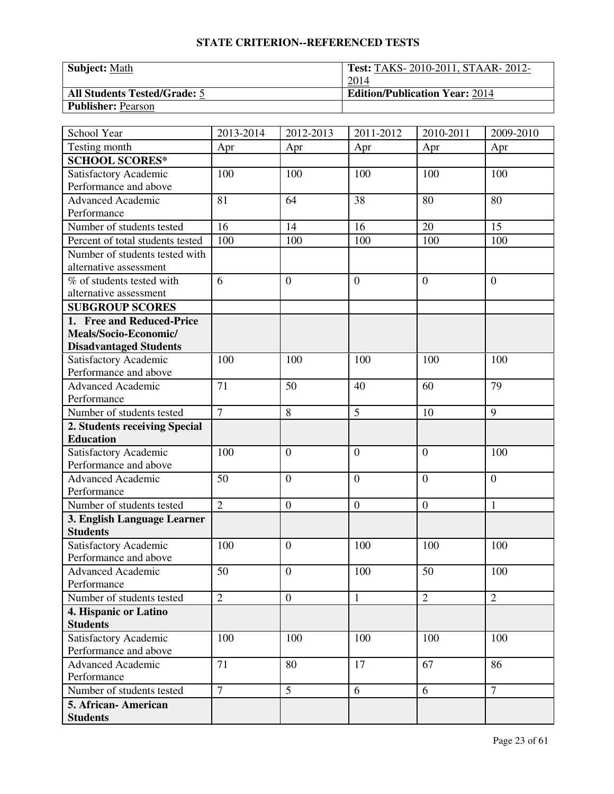| <b>Subject:</b> Math                | <b>Test: TAKS-2010-2011, STAAR-2012-</b> |
|-------------------------------------|------------------------------------------|
|                                     | 2014                                     |
| <b>All Students Tested/Grade: 5</b> | <b>Edition/Publication Year: 2014</b>    |
| <b>Publisher: Pearson</b>           |                                          |

| School Year                      | 2013-2014      | 2012-2013        | 2011-2012        | 2010-2011        | 2009-2010      |
|----------------------------------|----------------|------------------|------------------|------------------|----------------|
| Testing month                    | Apr            | Apr              | Apr              | Apr              | Apr            |
| <b>SCHOOL SCORES*</b>            |                |                  |                  |                  |                |
| Satisfactory Academic            | 100            | 100              | 100              | 100              | 100            |
| Performance and above            |                |                  |                  |                  |                |
| <b>Advanced Academic</b>         | 81             | 64               | 38               | 80               | 80             |
| Performance                      |                |                  |                  |                  |                |
| Number of students tested        | 16             | 14               | 16               | 20               | 15             |
| Percent of total students tested | 100            | 100              | 100              | 100              | 100            |
| Number of students tested with   |                |                  |                  |                  |                |
| alternative assessment           |                |                  |                  |                  |                |
| % of students tested with        | 6              | $\overline{0}$   | $\overline{0}$   | $\theta$         | $\overline{0}$ |
| alternative assessment           |                |                  |                  |                  |                |
| <b>SUBGROUP SCORES</b>           |                |                  |                  |                  |                |
| 1. Free and Reduced-Price        |                |                  |                  |                  |                |
| Meals/Socio-Economic/            |                |                  |                  |                  |                |
| <b>Disadvantaged Students</b>    |                |                  |                  |                  |                |
| Satisfactory Academic            | 100            | 100              | 100              | 100              | 100            |
| Performance and above            |                |                  |                  |                  |                |
| Advanced Academic                | 71             | 50               | 40               | 60               | 79             |
| Performance                      |                |                  |                  |                  |                |
| Number of students tested        | $\overline{7}$ | 8                | 5                | 10               | 9              |
| 2. Students receiving Special    |                |                  |                  |                  |                |
| <b>Education</b>                 |                |                  |                  |                  |                |
| Satisfactory Academic            | 100            | $\theta$         | $\overline{0}$   | $\overline{0}$   | 100            |
| Performance and above            |                |                  |                  |                  |                |
| <b>Advanced Academic</b>         | 50             | $\overline{0}$   | $\overline{0}$   | $\overline{0}$   | $\overline{0}$ |
| Performance                      |                |                  |                  |                  |                |
| Number of students tested        | $\overline{2}$ | $\boldsymbol{0}$ | $\boldsymbol{0}$ | $\boldsymbol{0}$ | $\mathbf{1}$   |
| 3. English Language Learner      |                |                  |                  |                  |                |
| <b>Students</b>                  |                |                  |                  |                  |                |
| Satisfactory Academic            | 100            | $\theta$         | 100              | 100              | 100            |
| Performance and above            |                |                  |                  |                  |                |
| <b>Advanced Academic</b>         | 50             | $\overline{0}$   | 100              | 50               | 100            |
| Performance                      |                |                  |                  |                  |                |
| Number of students tested        | $\overline{2}$ | $\overline{0}$   | $\mathbf{1}$     | $\overline{2}$   | $\overline{2}$ |
| 4. Hispanic or Latino            |                |                  |                  |                  |                |
| <b>Students</b>                  |                |                  |                  |                  |                |
| Satisfactory Academic            | 100            | 100              | 100              | 100              | 100            |
| Performance and above            |                |                  |                  |                  |                |
| <b>Advanced Academic</b>         | 71             | 80               | 17               | 67               | 86             |
| Performance                      |                |                  |                  |                  |                |
| Number of students tested        | $\overline{7}$ | $\overline{5}$   | 6                | 6                | $\overline{7}$ |
| 5. African- American             |                |                  |                  |                  |                |
| <b>Students</b>                  |                |                  |                  |                  |                |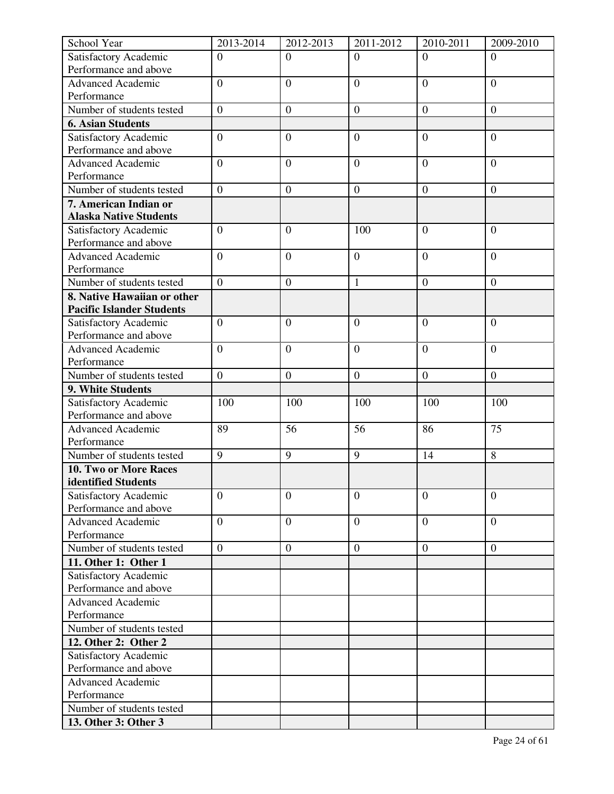| School Year                                       | 2013-2014        | 2012-2013        | 2011-2012        | 2010-2011        | 2009-2010        |
|---------------------------------------------------|------------------|------------------|------------------|------------------|------------------|
| Satisfactory Academic                             | $\overline{0}$   | $\overline{0}$   | $\overline{0}$   | $\Omega$         | $\Omega$         |
| Performance and above                             |                  |                  |                  |                  |                  |
| <b>Advanced Academic</b>                          | $\overline{0}$   | $\overline{0}$   | $\overline{0}$   | $\overline{0}$   | $\overline{0}$   |
| Performance                                       |                  |                  |                  |                  |                  |
| Number of students tested                         | $\boldsymbol{0}$ | $\boldsymbol{0}$ | $\boldsymbol{0}$ | $\boldsymbol{0}$ | $\boldsymbol{0}$ |
| <b>6. Asian Students</b>                          |                  |                  |                  |                  |                  |
| Satisfactory Academic                             | $\overline{0}$   | $\boldsymbol{0}$ | $\overline{0}$   | $\overline{0}$   | $\overline{0}$   |
| Performance and above                             |                  |                  |                  |                  |                  |
| <b>Advanced Academic</b>                          | $\overline{0}$   | $\overline{0}$   | $\overline{0}$   | $\overline{0}$   | $\overline{0}$   |
| Performance                                       |                  |                  |                  |                  |                  |
| Number of students tested                         | $\boldsymbol{0}$ | $\boldsymbol{0}$ | $\mathbf{0}$     | $\boldsymbol{0}$ | $\boldsymbol{0}$ |
| 7. American Indian or                             |                  |                  |                  |                  |                  |
| <b>Alaska Native Students</b>                     |                  |                  |                  |                  |                  |
| Satisfactory Academic                             | $\mathbf{0}$     | $\overline{0}$   | 100              | $\mathbf{0}$     | $\mathbf{0}$     |
| Performance and above                             |                  |                  |                  |                  |                  |
| <b>Advanced Academic</b>                          | $\boldsymbol{0}$ | $\boldsymbol{0}$ | $\boldsymbol{0}$ | $\boldsymbol{0}$ | $\mathbf{0}$     |
| Performance                                       |                  |                  |                  |                  |                  |
| Number of students tested                         | $\overline{0}$   | $\overline{0}$   | $\mathbf{1}$     | $\overline{0}$   | $\overline{0}$   |
| 8. Native Hawaiian or other                       |                  |                  |                  |                  |                  |
| <b>Pacific Islander Students</b>                  |                  |                  |                  |                  |                  |
| Satisfactory Academic                             | $\overline{0}$   | $\overline{0}$   | $\overline{0}$   | $\overline{0}$   | $\overline{0}$   |
| Performance and above                             |                  |                  |                  |                  |                  |
| <b>Advanced Academic</b>                          | $\overline{0}$   | $\overline{0}$   | $\overline{0}$   | $\overline{0}$   | $\overline{0}$   |
| Performance                                       |                  |                  |                  |                  |                  |
| Number of students tested                         | $\boldsymbol{0}$ | $\boldsymbol{0}$ | $\boldsymbol{0}$ | $\boldsymbol{0}$ | $\boldsymbol{0}$ |
| 9. White Students                                 |                  |                  |                  |                  |                  |
| Satisfactory Academic                             | 100              | 100              | 100              | 100              | 100              |
| Performance and above<br><b>Advanced Academic</b> |                  | 56               | 56               | 86               | 75               |
| Performance                                       | 89               |                  |                  |                  |                  |
| Number of students tested                         | 9                | 9                | 9                | 14               | 8                |
| 10. Two or More Races                             |                  |                  |                  |                  |                  |
| identified Students                               |                  |                  |                  |                  |                  |
| Satisfactory Academic                             | $\overline{0}$   | $\overline{0}$   | $\overline{0}$   | $\overline{0}$   | $\overline{0}$   |
| Performance and above                             |                  |                  |                  |                  |                  |
| <b>Advanced Academic</b>                          | $\overline{0}$   | $\overline{0}$   | $\overline{0}$   | $\overline{0}$   | $\Omega$         |
| Performance                                       |                  |                  |                  |                  |                  |
| Number of students tested                         | $\overline{0}$   | $\boldsymbol{0}$ | $\mathbf{0}$     | $\overline{0}$   | $\boldsymbol{0}$ |
| 11. Other 1: Other 1                              |                  |                  |                  |                  |                  |
| Satisfactory Academic                             |                  |                  |                  |                  |                  |
| Performance and above                             |                  |                  |                  |                  |                  |
| <b>Advanced Academic</b>                          |                  |                  |                  |                  |                  |
| Performance                                       |                  |                  |                  |                  |                  |
| Number of students tested                         |                  |                  |                  |                  |                  |
| 12. Other 2: Other 2                              |                  |                  |                  |                  |                  |
| Satisfactory Academic                             |                  |                  |                  |                  |                  |
| Performance and above                             |                  |                  |                  |                  |                  |
| <b>Advanced Academic</b>                          |                  |                  |                  |                  |                  |
| Performance                                       |                  |                  |                  |                  |                  |
| Number of students tested                         |                  |                  |                  |                  |                  |
| 13. Other 3: Other 3                              |                  |                  |                  |                  |                  |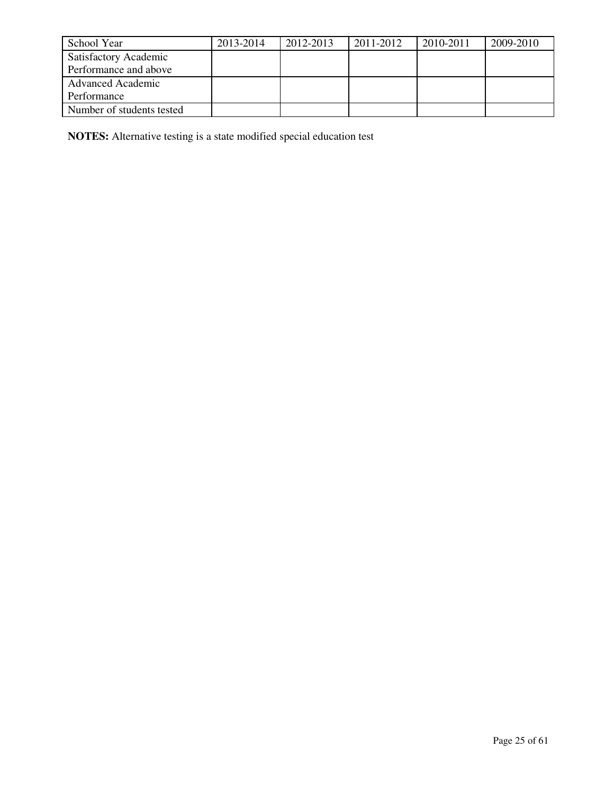| School Year               | 2013-2014 | 2012-2013 | 2011-2012 | 2010-2011 | 2009-2010 |
|---------------------------|-----------|-----------|-----------|-----------|-----------|
| Satisfactory Academic     |           |           |           |           |           |
| Performance and above     |           |           |           |           |           |
| <b>Advanced Academic</b>  |           |           |           |           |           |
| Performance               |           |           |           |           |           |
| Number of students tested |           |           |           |           |           |

**NOTES:** Alternative testing is a state modified special education test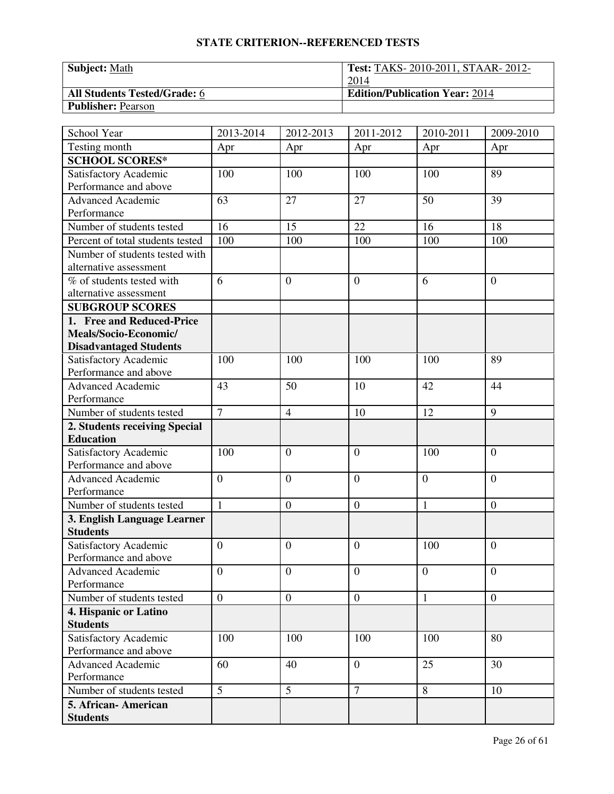| <b>Subject:</b> Math                | <b>Test: TAKS-2010-2011, STAAR-2012-</b> |
|-------------------------------------|------------------------------------------|
|                                     | 2014                                     |
| <b>All Students Tested/Grade: 6</b> | <b>Edition/Publication Year: 2014</b>    |
| <b>Publisher: Pearson</b>           |                                          |

| School Year                      | 2013-2014      | 2012-2013        | 2011-2012        | 2010-2011      | 2009-2010        |
|----------------------------------|----------------|------------------|------------------|----------------|------------------|
| Testing month                    | Apr            | Apr              | Apr              | Apr            | Apr              |
| <b>SCHOOL SCORES*</b>            |                |                  |                  |                |                  |
| Satisfactory Academic            | 100            | 100              | 100              | 100            | 89               |
| Performance and above            |                |                  |                  |                |                  |
| <b>Advanced Academic</b>         | 63             | 27               | 27               | 50             | 39               |
| Performance                      |                |                  |                  |                |                  |
| Number of students tested        | 16             | 15               | 22               | 16             | 18               |
| Percent of total students tested | 100            | 100              | 100              | 100            | 100              |
| Number of students tested with   |                |                  |                  |                |                  |
| alternative assessment           |                |                  |                  |                |                  |
| % of students tested with        | 6              | $\overline{0}$   | $\overline{0}$   | 6              | $\overline{0}$   |
| alternative assessment           |                |                  |                  |                |                  |
| <b>SUBGROUP SCORES</b>           |                |                  |                  |                |                  |
| 1. Free and Reduced-Price        |                |                  |                  |                |                  |
| Meals/Socio-Economic/            |                |                  |                  |                |                  |
| <b>Disadvantaged Students</b>    |                |                  |                  |                |                  |
| Satisfactory Academic            | 100            | 100              | 100              | 100            | 89               |
| Performance and above            |                |                  |                  |                |                  |
| Advanced Academic                | 43             | 50               | 10               | 42             | 44               |
| Performance                      |                |                  |                  |                |                  |
| Number of students tested        | $\overline{7}$ | $\overline{4}$   | 10               | 12             | 9                |
| 2. Students receiving Special    |                |                  |                  |                |                  |
| <b>Education</b>                 |                |                  |                  |                |                  |
| Satisfactory Academic            | 100            | $\theta$         | $\overline{0}$   | 100            | $\overline{0}$   |
| Performance and above            |                |                  |                  |                |                  |
| <b>Advanced Academic</b>         | $\overline{0}$ | $\overline{0}$   | $\overline{0}$   | $\overline{0}$ | $\overline{0}$   |
| Performance                      |                |                  |                  |                |                  |
| Number of students tested        | $\mathbf{1}$   | $\boldsymbol{0}$ | $\boldsymbol{0}$ | $\mathbf{1}$   | $\boldsymbol{0}$ |
| 3. English Language Learner      |                |                  |                  |                |                  |
| <b>Students</b>                  |                |                  |                  |                |                  |
| Satisfactory Academic            | $\overline{0}$ | $\theta$         | $\overline{0}$   | 100            | $\overline{0}$   |
| Performance and above            |                |                  |                  |                |                  |
| <b>Advanced Academic</b>         | $\overline{0}$ | $\overline{0}$   | $\mathbf{0}$     | $\overline{0}$ | $\mathbf{0}$     |
| Performance                      |                |                  |                  |                |                  |
| Number of students tested        | $\overline{0}$ | $\overline{0}$   | $\mathbf{0}$     | $\mathbf{1}$   | $\mathbf{0}$     |
| 4. Hispanic or Latino            |                |                  |                  |                |                  |
| <b>Students</b>                  |                |                  |                  |                |                  |
| Satisfactory Academic            | 100            | 100              | 100              | 100            | 80               |
| Performance and above            |                |                  |                  |                |                  |
| <b>Advanced Academic</b>         | 60             | 40               | $\overline{0}$   | 25             | 30               |
| Performance                      |                |                  |                  |                |                  |
| Number of students tested        | $\overline{5}$ | $\overline{5}$   | $\tau$           | 8              | 10               |
| 5. African- American             |                |                  |                  |                |                  |
| <b>Students</b>                  |                |                  |                  |                |                  |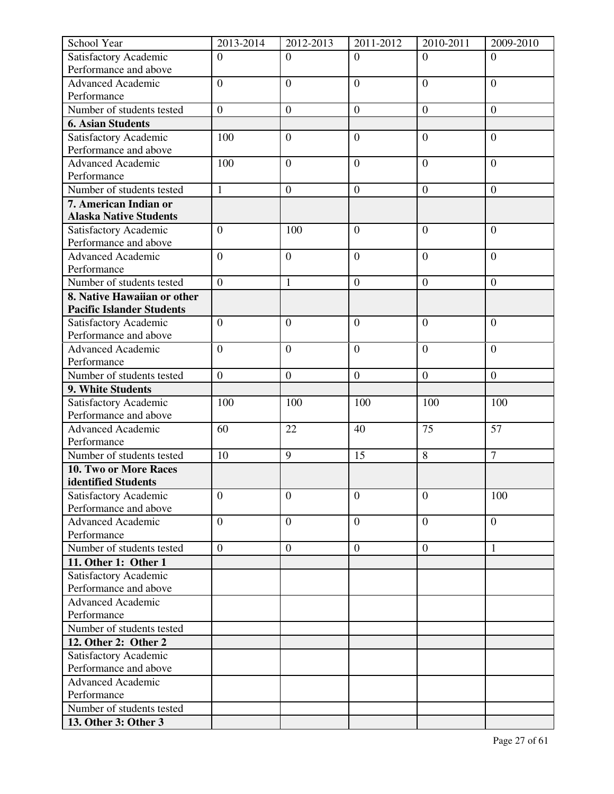| School Year                                    | 2013-2014        | 2012-2013        | 2011-2012        | 2010-2011        | 2009-2010        |
|------------------------------------------------|------------------|------------------|------------------|------------------|------------------|
| Satisfactory Academic                          | $\Omega$         | $\Omega$         | $\Omega$         | $\Omega$         | $\Omega$         |
| Performance and above                          |                  |                  |                  |                  |                  |
| <b>Advanced Academic</b>                       | $\overline{0}$   | $\overline{0}$   | $\overline{0}$   | $\overline{0}$   | $\overline{0}$   |
| Performance                                    |                  |                  |                  |                  |                  |
| Number of students tested                      | $\overline{0}$   | $\boldsymbol{0}$ | $\boldsymbol{0}$ | $\boldsymbol{0}$ | $\boldsymbol{0}$ |
| <b>6. Asian Students</b>                       |                  |                  |                  |                  |                  |
| Satisfactory Academic                          | 100              | $\overline{0}$   | $\overline{0}$   | $\overline{0}$   | $\overline{0}$   |
| Performance and above                          |                  |                  |                  |                  |                  |
| <b>Advanced Academic</b>                       | 100              | $\overline{0}$   | $\overline{0}$   | $\mathbf{0}$     | $\overline{0}$   |
| Performance                                    |                  |                  |                  |                  |                  |
| Number of students tested                      | $\mathbf{1}$     | $\boldsymbol{0}$ | $\mathbf{0}$     | $\boldsymbol{0}$ | $\overline{0}$   |
| 7. American Indian or                          |                  |                  |                  |                  |                  |
| <b>Alaska Native Students</b>                  |                  |                  |                  |                  |                  |
| Satisfactory Academic                          | $\overline{0}$   | 100              | $\overline{0}$   | $\mathbf{0}$     | $\overline{0}$   |
| Performance and above                          |                  |                  |                  |                  |                  |
| <b>Advanced Academic</b>                       | $\overline{0}$   | $\overline{0}$   | $\overline{0}$   | $\overline{0}$   | $\overline{0}$   |
| Performance                                    |                  |                  |                  |                  |                  |
| Number of students tested                      | $\overline{0}$   | $\mathbf{1}$     | $\mathbf{0}$     | $\overline{0}$   | $\boldsymbol{0}$ |
| 8. Native Hawaiian or other                    |                  |                  |                  |                  |                  |
| <b>Pacific Islander Students</b>               | $\overline{0}$   | $\overline{0}$   | $\overline{0}$   | $\mathbf{0}$     | $\mathbf{0}$     |
| Satisfactory Academic<br>Performance and above |                  |                  |                  |                  |                  |
| <b>Advanced Academic</b>                       | $\overline{0}$   | $\overline{0}$   | $\overline{0}$   | $\overline{0}$   | $\overline{0}$   |
| Performance                                    |                  |                  |                  |                  |                  |
| Number of students tested                      | $\boldsymbol{0}$ | $\boldsymbol{0}$ | $\boldsymbol{0}$ | $\boldsymbol{0}$ | $\overline{0}$   |
| 9. White Students                              |                  |                  |                  |                  |                  |
| Satisfactory Academic                          | 100              | 100              | 100              | 100              | 100              |
| Performance and above                          |                  |                  |                  |                  |                  |
| <b>Advanced Academic</b>                       | 60               | 22               | 40               | 75               | 57               |
| Performance                                    |                  |                  |                  |                  |                  |
| Number of students tested                      | 10               | 9                | 15               | 8                | $\overline{7}$   |
| 10. Two or More Races                          |                  |                  |                  |                  |                  |
| identified Students                            |                  |                  |                  |                  |                  |
| Satisfactory Academic                          | $\overline{0}$   | $\overline{0}$   | $\overline{0}$   | $\overline{0}$   | 100              |
| Performance and above                          |                  |                  |                  |                  |                  |
| <b>Advanced Academic</b>                       | $\overline{0}$   | $\boldsymbol{0}$ | $\overline{0}$   | $\overline{0}$   | $\overline{0}$   |
| Performance                                    |                  |                  |                  |                  |                  |
| Number of students tested                      | $\overline{0}$   | $\boldsymbol{0}$ | $\boldsymbol{0}$ | $\boldsymbol{0}$ | 1                |
| 11. Other 1: Other 1                           |                  |                  |                  |                  |                  |
| Satisfactory Academic                          |                  |                  |                  |                  |                  |
| Performance and above                          |                  |                  |                  |                  |                  |
| Advanced Academic                              |                  |                  |                  |                  |                  |
| Performance                                    |                  |                  |                  |                  |                  |
| Number of students tested                      |                  |                  |                  |                  |                  |
| 12. Other 2: Other 2                           |                  |                  |                  |                  |                  |
| Satisfactory Academic                          |                  |                  |                  |                  |                  |
| Performance and above                          |                  |                  |                  |                  |                  |
| <b>Advanced Academic</b>                       |                  |                  |                  |                  |                  |
| Performance                                    |                  |                  |                  |                  |                  |
| Number of students tested                      |                  |                  |                  |                  |                  |
| 13. Other 3: Other 3                           |                  |                  |                  |                  |                  |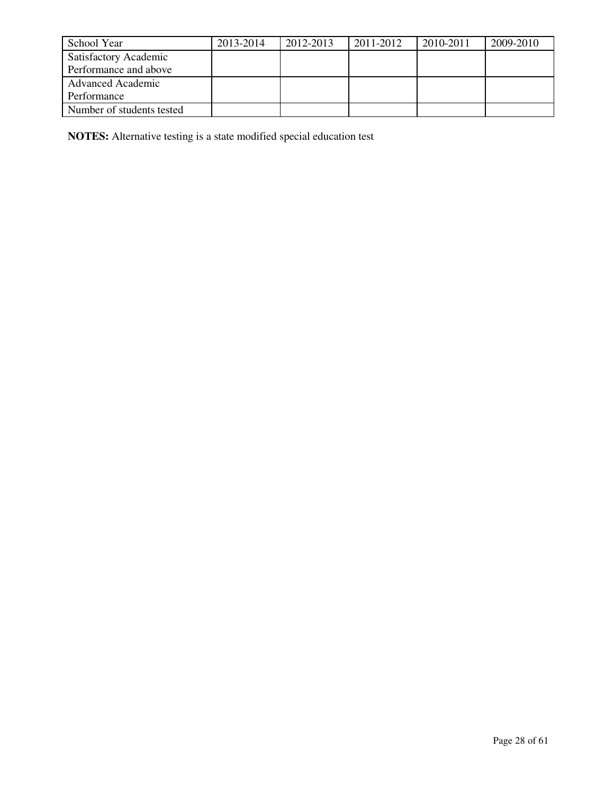| School Year               | 2013-2014 | 2012-2013 | 2011-2012 | 2010-2011 | 2009-2010 |
|---------------------------|-----------|-----------|-----------|-----------|-----------|
| Satisfactory Academic     |           |           |           |           |           |
| Performance and above     |           |           |           |           |           |
| <b>Advanced Academic</b>  |           |           |           |           |           |
| Performance               |           |           |           |           |           |
| Number of students tested |           |           |           |           |           |

**NOTES:** Alternative testing is a state modified special education test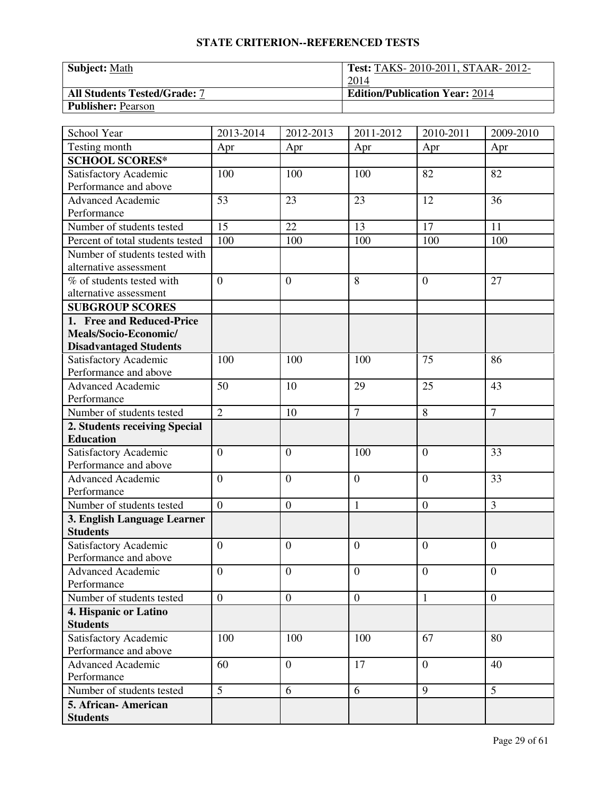| <b>Subject: Math</b>                | <b>Test: TAKS-2010-2011, STAAR-2012-</b> |
|-------------------------------------|------------------------------------------|
|                                     | 2014                                     |
| <b>All Students Tested/Grade: 7</b> | <b>Edition/Publication Year: 2014</b>    |
| <b>Publisher: Pearson</b>           |                                          |

| School Year                             | 2013-2014        | 2012-2013        | 2011-2012      | 2010-2011      | 2009-2010      |
|-----------------------------------------|------------------|------------------|----------------|----------------|----------------|
| Testing month                           | Apr              | Apr              | Apr            | Apr            | Apr            |
| <b>SCHOOL SCORES*</b>                   |                  |                  |                |                |                |
| Satisfactory Academic                   | 100              | 100              | 100            | 82             | 82             |
| Performance and above                   |                  |                  |                |                |                |
| <b>Advanced Academic</b>                | 53               | 23               | 23             | 12             | 36             |
| Performance                             |                  |                  |                |                |                |
| Number of students tested               | $\overline{15}$  | 22               | 13             | 17             | 11             |
| Percent of total students tested        | 100              | 100              | 100            | 100            | 100            |
| Number of students tested with          |                  |                  |                |                |                |
| alternative assessment                  |                  |                  |                |                |                |
| $\overline{\%}$ of students tested with | $\overline{0}$   | $\overline{0}$   | 8              | $\theta$       | 27             |
| alternative assessment                  |                  |                  |                |                |                |
| <b>SUBGROUP SCORES</b>                  |                  |                  |                |                |                |
| 1. Free and Reduced-Price               |                  |                  |                |                |                |
| Meals/Socio-Economic/                   |                  |                  |                |                |                |
| <b>Disadvantaged Students</b>           |                  |                  |                |                |                |
| Satisfactory Academic                   | 100              | 100              | 100            | 75             | 86             |
| Performance and above                   |                  |                  |                |                |                |
| <b>Advanced Academic</b>                | 50               | 10               | 29             | 25             | 43             |
| Performance                             |                  |                  |                |                |                |
| Number of students tested               | $\overline{2}$   | 10               | $\overline{7}$ | 8              | $\overline{7}$ |
| 2. Students receiving Special           |                  |                  |                |                |                |
| <b>Education</b>                        |                  |                  |                |                |                |
| Satisfactory Academic                   | $\overline{0}$   | $\theta$         | 100            | $\theta$       | 33             |
| Performance and above                   |                  |                  |                |                |                |
| <b>Advanced Academic</b>                | $\overline{0}$   | $\overline{0}$   | $\overline{0}$ | $\theta$       | 33             |
| Performance                             |                  |                  |                |                |                |
| Number of students tested               | $\overline{0}$   | $\boldsymbol{0}$ | $\mathbf{1}$   | $\overline{0}$ | 3              |
| 3. English Language Learner             |                  |                  |                |                |                |
| <b>Students</b>                         |                  |                  |                |                |                |
| Satisfactory Academic                   | $\overline{0}$   | $\theta$         | $\overline{0}$ | $\overline{0}$ | $\overline{0}$ |
| Performance and above                   |                  |                  |                |                |                |
| Advanced Academic                       | $\boldsymbol{0}$ | $\boldsymbol{0}$ | $\overline{0}$ | $\overline{0}$ | $\overline{0}$ |
| Performance                             |                  |                  |                |                |                |
| Number of students tested               | $\overline{0}$   | $\boldsymbol{0}$ | $\mathbf{0}$   | $\mathbf{1}$   | $\overline{0}$ |
| 4. Hispanic or Latino                   |                  |                  |                |                |                |
| <b>Students</b>                         |                  |                  |                |                |                |
| Satisfactory Academic                   | 100              | 100              | 100            | 67             | 80             |
| Performance and above                   |                  |                  |                |                |                |
| <b>Advanced Academic</b>                | 60               | $\boldsymbol{0}$ | 17             | $\overline{0}$ | 40             |
| Performance                             |                  |                  |                |                |                |
| Number of students tested               | $\overline{5}$   | 6                | 6              | 9              | $\overline{5}$ |
| 5. African-American                     |                  |                  |                |                |                |
| <b>Students</b>                         |                  |                  |                |                |                |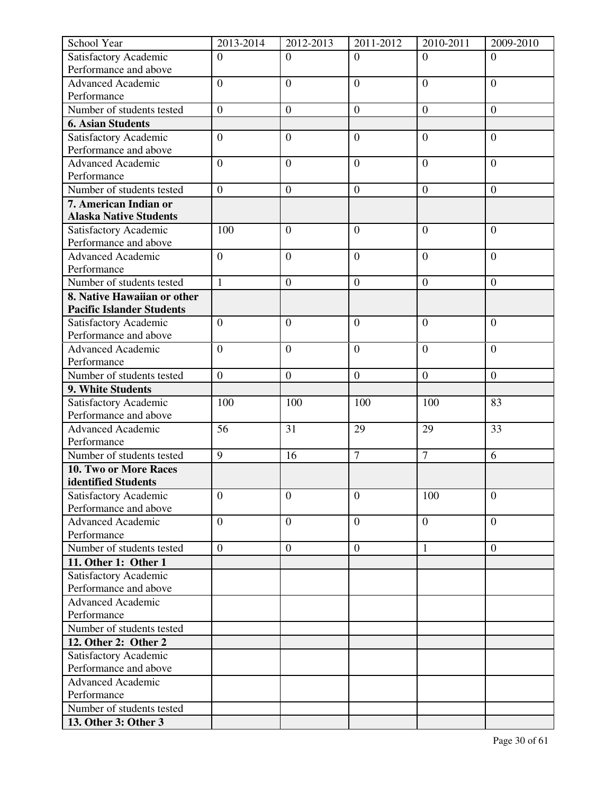| School Year                                  | 2013-2014        | 2012-2013        | 2011-2012        | 2010-2011        | 2009-2010        |
|----------------------------------------------|------------------|------------------|------------------|------------------|------------------|
| Satisfactory Academic                        | $\overline{0}$   | $\Omega$         | $\Omega$         | $\Omega$         | $\Omega$         |
| Performance and above                        |                  |                  |                  |                  |                  |
| <b>Advanced Academic</b>                     | $\overline{0}$   | $\overline{0}$   | $\overline{0}$   | $\overline{0}$   | $\overline{0}$   |
| Performance                                  |                  |                  |                  |                  |                  |
| Number of students tested                    | $\overline{0}$   | $\boldsymbol{0}$ | $\boldsymbol{0}$ | $\boldsymbol{0}$ | $\boldsymbol{0}$ |
| <b>6. Asian Students</b>                     |                  |                  |                  |                  |                  |
| Satisfactory Academic                        | $\boldsymbol{0}$ | $\overline{0}$   | $\overline{0}$   | $\overline{0}$   | $\overline{0}$   |
| Performance and above                        |                  |                  |                  |                  |                  |
| <b>Advanced Academic</b>                     | $\overline{0}$   | $\overline{0}$   | $\overline{0}$   | $\mathbf{0}$     | $\overline{0}$   |
| Performance                                  |                  |                  |                  |                  |                  |
| Number of students tested                    | $\overline{0}$   | $\boldsymbol{0}$ | $\mathbf{0}$     | $\boldsymbol{0}$ | $\overline{0}$   |
| 7. American Indian or                        |                  |                  |                  |                  |                  |
| <b>Alaska Native Students</b>                |                  |                  |                  |                  |                  |
| Satisfactory Academic                        | 100              | $\overline{0}$   | $\overline{0}$   | $\mathbf{0}$     | $\overline{0}$   |
| Performance and above                        |                  |                  |                  |                  |                  |
| <b>Advanced Academic</b>                     | $\overline{0}$   | $\overline{0}$   | $\overline{0}$   | $\overline{0}$   | $\overline{0}$   |
| Performance                                  |                  |                  |                  |                  |                  |
| Number of students tested                    | $\mathbf{1}$     | $\overline{0}$   | $\overline{0}$   | $\overline{0}$   | $\boldsymbol{0}$ |
| 8. Native Hawaiian or other                  |                  |                  |                  |                  |                  |
| <b>Pacific Islander Students</b>             |                  |                  |                  |                  |                  |
| Satisfactory Academic                        | $\overline{0}$   | $\overline{0}$   | $\overline{0}$   | $\mathbf{0}$     | $\mathbf{0}$     |
| Performance and above                        |                  |                  |                  |                  |                  |
| <b>Advanced Academic</b>                     | $\overline{0}$   | $\overline{0}$   | $\overline{0}$   | $\overline{0}$   | $\overline{0}$   |
| Performance                                  |                  |                  |                  |                  |                  |
| Number of students tested                    | $\boldsymbol{0}$ | $\boldsymbol{0}$ | $\boldsymbol{0}$ | $\boldsymbol{0}$ | $\overline{0}$   |
| 9. White Students                            |                  |                  |                  |                  |                  |
| Satisfactory Academic                        | 100              | 100              | 100              | 100              | 83               |
| Performance and above                        |                  |                  |                  |                  |                  |
| <b>Advanced Academic</b>                     | 56               | 31               | 29               | 29               | 33               |
| Performance<br>Number of students tested     | $\overline{9}$   | 16               | $\overline{7}$   | $\overline{7}$   | 6                |
|                                              |                  |                  |                  |                  |                  |
| 10. Two or More Races<br>identified Students |                  |                  |                  |                  |                  |
| Satisfactory Academic                        | $\overline{0}$   | $\overline{0}$   | $\overline{0}$   | 100              | $\mathbf{0}$     |
| Performance and above                        |                  |                  |                  |                  |                  |
| <b>Advanced Academic</b>                     | $\overline{0}$   | $\boldsymbol{0}$ | $\overline{0}$   | $\overline{0}$   | $\overline{0}$   |
| Performance                                  |                  |                  |                  |                  |                  |
| Number of students tested                    | $\overline{0}$   | $\boldsymbol{0}$ | $\boldsymbol{0}$ | $\mathbf{1}$     | $\boldsymbol{0}$ |
| 11. Other 1: Other 1                         |                  |                  |                  |                  |                  |
| Satisfactory Academic                        |                  |                  |                  |                  |                  |
| Performance and above                        |                  |                  |                  |                  |                  |
| Advanced Academic                            |                  |                  |                  |                  |                  |
| Performance                                  |                  |                  |                  |                  |                  |
| Number of students tested                    |                  |                  |                  |                  |                  |
| 12. Other 2: Other 2                         |                  |                  |                  |                  |                  |
| Satisfactory Academic                        |                  |                  |                  |                  |                  |
| Performance and above                        |                  |                  |                  |                  |                  |
| <b>Advanced Academic</b>                     |                  |                  |                  |                  |                  |
| Performance                                  |                  |                  |                  |                  |                  |
| Number of students tested                    |                  |                  |                  |                  |                  |
| 13. Other 3: Other 3                         |                  |                  |                  |                  |                  |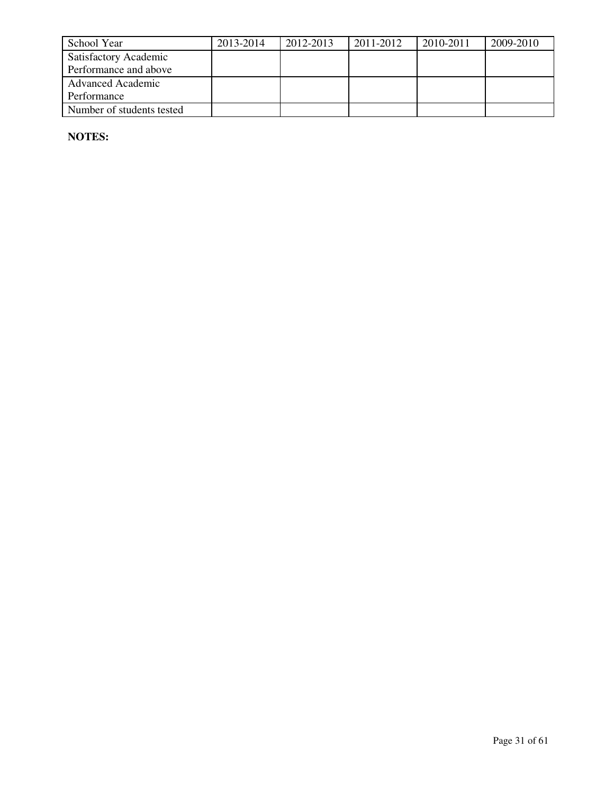| School Year                  | 2013-2014 | 2012-2013 | 2011-2012 | 2010-2011 | 2009-2010 |
|------------------------------|-----------|-----------|-----------|-----------|-----------|
| <b>Satisfactory Academic</b> |           |           |           |           |           |
| Performance and above        |           |           |           |           |           |
| <b>Advanced Academic</b>     |           |           |           |           |           |
| Performance                  |           |           |           |           |           |
| Number of students tested    |           |           |           |           |           |

**NOTES:**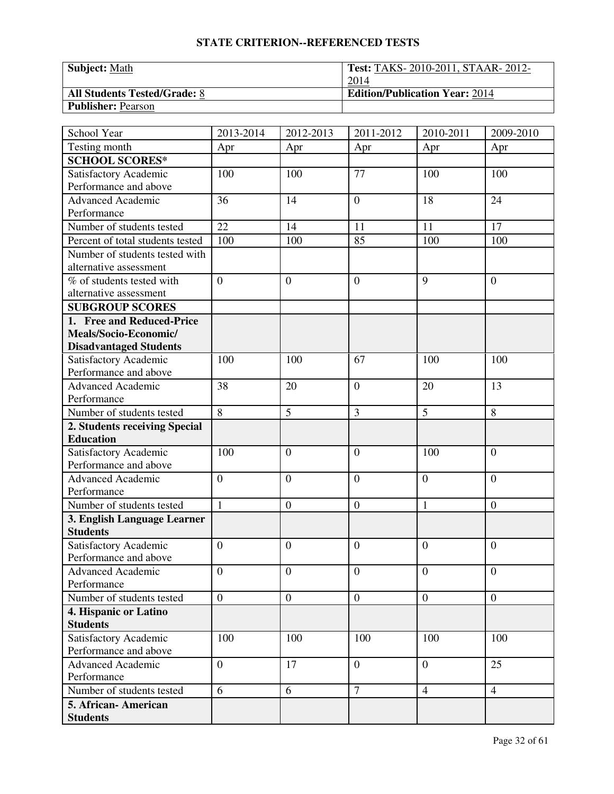| <b>Subject:</b> Math                | <b>Test: TAKS-2010-2011, STAAR-2012-</b> |
|-------------------------------------|------------------------------------------|
|                                     | 2014                                     |
| <b>All Students Tested/Grade: 8</b> | <b>Edition/Publication Year: 2014</b>    |
| <b>Publisher: Pearson</b>           |                                          |

| School Year                                    | 2013-2014        | 2012-2013        | 2011-2012        | 2010-2011        | 2009-2010        |
|------------------------------------------------|------------------|------------------|------------------|------------------|------------------|
| Testing month                                  | Apr              | Apr              | Apr              | Apr              | Apr              |
| <b>SCHOOL SCORES*</b>                          |                  |                  |                  |                  |                  |
| Satisfactory Academic                          | 100              | 100              | 77               | 100              | 100              |
| Performance and above                          |                  |                  |                  |                  |                  |
| <b>Advanced Academic</b>                       | 36               | 14               | $\overline{0}$   | 18               | 24               |
| Performance                                    |                  |                  |                  |                  |                  |
| Number of students tested                      | $\overline{22}$  | 14               | 11               | 11               | $\overline{17}$  |
| Percent of total students tested               | 100              | 100              | 85               | 100              | 100              |
| Number of students tested with                 |                  |                  |                  |                  |                  |
| alternative assessment                         |                  |                  |                  |                  |                  |
| $\overline{\%}$ of students tested with        | $\overline{0}$   | $\overline{0}$   | $\overline{0}$   | 9                | $\overline{0}$   |
| alternative assessment                         |                  |                  |                  |                  |                  |
| <b>SUBGROUP SCORES</b>                         |                  |                  |                  |                  |                  |
| 1. Free and Reduced-Price                      |                  |                  |                  |                  |                  |
| Meals/Socio-Economic/                          |                  |                  |                  |                  |                  |
| <b>Disadvantaged Students</b>                  |                  |                  |                  |                  |                  |
| Satisfactory Academic                          | 100              | 100              | 67               | 100              | 100              |
| Performance and above                          |                  |                  |                  |                  |                  |
| <b>Advanced Academic</b>                       | 38               | 20               | $\overline{0}$   | 20               | 13               |
| Performance                                    |                  |                  |                  |                  |                  |
| Number of students tested                      | $\overline{8}$   | 5                | 3                | 5                | 8                |
| 2. Students receiving Special                  |                  |                  |                  |                  |                  |
| <b>Education</b>                               |                  |                  |                  |                  |                  |
| Satisfactory Academic                          | 100              | $\theta$         | $\overline{0}$   | 100              | $\overline{0}$   |
| Performance and above                          |                  |                  |                  |                  |                  |
| <b>Advanced Academic</b>                       | $\overline{0}$   | $\overline{0}$   | $\overline{0}$   | $\overline{0}$   | $\overline{0}$   |
| Performance                                    |                  |                  |                  |                  |                  |
| Number of students tested                      | $\mathbf{1}$     | $\boldsymbol{0}$ | $\boldsymbol{0}$ | $\mathbf{1}$     | $\boldsymbol{0}$ |
| 3. English Language Learner                    |                  |                  |                  |                  |                  |
| <b>Students</b>                                |                  |                  |                  |                  |                  |
| Satisfactory Academic<br>Performance and above | $\overline{0}$   | $\theta$         | $\overline{0}$   | $\overline{0}$   | $\overline{0}$   |
|                                                |                  |                  | $\overline{0}$   |                  | $\overline{0}$   |
| Advanced Academic<br>Performance               | $\boldsymbol{0}$ | $\boldsymbol{0}$ |                  | $\boldsymbol{0}$ |                  |
| Number of students tested                      | $\overline{0}$   | $\overline{0}$   | $\mathbf{0}$     | $\overline{0}$   | $\overline{0}$   |
|                                                |                  |                  |                  |                  |                  |
| 4. Hispanic or Latino<br><b>Students</b>       |                  |                  |                  |                  |                  |
| Satisfactory Academic                          | 100              | 100              | 100              | 100              | 100              |
| Performance and above                          |                  |                  |                  |                  |                  |
| <b>Advanced Academic</b>                       | $\overline{0}$   | 17               | $\overline{0}$   | $\overline{0}$   | 25               |
| Performance                                    |                  |                  |                  |                  |                  |
| Number of students tested                      | 6                | 6                | $\tau$           | $\overline{4}$   | $\overline{4}$   |
| 5. African-American                            |                  |                  |                  |                  |                  |
| <b>Students</b>                                |                  |                  |                  |                  |                  |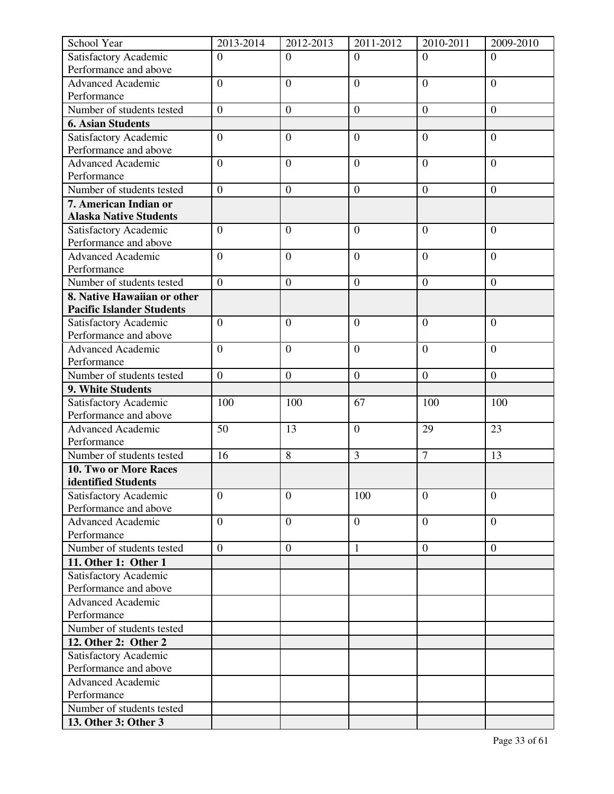| School Year                                                     | 2013-2014        | 2012-2013        | 2011-2012        | 2010-2011        | 2009-2010        |
|-----------------------------------------------------------------|------------------|------------------|------------------|------------------|------------------|
| Satisfactory Academic                                           | $\overline{0}$   | $\Omega$         | $\Omega$         | $\Omega$         | $\Omega$         |
| Performance and above                                           |                  |                  |                  |                  |                  |
| <b>Advanced Academic</b>                                        | $\overline{0}$   | $\overline{0}$   | $\overline{0}$   | $\overline{0}$   | $\overline{0}$   |
| Performance                                                     |                  |                  |                  |                  |                  |
| Number of students tested                                       | $\overline{0}$   | $\boldsymbol{0}$ | $\boldsymbol{0}$ | $\boldsymbol{0}$ | $\boldsymbol{0}$ |
| <b>6. Asian Students</b>                                        |                  |                  |                  |                  |                  |
| Satisfactory Academic                                           | $\boldsymbol{0}$ | $\overline{0}$   | $\overline{0}$   | $\overline{0}$   | $\overline{0}$   |
| Performance and above                                           |                  |                  |                  |                  |                  |
| <b>Advanced Academic</b>                                        | $\overline{0}$   | $\overline{0}$   | $\overline{0}$   | $\mathbf{0}$     | $\overline{0}$   |
| Performance                                                     |                  |                  |                  |                  |                  |
| Number of students tested                                       | $\overline{0}$   | $\boldsymbol{0}$ | $\mathbf{0}$     | $\boldsymbol{0}$ | $\overline{0}$   |
| 7. American Indian or                                           |                  |                  |                  |                  |                  |
| <b>Alaska Native Students</b>                                   |                  |                  |                  |                  |                  |
| Satisfactory Academic                                           | $\overline{0}$   | $\overline{0}$   | $\overline{0}$   | $\overline{0}$   | $\overline{0}$   |
| Performance and above                                           |                  |                  |                  |                  |                  |
| <b>Advanced Academic</b>                                        | $\overline{0}$   | $\overline{0}$   | $\overline{0}$   | $\overline{0}$   | $\overline{0}$   |
| Performance<br>Number of students tested                        | $\overline{0}$   |                  |                  |                  |                  |
|                                                                 |                  | $\overline{0}$   | $\overline{0}$   | $\overline{0}$   | $\boldsymbol{0}$ |
| 8. Native Hawaiian or other<br><b>Pacific Islander Students</b> |                  |                  |                  |                  |                  |
| Satisfactory Academic                                           | $\overline{0}$   | $\overline{0}$   | $\overline{0}$   | $\overline{0}$   | $\overline{0}$   |
| Performance and above                                           |                  |                  |                  |                  |                  |
| <b>Advanced Academic</b>                                        | $\overline{0}$   | $\overline{0}$   | $\overline{0}$   | $\overline{0}$   | $\overline{0}$   |
| Performance                                                     |                  |                  |                  |                  |                  |
| Number of students tested                                       | $\boldsymbol{0}$ | $\mathbf{0}$     | $\boldsymbol{0}$ | $\boldsymbol{0}$ | $\overline{0}$   |
| 9. White Students                                               |                  |                  |                  |                  |                  |
| Satisfactory Academic                                           | 100              | 100              | 67               | 100              | 100              |
| Performance and above                                           |                  |                  |                  |                  |                  |
| <b>Advanced Academic</b>                                        | 50               | 13               | $\boldsymbol{0}$ | 29               | 23               |
| Performance                                                     |                  |                  |                  |                  |                  |
| Number of students tested                                       | 16               | 8                | $\overline{3}$   | $\overline{7}$   | 13               |
| 10. Two or More Races                                           |                  |                  |                  |                  |                  |
| identified Students                                             |                  |                  |                  |                  |                  |
| Satisfactory Academic                                           | $\overline{0}$   | $\overline{0}$   | 100              | $\overline{0}$   | $\overline{0}$   |
| Performance and above                                           |                  |                  |                  |                  |                  |
| <b>Advanced Academic</b>                                        | $\overline{0}$   | $\overline{0}$   | $\overline{0}$   | $\overline{0}$   | $\overline{0}$   |
| Performance                                                     |                  |                  |                  |                  |                  |
| Number of students tested                                       | $\overline{0}$   | $\boldsymbol{0}$ | 1                | $\boldsymbol{0}$ | $\overline{0}$   |
| 11. Other 1: Other 1                                            |                  |                  |                  |                  |                  |
| Satisfactory Academic                                           |                  |                  |                  |                  |                  |
| Performance and above                                           |                  |                  |                  |                  |                  |
| <b>Advanced Academic</b>                                        |                  |                  |                  |                  |                  |
| Performance                                                     |                  |                  |                  |                  |                  |
| Number of students tested                                       |                  |                  |                  |                  |                  |
| 12. Other 2: Other 2                                            |                  |                  |                  |                  |                  |
| Satisfactory Academic                                           |                  |                  |                  |                  |                  |
| Performance and above                                           |                  |                  |                  |                  |                  |
| <b>Advanced Academic</b>                                        |                  |                  |                  |                  |                  |
| Performance                                                     |                  |                  |                  |                  |                  |
| Number of students tested                                       |                  |                  |                  |                  |                  |
| 13. Other 3: Other 3                                            |                  |                  |                  |                  |                  |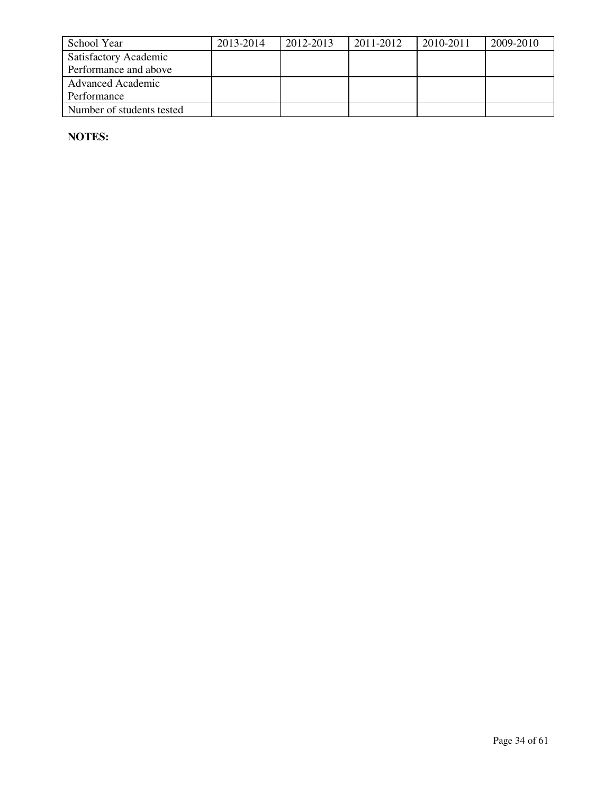| School Year                  | 2013-2014 | 2012-2013 | 2011-2012 | 2010-2011 | 2009-2010 |
|------------------------------|-----------|-----------|-----------|-----------|-----------|
| <b>Satisfactory Academic</b> |           |           |           |           |           |
| Performance and above        |           |           |           |           |           |
| <b>Advanced Academic</b>     |           |           |           |           |           |
| Performance                  |           |           |           |           |           |
| Number of students tested    |           |           |           |           |           |

**NOTES:**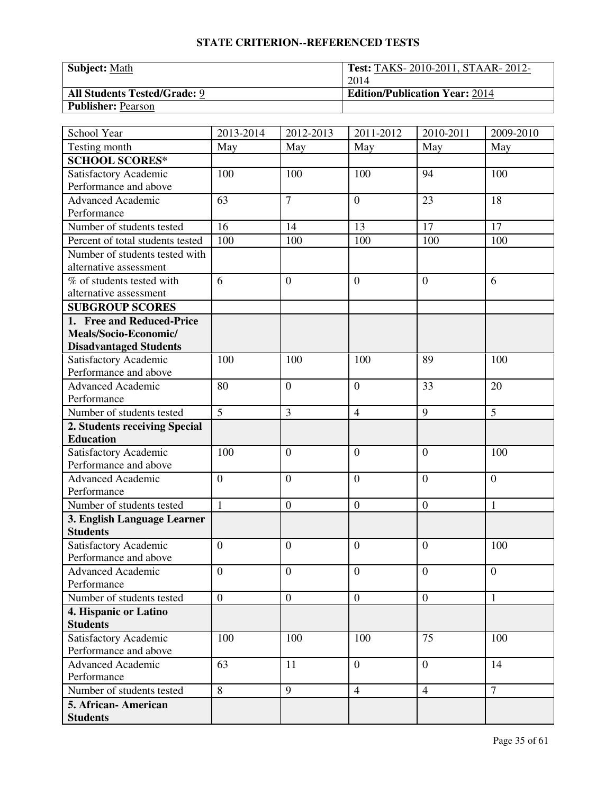| <b>Subject:</b> Math                | <b>Test: TAKS-2010-2011, STAAR-2012-</b> |
|-------------------------------------|------------------------------------------|
|                                     | 2014                                     |
| <b>All Students Tested/Grade: 9</b> | <b>Edition/Publication Year: 2014</b>    |
| <b>Publisher: Pearson</b>           |                                          |

| School Year                                    | 2013-2014      | 2012-2013        | 2011-2012        | 2010-2011        | 2009-2010       |
|------------------------------------------------|----------------|------------------|------------------|------------------|-----------------|
| Testing month                                  | May            | May              | May              | May              | May             |
| <b>SCHOOL SCORES*</b>                          |                |                  |                  |                  |                 |
| Satisfactory Academic                          | 100            | 100              | 100              | 94               | 100             |
| Performance and above                          |                |                  |                  |                  |                 |
| <b>Advanced Academic</b>                       | 63             | $\overline{7}$   | $\overline{0}$   | 23               | 18              |
| Performance                                    |                |                  |                  |                  |                 |
| Number of students tested                      | 16             | 14               | 13               | 17               | $\overline{17}$ |
| Percent of total students tested               | 100            | 100              | 100              | 100              | 100             |
| Number of students tested with                 |                |                  |                  |                  |                 |
| alternative assessment                         |                |                  |                  |                  |                 |
| % of students tested with                      | 6              | $\overline{0}$   | $\overline{0}$   | $\theta$         | 6               |
| alternative assessment                         |                |                  |                  |                  |                 |
| <b>SUBGROUP SCORES</b>                         |                |                  |                  |                  |                 |
| 1. Free and Reduced-Price                      |                |                  |                  |                  |                 |
| Meals/Socio-Economic/                          |                |                  |                  |                  |                 |
| <b>Disadvantaged Students</b>                  |                |                  |                  |                  |                 |
| Satisfactory Academic                          | 100            | 100              | 100              | 89               | 100             |
| Performance and above                          |                |                  |                  |                  |                 |
| Advanced Academic                              | 80             | $\overline{0}$   | $\overline{0}$   | 33               | 20              |
| Performance                                    |                |                  |                  |                  |                 |
| Number of students tested                      | $\overline{5}$ | $\overline{3}$   | $\overline{4}$   | 9                | 5               |
| 2. Students receiving Special                  |                |                  |                  |                  |                 |
| <b>Education</b>                               |                |                  |                  |                  |                 |
| Satisfactory Academic                          | 100            | $\theta$         | $\overline{0}$   | $\overline{0}$   | 100             |
| Performance and above                          |                |                  |                  |                  |                 |
| <b>Advanced Academic</b>                       | $\overline{0}$ | $\overline{0}$   | $\overline{0}$   | $\theta$         | $\overline{0}$  |
| Performance                                    |                |                  |                  |                  |                 |
| Number of students tested                      | $\mathbf{1}$   | $\boldsymbol{0}$ | $\boldsymbol{0}$ | $\boldsymbol{0}$ | $\mathbf{1}$    |
| 3. English Language Learner                    |                |                  |                  |                  |                 |
| <b>Students</b>                                | $\overline{0}$ |                  |                  |                  |                 |
| Satisfactory Academic<br>Performance and above |                | $\theta$         | $\overline{0}$   | $\theta$         | 100             |
| <b>Advanced Academic</b>                       | $\overline{0}$ | $\overline{0}$   | $\overline{0}$   | $\mathbf{0}$     | $\mathbf{0}$    |
| Performance                                    |                |                  |                  |                  |                 |
| Number of students tested                      | $\overline{0}$ | $\overline{0}$   | $\boldsymbol{0}$ | $\mathbf{0}$     | 1               |
| 4. Hispanic or Latino                          |                |                  |                  |                  |                 |
| <b>Students</b>                                |                |                  |                  |                  |                 |
| Satisfactory Academic                          | 100            | 100              | 100              | 75               | 100             |
| Performance and above                          |                |                  |                  |                  |                 |
| <b>Advanced Academic</b>                       | 63             | 11               | $\overline{0}$   | $\overline{0}$   | 14              |
| Performance                                    |                |                  |                  |                  |                 |
| Number of students tested                      | $\overline{8}$ | 9                | $\overline{4}$   | $\overline{4}$   | $\overline{7}$  |
| 5. African- American                           |                |                  |                  |                  |                 |
| <b>Students</b>                                |                |                  |                  |                  |                 |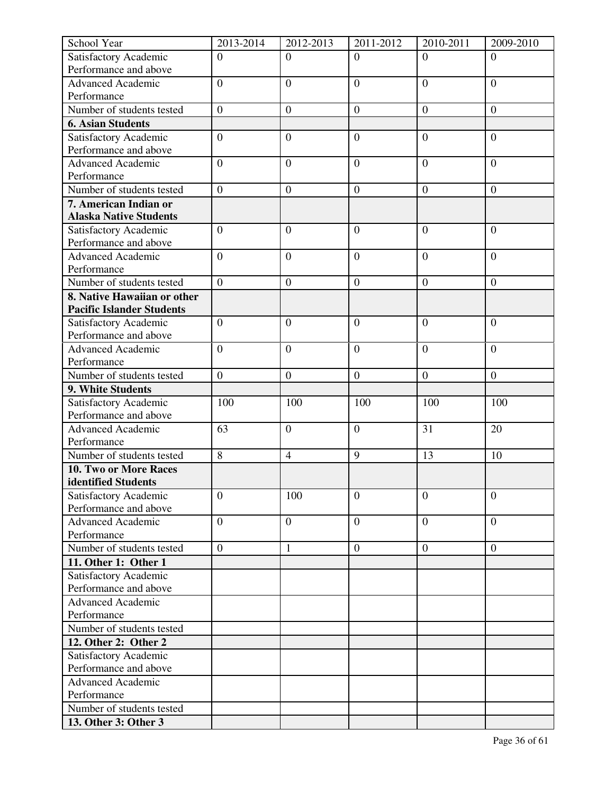| Satisfactory Academic<br>$\overline{0}$<br>$\Omega$<br>$\Omega$<br>$\Omega$<br>$\Omega$<br>Performance and above<br>$\overline{0}$<br><b>Advanced Academic</b><br>$\overline{0}$<br>$\overline{0}$<br>$\overline{0}$<br>$\overline{0}$<br>Performance<br>Number of students tested<br>$\overline{0}$<br>$\boldsymbol{0}$<br>$\boldsymbol{0}$<br>$\boldsymbol{0}$<br>$\boldsymbol{0}$<br><b>6. Asian Students</b><br>$\boldsymbol{0}$<br>$\overline{0}$<br>$\overline{0}$<br>Satisfactory Academic<br>$\overline{0}$<br>$\overline{0}$<br>Performance and above<br><b>Advanced Academic</b><br>$\overline{0}$<br>$\overline{0}$<br>$\overline{0}$<br>$\overline{0}$<br>$\overline{0}$<br>Performance<br>Number of students tested<br>$\overline{0}$<br>$\boldsymbol{0}$<br>$\mathbf{0}$<br>$\boldsymbol{0}$<br>$\overline{0}$<br>7. American Indian or<br><b>Alaska Native Students</b><br>Satisfactory Academic<br>$\overline{0}$<br>$\overline{0}$<br>$\overline{0}$<br>$\overline{0}$<br>$\overline{0}$<br>Performance and above<br><b>Advanced Academic</b><br>$\overline{0}$<br>$\overline{0}$<br>$\overline{0}$<br>$\overline{0}$<br>$\overline{0}$<br>Performance<br>$\overline{0}$<br>Number of students tested<br>$\overline{0}$<br>$\overline{0}$<br>$\overline{0}$<br>$\boldsymbol{0}$<br>8. Native Hawaiian or other<br><b>Pacific Islander Students</b><br>Satisfactory Academic<br>$\overline{0}$<br>$\overline{0}$<br>$\overline{0}$<br>$\overline{0}$<br>$\overline{0}$<br>Performance and above<br>$\overline{0}$<br><b>Advanced Academic</b><br>$\overline{0}$<br>$\overline{0}$<br>$\overline{0}$<br>$\overline{0}$<br>Performance<br>Number of students tested<br>$\boldsymbol{0}$<br>$\mathbf{0}$<br>$\boldsymbol{0}$<br>$\boldsymbol{0}$<br>$\overline{0}$<br>9. White Students<br>Satisfactory Academic<br>100<br>100<br>100<br>100<br>100<br>Performance and above<br>63<br><b>Advanced Academic</b><br>$\mathbf{0}$<br>$\boldsymbol{0}$<br>31<br>20<br>Performance<br>Number of students tested<br>8<br>9<br>$\overline{4}$<br>13<br>10<br>10. Two or More Races<br>identified Students<br>$\overline{0}$<br>Satisfactory Academic<br>$\overline{0}$<br>$\overline{0}$<br>$\overline{0}$<br>100<br>Performance and above<br>$\overline{0}$<br><b>Advanced Academic</b><br>$\overline{0}$<br>$\overline{0}$<br>$\boldsymbol{0}$<br>$\overline{0}$<br>Performance<br>Number of students tested<br>$\overline{0}$<br>$\mathbf{1}$<br>$\boldsymbol{0}$<br>$\boldsymbol{0}$<br>$\overline{0}$<br>11. Other 1: Other 1<br>Satisfactory Academic<br>Performance and above<br>Advanced Academic<br>Performance<br>Number of students tested<br>12. Other 2: Other 2<br>Satisfactory Academic<br>Performance and above<br><b>Advanced Academic</b><br>Performance<br>Number of students tested | School Year | 2013-2014 | 2012-2013 | 2011-2012 | 2010-2011 | 2009-2010 |
|---------------------------------------------------------------------------------------------------------------------------------------------------------------------------------------------------------------------------------------------------------------------------------------------------------------------------------------------------------------------------------------------------------------------------------------------------------------------------------------------------------------------------------------------------------------------------------------------------------------------------------------------------------------------------------------------------------------------------------------------------------------------------------------------------------------------------------------------------------------------------------------------------------------------------------------------------------------------------------------------------------------------------------------------------------------------------------------------------------------------------------------------------------------------------------------------------------------------------------------------------------------------------------------------------------------------------------------------------------------------------------------------------------------------------------------------------------------------------------------------------------------------------------------------------------------------------------------------------------------------------------------------------------------------------------------------------------------------------------------------------------------------------------------------------------------------------------------------------------------------------------------------------------------------------------------------------------------------------------------------------------------------------------------------------------------------------------------------------------------------------------------------------------------------------------------------------------------------------------------------------------------------------------------------------------------------------------------------------------------------------------------------------------------------------------------------------------------------------------------------------------------------------------------------------------------------------------------------------------------------------------------------------------------------------------------------------------------------------------------------------------------------------------------------------------------|-------------|-----------|-----------|-----------|-----------|-----------|
|                                                                                                                                                                                                                                                                                                                                                                                                                                                                                                                                                                                                                                                                                                                                                                                                                                                                                                                                                                                                                                                                                                                                                                                                                                                                                                                                                                                                                                                                                                                                                                                                                                                                                                                                                                                                                                                                                                                                                                                                                                                                                                                                                                                                                                                                                                                                                                                                                                                                                                                                                                                                                                                                                                                                                                                                               |             |           |           |           |           |           |
|                                                                                                                                                                                                                                                                                                                                                                                                                                                                                                                                                                                                                                                                                                                                                                                                                                                                                                                                                                                                                                                                                                                                                                                                                                                                                                                                                                                                                                                                                                                                                                                                                                                                                                                                                                                                                                                                                                                                                                                                                                                                                                                                                                                                                                                                                                                                                                                                                                                                                                                                                                                                                                                                                                                                                                                                               |             |           |           |           |           |           |
|                                                                                                                                                                                                                                                                                                                                                                                                                                                                                                                                                                                                                                                                                                                                                                                                                                                                                                                                                                                                                                                                                                                                                                                                                                                                                                                                                                                                                                                                                                                                                                                                                                                                                                                                                                                                                                                                                                                                                                                                                                                                                                                                                                                                                                                                                                                                                                                                                                                                                                                                                                                                                                                                                                                                                                                                               |             |           |           |           |           |           |
|                                                                                                                                                                                                                                                                                                                                                                                                                                                                                                                                                                                                                                                                                                                                                                                                                                                                                                                                                                                                                                                                                                                                                                                                                                                                                                                                                                                                                                                                                                                                                                                                                                                                                                                                                                                                                                                                                                                                                                                                                                                                                                                                                                                                                                                                                                                                                                                                                                                                                                                                                                                                                                                                                                                                                                                                               |             |           |           |           |           |           |
|                                                                                                                                                                                                                                                                                                                                                                                                                                                                                                                                                                                                                                                                                                                                                                                                                                                                                                                                                                                                                                                                                                                                                                                                                                                                                                                                                                                                                                                                                                                                                                                                                                                                                                                                                                                                                                                                                                                                                                                                                                                                                                                                                                                                                                                                                                                                                                                                                                                                                                                                                                                                                                                                                                                                                                                                               |             |           |           |           |           |           |
|                                                                                                                                                                                                                                                                                                                                                                                                                                                                                                                                                                                                                                                                                                                                                                                                                                                                                                                                                                                                                                                                                                                                                                                                                                                                                                                                                                                                                                                                                                                                                                                                                                                                                                                                                                                                                                                                                                                                                                                                                                                                                                                                                                                                                                                                                                                                                                                                                                                                                                                                                                                                                                                                                                                                                                                                               |             |           |           |           |           |           |
|                                                                                                                                                                                                                                                                                                                                                                                                                                                                                                                                                                                                                                                                                                                                                                                                                                                                                                                                                                                                                                                                                                                                                                                                                                                                                                                                                                                                                                                                                                                                                                                                                                                                                                                                                                                                                                                                                                                                                                                                                                                                                                                                                                                                                                                                                                                                                                                                                                                                                                                                                                                                                                                                                                                                                                                                               |             |           |           |           |           |           |
|                                                                                                                                                                                                                                                                                                                                                                                                                                                                                                                                                                                                                                                                                                                                                                                                                                                                                                                                                                                                                                                                                                                                                                                                                                                                                                                                                                                                                                                                                                                                                                                                                                                                                                                                                                                                                                                                                                                                                                                                                                                                                                                                                                                                                                                                                                                                                                                                                                                                                                                                                                                                                                                                                                                                                                                                               |             |           |           |           |           |           |
|                                                                                                                                                                                                                                                                                                                                                                                                                                                                                                                                                                                                                                                                                                                                                                                                                                                                                                                                                                                                                                                                                                                                                                                                                                                                                                                                                                                                                                                                                                                                                                                                                                                                                                                                                                                                                                                                                                                                                                                                                                                                                                                                                                                                                                                                                                                                                                                                                                                                                                                                                                                                                                                                                                                                                                                                               |             |           |           |           |           |           |
|                                                                                                                                                                                                                                                                                                                                                                                                                                                                                                                                                                                                                                                                                                                                                                                                                                                                                                                                                                                                                                                                                                                                                                                                                                                                                                                                                                                                                                                                                                                                                                                                                                                                                                                                                                                                                                                                                                                                                                                                                                                                                                                                                                                                                                                                                                                                                                                                                                                                                                                                                                                                                                                                                                                                                                                                               |             |           |           |           |           |           |
|                                                                                                                                                                                                                                                                                                                                                                                                                                                                                                                                                                                                                                                                                                                                                                                                                                                                                                                                                                                                                                                                                                                                                                                                                                                                                                                                                                                                                                                                                                                                                                                                                                                                                                                                                                                                                                                                                                                                                                                                                                                                                                                                                                                                                                                                                                                                                                                                                                                                                                                                                                                                                                                                                                                                                                                                               |             |           |           |           |           |           |
|                                                                                                                                                                                                                                                                                                                                                                                                                                                                                                                                                                                                                                                                                                                                                                                                                                                                                                                                                                                                                                                                                                                                                                                                                                                                                                                                                                                                                                                                                                                                                                                                                                                                                                                                                                                                                                                                                                                                                                                                                                                                                                                                                                                                                                                                                                                                                                                                                                                                                                                                                                                                                                                                                                                                                                                                               |             |           |           |           |           |           |
|                                                                                                                                                                                                                                                                                                                                                                                                                                                                                                                                                                                                                                                                                                                                                                                                                                                                                                                                                                                                                                                                                                                                                                                                                                                                                                                                                                                                                                                                                                                                                                                                                                                                                                                                                                                                                                                                                                                                                                                                                                                                                                                                                                                                                                                                                                                                                                                                                                                                                                                                                                                                                                                                                                                                                                                                               |             |           |           |           |           |           |
|                                                                                                                                                                                                                                                                                                                                                                                                                                                                                                                                                                                                                                                                                                                                                                                                                                                                                                                                                                                                                                                                                                                                                                                                                                                                                                                                                                                                                                                                                                                                                                                                                                                                                                                                                                                                                                                                                                                                                                                                                                                                                                                                                                                                                                                                                                                                                                                                                                                                                                                                                                                                                                                                                                                                                                                                               |             |           |           |           |           |           |
|                                                                                                                                                                                                                                                                                                                                                                                                                                                                                                                                                                                                                                                                                                                                                                                                                                                                                                                                                                                                                                                                                                                                                                                                                                                                                                                                                                                                                                                                                                                                                                                                                                                                                                                                                                                                                                                                                                                                                                                                                                                                                                                                                                                                                                                                                                                                                                                                                                                                                                                                                                                                                                                                                                                                                                                                               |             |           |           |           |           |           |
|                                                                                                                                                                                                                                                                                                                                                                                                                                                                                                                                                                                                                                                                                                                                                                                                                                                                                                                                                                                                                                                                                                                                                                                                                                                                                                                                                                                                                                                                                                                                                                                                                                                                                                                                                                                                                                                                                                                                                                                                                                                                                                                                                                                                                                                                                                                                                                                                                                                                                                                                                                                                                                                                                                                                                                                                               |             |           |           |           |           |           |
|                                                                                                                                                                                                                                                                                                                                                                                                                                                                                                                                                                                                                                                                                                                                                                                                                                                                                                                                                                                                                                                                                                                                                                                                                                                                                                                                                                                                                                                                                                                                                                                                                                                                                                                                                                                                                                                                                                                                                                                                                                                                                                                                                                                                                                                                                                                                                                                                                                                                                                                                                                                                                                                                                                                                                                                                               |             |           |           |           |           |           |
|                                                                                                                                                                                                                                                                                                                                                                                                                                                                                                                                                                                                                                                                                                                                                                                                                                                                                                                                                                                                                                                                                                                                                                                                                                                                                                                                                                                                                                                                                                                                                                                                                                                                                                                                                                                                                                                                                                                                                                                                                                                                                                                                                                                                                                                                                                                                                                                                                                                                                                                                                                                                                                                                                                                                                                                                               |             |           |           |           |           |           |
|                                                                                                                                                                                                                                                                                                                                                                                                                                                                                                                                                                                                                                                                                                                                                                                                                                                                                                                                                                                                                                                                                                                                                                                                                                                                                                                                                                                                                                                                                                                                                                                                                                                                                                                                                                                                                                                                                                                                                                                                                                                                                                                                                                                                                                                                                                                                                                                                                                                                                                                                                                                                                                                                                                                                                                                                               |             |           |           |           |           |           |
|                                                                                                                                                                                                                                                                                                                                                                                                                                                                                                                                                                                                                                                                                                                                                                                                                                                                                                                                                                                                                                                                                                                                                                                                                                                                                                                                                                                                                                                                                                                                                                                                                                                                                                                                                                                                                                                                                                                                                                                                                                                                                                                                                                                                                                                                                                                                                                                                                                                                                                                                                                                                                                                                                                                                                                                                               |             |           |           |           |           |           |
|                                                                                                                                                                                                                                                                                                                                                                                                                                                                                                                                                                                                                                                                                                                                                                                                                                                                                                                                                                                                                                                                                                                                                                                                                                                                                                                                                                                                                                                                                                                                                                                                                                                                                                                                                                                                                                                                                                                                                                                                                                                                                                                                                                                                                                                                                                                                                                                                                                                                                                                                                                                                                                                                                                                                                                                                               |             |           |           |           |           |           |
|                                                                                                                                                                                                                                                                                                                                                                                                                                                                                                                                                                                                                                                                                                                                                                                                                                                                                                                                                                                                                                                                                                                                                                                                                                                                                                                                                                                                                                                                                                                                                                                                                                                                                                                                                                                                                                                                                                                                                                                                                                                                                                                                                                                                                                                                                                                                                                                                                                                                                                                                                                                                                                                                                                                                                                                                               |             |           |           |           |           |           |
|                                                                                                                                                                                                                                                                                                                                                                                                                                                                                                                                                                                                                                                                                                                                                                                                                                                                                                                                                                                                                                                                                                                                                                                                                                                                                                                                                                                                                                                                                                                                                                                                                                                                                                                                                                                                                                                                                                                                                                                                                                                                                                                                                                                                                                                                                                                                                                                                                                                                                                                                                                                                                                                                                                                                                                                                               |             |           |           |           |           |           |
|                                                                                                                                                                                                                                                                                                                                                                                                                                                                                                                                                                                                                                                                                                                                                                                                                                                                                                                                                                                                                                                                                                                                                                                                                                                                                                                                                                                                                                                                                                                                                                                                                                                                                                                                                                                                                                                                                                                                                                                                                                                                                                                                                                                                                                                                                                                                                                                                                                                                                                                                                                                                                                                                                                                                                                                                               |             |           |           |           |           |           |
|                                                                                                                                                                                                                                                                                                                                                                                                                                                                                                                                                                                                                                                                                                                                                                                                                                                                                                                                                                                                                                                                                                                                                                                                                                                                                                                                                                                                                                                                                                                                                                                                                                                                                                                                                                                                                                                                                                                                                                                                                                                                                                                                                                                                                                                                                                                                                                                                                                                                                                                                                                                                                                                                                                                                                                                                               |             |           |           |           |           |           |
|                                                                                                                                                                                                                                                                                                                                                                                                                                                                                                                                                                                                                                                                                                                                                                                                                                                                                                                                                                                                                                                                                                                                                                                                                                                                                                                                                                                                                                                                                                                                                                                                                                                                                                                                                                                                                                                                                                                                                                                                                                                                                                                                                                                                                                                                                                                                                                                                                                                                                                                                                                                                                                                                                                                                                                                                               |             |           |           |           |           |           |
|                                                                                                                                                                                                                                                                                                                                                                                                                                                                                                                                                                                                                                                                                                                                                                                                                                                                                                                                                                                                                                                                                                                                                                                                                                                                                                                                                                                                                                                                                                                                                                                                                                                                                                                                                                                                                                                                                                                                                                                                                                                                                                                                                                                                                                                                                                                                                                                                                                                                                                                                                                                                                                                                                                                                                                                                               |             |           |           |           |           |           |
|                                                                                                                                                                                                                                                                                                                                                                                                                                                                                                                                                                                                                                                                                                                                                                                                                                                                                                                                                                                                                                                                                                                                                                                                                                                                                                                                                                                                                                                                                                                                                                                                                                                                                                                                                                                                                                                                                                                                                                                                                                                                                                                                                                                                                                                                                                                                                                                                                                                                                                                                                                                                                                                                                                                                                                                                               |             |           |           |           |           |           |
|                                                                                                                                                                                                                                                                                                                                                                                                                                                                                                                                                                                                                                                                                                                                                                                                                                                                                                                                                                                                                                                                                                                                                                                                                                                                                                                                                                                                                                                                                                                                                                                                                                                                                                                                                                                                                                                                                                                                                                                                                                                                                                                                                                                                                                                                                                                                                                                                                                                                                                                                                                                                                                                                                                                                                                                                               |             |           |           |           |           |           |
|                                                                                                                                                                                                                                                                                                                                                                                                                                                                                                                                                                                                                                                                                                                                                                                                                                                                                                                                                                                                                                                                                                                                                                                                                                                                                                                                                                                                                                                                                                                                                                                                                                                                                                                                                                                                                                                                                                                                                                                                                                                                                                                                                                                                                                                                                                                                                                                                                                                                                                                                                                                                                                                                                                                                                                                                               |             |           |           |           |           |           |
|                                                                                                                                                                                                                                                                                                                                                                                                                                                                                                                                                                                                                                                                                                                                                                                                                                                                                                                                                                                                                                                                                                                                                                                                                                                                                                                                                                                                                                                                                                                                                                                                                                                                                                                                                                                                                                                                                                                                                                                                                                                                                                                                                                                                                                                                                                                                                                                                                                                                                                                                                                                                                                                                                                                                                                                                               |             |           |           |           |           |           |
|                                                                                                                                                                                                                                                                                                                                                                                                                                                                                                                                                                                                                                                                                                                                                                                                                                                                                                                                                                                                                                                                                                                                                                                                                                                                                                                                                                                                                                                                                                                                                                                                                                                                                                                                                                                                                                                                                                                                                                                                                                                                                                                                                                                                                                                                                                                                                                                                                                                                                                                                                                                                                                                                                                                                                                                                               |             |           |           |           |           |           |
|                                                                                                                                                                                                                                                                                                                                                                                                                                                                                                                                                                                                                                                                                                                                                                                                                                                                                                                                                                                                                                                                                                                                                                                                                                                                                                                                                                                                                                                                                                                                                                                                                                                                                                                                                                                                                                                                                                                                                                                                                                                                                                                                                                                                                                                                                                                                                                                                                                                                                                                                                                                                                                                                                                                                                                                                               |             |           |           |           |           |           |
|                                                                                                                                                                                                                                                                                                                                                                                                                                                                                                                                                                                                                                                                                                                                                                                                                                                                                                                                                                                                                                                                                                                                                                                                                                                                                                                                                                                                                                                                                                                                                                                                                                                                                                                                                                                                                                                                                                                                                                                                                                                                                                                                                                                                                                                                                                                                                                                                                                                                                                                                                                                                                                                                                                                                                                                                               |             |           |           |           |           |           |
|                                                                                                                                                                                                                                                                                                                                                                                                                                                                                                                                                                                                                                                                                                                                                                                                                                                                                                                                                                                                                                                                                                                                                                                                                                                                                                                                                                                                                                                                                                                                                                                                                                                                                                                                                                                                                                                                                                                                                                                                                                                                                                                                                                                                                                                                                                                                                                                                                                                                                                                                                                                                                                                                                                                                                                                                               |             |           |           |           |           |           |
|                                                                                                                                                                                                                                                                                                                                                                                                                                                                                                                                                                                                                                                                                                                                                                                                                                                                                                                                                                                                                                                                                                                                                                                                                                                                                                                                                                                                                                                                                                                                                                                                                                                                                                                                                                                                                                                                                                                                                                                                                                                                                                                                                                                                                                                                                                                                                                                                                                                                                                                                                                                                                                                                                                                                                                                                               |             |           |           |           |           |           |
|                                                                                                                                                                                                                                                                                                                                                                                                                                                                                                                                                                                                                                                                                                                                                                                                                                                                                                                                                                                                                                                                                                                                                                                                                                                                                                                                                                                                                                                                                                                                                                                                                                                                                                                                                                                                                                                                                                                                                                                                                                                                                                                                                                                                                                                                                                                                                                                                                                                                                                                                                                                                                                                                                                                                                                                                               |             |           |           |           |           |           |
|                                                                                                                                                                                                                                                                                                                                                                                                                                                                                                                                                                                                                                                                                                                                                                                                                                                                                                                                                                                                                                                                                                                                                                                                                                                                                                                                                                                                                                                                                                                                                                                                                                                                                                                                                                                                                                                                                                                                                                                                                                                                                                                                                                                                                                                                                                                                                                                                                                                                                                                                                                                                                                                                                                                                                                                                               |             |           |           |           |           |           |
|                                                                                                                                                                                                                                                                                                                                                                                                                                                                                                                                                                                                                                                                                                                                                                                                                                                                                                                                                                                                                                                                                                                                                                                                                                                                                                                                                                                                                                                                                                                                                                                                                                                                                                                                                                                                                                                                                                                                                                                                                                                                                                                                                                                                                                                                                                                                                                                                                                                                                                                                                                                                                                                                                                                                                                                                               |             |           |           |           |           |           |
|                                                                                                                                                                                                                                                                                                                                                                                                                                                                                                                                                                                                                                                                                                                                                                                                                                                                                                                                                                                                                                                                                                                                                                                                                                                                                                                                                                                                                                                                                                                                                                                                                                                                                                                                                                                                                                                                                                                                                                                                                                                                                                                                                                                                                                                                                                                                                                                                                                                                                                                                                                                                                                                                                                                                                                                                               |             |           |           |           |           |           |
|                                                                                                                                                                                                                                                                                                                                                                                                                                                                                                                                                                                                                                                                                                                                                                                                                                                                                                                                                                                                                                                                                                                                                                                                                                                                                                                                                                                                                                                                                                                                                                                                                                                                                                                                                                                                                                                                                                                                                                                                                                                                                                                                                                                                                                                                                                                                                                                                                                                                                                                                                                                                                                                                                                                                                                                                               |             |           |           |           |           |           |
|                                                                                                                                                                                                                                                                                                                                                                                                                                                                                                                                                                                                                                                                                                                                                                                                                                                                                                                                                                                                                                                                                                                                                                                                                                                                                                                                                                                                                                                                                                                                                                                                                                                                                                                                                                                                                                                                                                                                                                                                                                                                                                                                                                                                                                                                                                                                                                                                                                                                                                                                                                                                                                                                                                                                                                                                               |             |           |           |           |           |           |
|                                                                                                                                                                                                                                                                                                                                                                                                                                                                                                                                                                                                                                                                                                                                                                                                                                                                                                                                                                                                                                                                                                                                                                                                                                                                                                                                                                                                                                                                                                                                                                                                                                                                                                                                                                                                                                                                                                                                                                                                                                                                                                                                                                                                                                                                                                                                                                                                                                                                                                                                                                                                                                                                                                                                                                                                               |             |           |           |           |           |           |
|                                                                                                                                                                                                                                                                                                                                                                                                                                                                                                                                                                                                                                                                                                                                                                                                                                                                                                                                                                                                                                                                                                                                                                                                                                                                                                                                                                                                                                                                                                                                                                                                                                                                                                                                                                                                                                                                                                                                                                                                                                                                                                                                                                                                                                                                                                                                                                                                                                                                                                                                                                                                                                                                                                                                                                                                               |             |           |           |           |           |           |
|                                                                                                                                                                                                                                                                                                                                                                                                                                                                                                                                                                                                                                                                                                                                                                                                                                                                                                                                                                                                                                                                                                                                                                                                                                                                                                                                                                                                                                                                                                                                                                                                                                                                                                                                                                                                                                                                                                                                                                                                                                                                                                                                                                                                                                                                                                                                                                                                                                                                                                                                                                                                                                                                                                                                                                                                               |             |           |           |           |           |           |
|                                                                                                                                                                                                                                                                                                                                                                                                                                                                                                                                                                                                                                                                                                                                                                                                                                                                                                                                                                                                                                                                                                                                                                                                                                                                                                                                                                                                                                                                                                                                                                                                                                                                                                                                                                                                                                                                                                                                                                                                                                                                                                                                                                                                                                                                                                                                                                                                                                                                                                                                                                                                                                                                                                                                                                                                               |             |           |           |           |           |           |
|                                                                                                                                                                                                                                                                                                                                                                                                                                                                                                                                                                                                                                                                                                                                                                                                                                                                                                                                                                                                                                                                                                                                                                                                                                                                                                                                                                                                                                                                                                                                                                                                                                                                                                                                                                                                                                                                                                                                                                                                                                                                                                                                                                                                                                                                                                                                                                                                                                                                                                                                                                                                                                                                                                                                                                                                               |             |           |           |           |           |           |
|                                                                                                                                                                                                                                                                                                                                                                                                                                                                                                                                                                                                                                                                                                                                                                                                                                                                                                                                                                                                                                                                                                                                                                                                                                                                                                                                                                                                                                                                                                                                                                                                                                                                                                                                                                                                                                                                                                                                                                                                                                                                                                                                                                                                                                                                                                                                                                                                                                                                                                                                                                                                                                                                                                                                                                                                               |             |           |           |           |           |           |
|                                                                                                                                                                                                                                                                                                                                                                                                                                                                                                                                                                                                                                                                                                                                                                                                                                                                                                                                                                                                                                                                                                                                                                                                                                                                                                                                                                                                                                                                                                                                                                                                                                                                                                                                                                                                                                                                                                                                                                                                                                                                                                                                                                                                                                                                                                                                                                                                                                                                                                                                                                                                                                                                                                                                                                                                               |             |           |           |           |           |           |
| 13. Other 3: Other 3                                                                                                                                                                                                                                                                                                                                                                                                                                                                                                                                                                                                                                                                                                                                                                                                                                                                                                                                                                                                                                                                                                                                                                                                                                                                                                                                                                                                                                                                                                                                                                                                                                                                                                                                                                                                                                                                                                                                                                                                                                                                                                                                                                                                                                                                                                                                                                                                                                                                                                                                                                                                                                                                                                                                                                                          |             |           |           |           |           |           |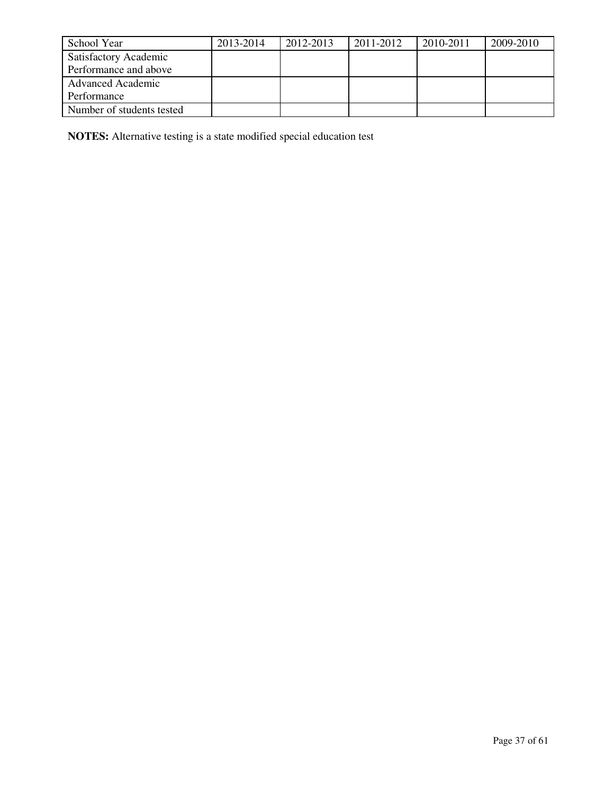| School Year                  | 2013-2014 | 2012-2013 | 2011-2012 | 2010-2011 | 2009-2010 |
|------------------------------|-----------|-----------|-----------|-----------|-----------|
| <b>Satisfactory Academic</b> |           |           |           |           |           |
| Performance and above        |           |           |           |           |           |
| <b>Advanced Academic</b>     |           |           |           |           |           |
| Performance                  |           |           |           |           |           |
| Number of students tested    |           |           |           |           |           |

**NOTES:** Alternative testing is a state modified special education test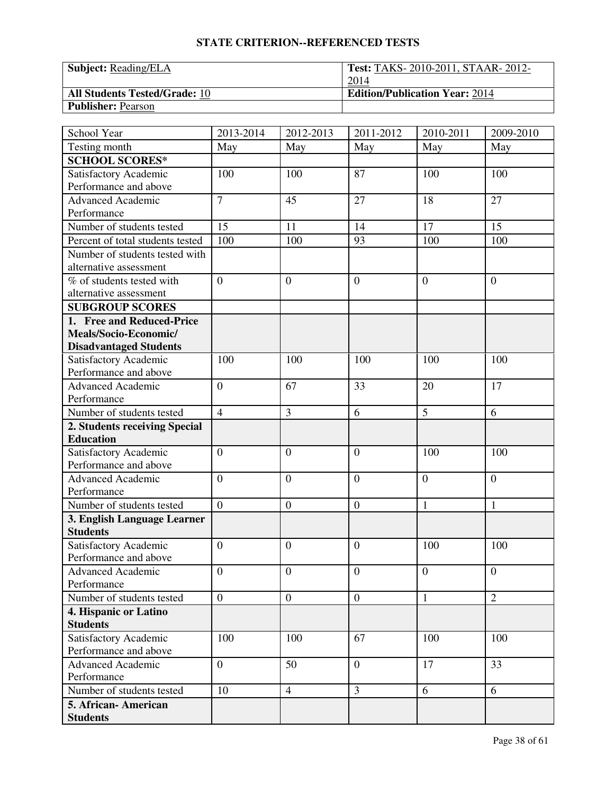| <b>Subject:</b> Reading/ELA          | <b>Test: TAKS-2010-2011, STAAR-2012-</b> |
|--------------------------------------|------------------------------------------|
|                                      | 2014                                     |
| <b>All Students Tested/Grade: 10</b> | <b>Edition/Publication Year: 2014</b>    |
| <b>Publisher: Pearson</b>            |                                          |

| School Year                      | 2013-2014      | 2012-2013        | 2011-2012        | 2010-2011      | 2009-2010      |
|----------------------------------|----------------|------------------|------------------|----------------|----------------|
| Testing month                    | May            | May              | May              | May            | May            |
| <b>SCHOOL SCORES*</b>            |                |                  |                  |                |                |
| Satisfactory Academic            | 100            | 100              | 87               | 100            | 100            |
| Performance and above            |                |                  |                  |                |                |
| <b>Advanced Academic</b>         | $\overline{7}$ | 45               | 27               | 18             | 27             |
| Performance                      |                |                  |                  |                |                |
| Number of students tested        | 15             | 11               | 14               | 17             | 15             |
| Percent of total students tested | 100            | 100              | 93               | 100            | 100            |
| Number of students tested with   |                |                  |                  |                |                |
| alternative assessment           |                |                  |                  |                |                |
| % of students tested with        | $\overline{0}$ | $\overline{0}$   | $\overline{0}$   | $\theta$       | $\overline{0}$ |
| alternative assessment           |                |                  |                  |                |                |
| <b>SUBGROUP SCORES</b>           |                |                  |                  |                |                |
| 1. Free and Reduced-Price        |                |                  |                  |                |                |
| Meals/Socio-Economic/            |                |                  |                  |                |                |
| <b>Disadvantaged Students</b>    |                |                  |                  |                |                |
| Satisfactory Academic            | 100            | 100              | 100              | 100            | 100            |
| Performance and above            |                |                  |                  |                |                |
| Advanced Academic                | $\overline{0}$ | 67               | 33               | 20             | 17             |
| Performance                      |                |                  |                  |                |                |
| Number of students tested        | $\overline{4}$ | 3                | 6                | 5              | 6              |
| 2. Students receiving Special    |                |                  |                  |                |                |
| <b>Education</b>                 |                |                  |                  |                |                |
| Satisfactory Academic            | $\overline{0}$ | $\overline{0}$   | $\overline{0}$   | 100            | 100            |
| Performance and above            |                |                  |                  |                |                |
| <b>Advanced Academic</b>         | $\overline{0}$ | $\overline{0}$   | $\overline{0}$   | $\overline{0}$ | $\overline{0}$ |
| Performance                      |                |                  |                  |                |                |
| Number of students tested        | $\overline{0}$ | $\boldsymbol{0}$ | $\boldsymbol{0}$ | $\mathbf{1}$   | $\mathbf{1}$   |
| 3. English Language Learner      |                |                  |                  |                |                |
| <b>Students</b>                  |                |                  |                  |                |                |
| Satisfactory Academic            | $\overline{0}$ | $\theta$         | $\overline{0}$   | 100            | 100            |
| Performance and above            |                |                  |                  |                |                |
| <b>Advanced Academic</b>         | $\overline{0}$ | $\overline{0}$   | $\mathbf{0}$     | $\overline{0}$ | $\mathbf{0}$   |
| Performance                      |                |                  |                  |                |                |
| Number of students tested        | $\overline{0}$ | $\overline{0}$   | $\boldsymbol{0}$ | $\mathbf{1}$   | $\overline{2}$ |
| 4. Hispanic or Latino            |                |                  |                  |                |                |
| <b>Students</b>                  |                |                  |                  |                |                |
| Satisfactory Academic            | 100            | 100              | 67               | 100            | 100            |
| Performance and above            |                |                  |                  |                |                |
| <b>Advanced Academic</b>         | $\overline{0}$ | 50               | $\overline{0}$   | 17             | 33             |
| Performance                      |                |                  |                  |                |                |
| Number of students tested        | 10             | $\overline{4}$   | 3                | 6              | 6              |
| 5. African- American             |                |                  |                  |                |                |
| <b>Students</b>                  |                |                  |                  |                |                |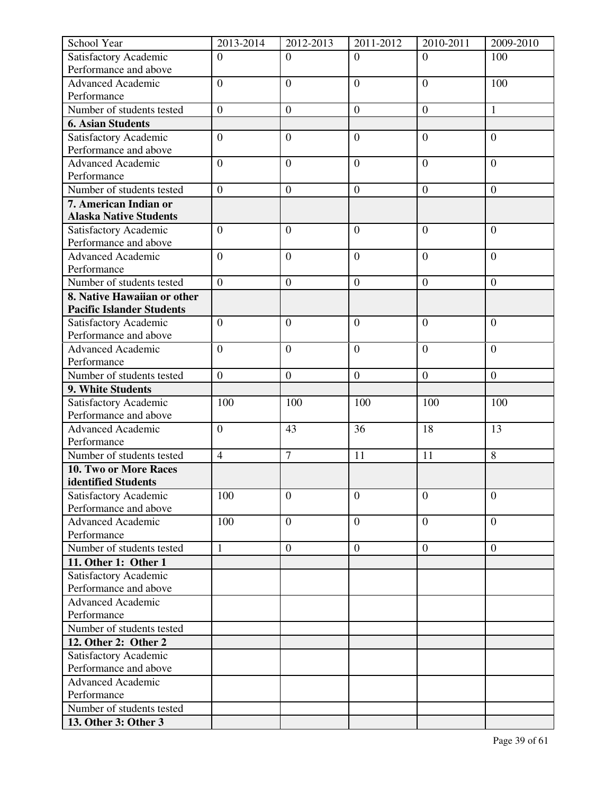| School Year                                       | 2013-2014        | 2012-2013        | 2011-2012        | 2010-2011        | 2009-2010        |
|---------------------------------------------------|------------------|------------------|------------------|------------------|------------------|
| Satisfactory Academic                             | $\overline{0}$   | $\overline{0}$   | $\overline{0}$   | $\Omega$         | 100              |
| Performance and above                             |                  |                  |                  |                  |                  |
| <b>Advanced Academic</b>                          | $\overline{0}$   | $\overline{0}$   | $\overline{0}$   | $\overline{0}$   | 100              |
| Performance                                       |                  |                  |                  |                  |                  |
| Number of students tested                         | $\boldsymbol{0}$ | $\boldsymbol{0}$ | $\boldsymbol{0}$ | $\boldsymbol{0}$ | 1                |
| <b>6. Asian Students</b>                          |                  |                  |                  |                  |                  |
| Satisfactory Academic                             | $\overline{0}$   | $\boldsymbol{0}$ | $\overline{0}$   | $\overline{0}$   | $\overline{0}$   |
| Performance and above                             |                  |                  |                  |                  |                  |
| <b>Advanced Academic</b>                          | $\overline{0}$   | $\overline{0}$   | $\overline{0}$   | $\overline{0}$   | $\overline{0}$   |
| Performance                                       |                  |                  |                  |                  |                  |
| Number of students tested                         | $\boldsymbol{0}$ | $\boldsymbol{0}$ | $\mathbf{0}$     | $\boldsymbol{0}$ | $\overline{0}$   |
| 7. American Indian or                             |                  |                  |                  |                  |                  |
| <b>Alaska Native Students</b>                     |                  |                  |                  |                  |                  |
| Satisfactory Academic                             | $\overline{0}$   | $\overline{0}$   | $\overline{0}$   | $\overline{0}$   | $\overline{0}$   |
| Performance and above                             |                  |                  |                  |                  |                  |
| <b>Advanced Academic</b>                          | $\boldsymbol{0}$ | $\boldsymbol{0}$ | $\overline{0}$   | $\boldsymbol{0}$ | $\boldsymbol{0}$ |
| Performance                                       |                  |                  |                  |                  |                  |
| Number of students tested                         | $\overline{0}$   | $\overline{0}$   | $\overline{0}$   | $\overline{0}$   | $\overline{0}$   |
| 8. Native Hawaiian or other                       |                  |                  |                  |                  |                  |
| <b>Pacific Islander Students</b>                  |                  |                  |                  |                  |                  |
| Satisfactory Academic                             | $\overline{0}$   | $\overline{0}$   | $\overline{0}$   | $\overline{0}$   | $\overline{0}$   |
| Performance and above                             |                  |                  |                  |                  |                  |
| <b>Advanced Academic</b>                          | $\overline{0}$   | $\overline{0}$   | $\overline{0}$   | $\overline{0}$   | $\overline{0}$   |
| Performance                                       |                  |                  |                  |                  |                  |
| Number of students tested                         | $\boldsymbol{0}$ | $\boldsymbol{0}$ | $\boldsymbol{0}$ | $\boldsymbol{0}$ | $\boldsymbol{0}$ |
| 9. White Students                                 |                  |                  |                  |                  |                  |
| Satisfactory Academic                             | 100              | 100              | 100              | 100              | 100              |
| Performance and above<br><b>Advanced Academic</b> | $\boldsymbol{0}$ |                  | 36               | 18               | 13               |
| Performance                                       |                  | 43               |                  |                  |                  |
| Number of students tested                         | $\overline{4}$   | $\overline{7}$   | 11               | 11               | 8                |
| <b>10. Two or More Races</b>                      |                  |                  |                  |                  |                  |
| identified Students                               |                  |                  |                  |                  |                  |
| Satisfactory Academic                             | 100              | $\overline{0}$   | $\overline{0}$   | $\overline{0}$   | $\overline{0}$   |
| Performance and above                             |                  |                  |                  |                  |                  |
| <b>Advanced Academic</b>                          | 100              | $\overline{0}$   | $\overline{0}$   | $\overline{0}$   | $\overline{0}$   |
| Performance                                       |                  |                  |                  |                  |                  |
| Number of students tested                         | $\mathbf{1}$     | $\mathbf{0}$     | $\mathbf{0}$     | $\overline{0}$   | $\boldsymbol{0}$ |
| 11. Other 1: Other 1                              |                  |                  |                  |                  |                  |
| Satisfactory Academic                             |                  |                  |                  |                  |                  |
| Performance and above                             |                  |                  |                  |                  |                  |
| <b>Advanced Academic</b>                          |                  |                  |                  |                  |                  |
| Performance                                       |                  |                  |                  |                  |                  |
| Number of students tested                         |                  |                  |                  |                  |                  |
| 12. Other 2: Other 2                              |                  |                  |                  |                  |                  |
| Satisfactory Academic                             |                  |                  |                  |                  |                  |
| Performance and above                             |                  |                  |                  |                  |                  |
| <b>Advanced Academic</b>                          |                  |                  |                  |                  |                  |
| Performance                                       |                  |                  |                  |                  |                  |
| Number of students tested                         |                  |                  |                  |                  |                  |
| 13. Other 3: Other 3                              |                  |                  |                  |                  |                  |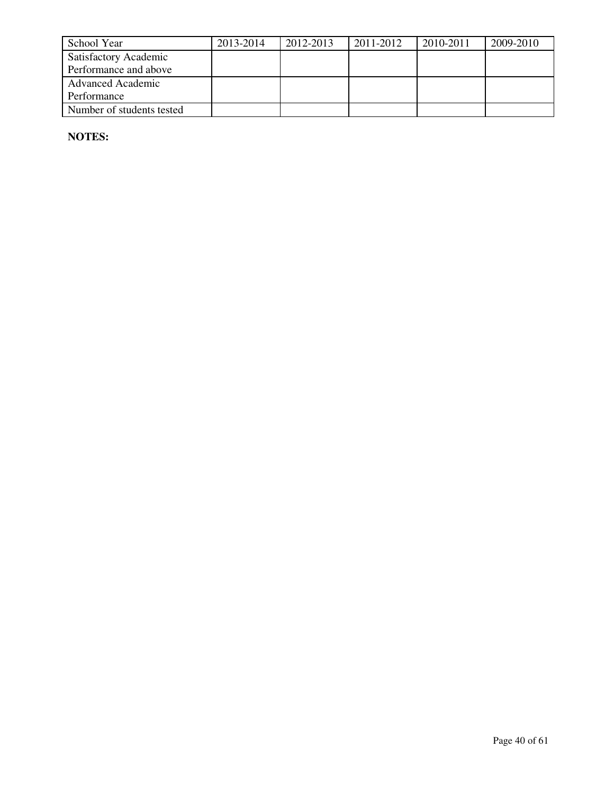| School Year                  | 2013-2014 | 2012-2013 | 2011-2012 | 2010-2011 | 2009-2010 |
|------------------------------|-----------|-----------|-----------|-----------|-----------|
| <b>Satisfactory Academic</b> |           |           |           |           |           |
| Performance and above        |           |           |           |           |           |
| <b>Advanced Academic</b>     |           |           |           |           |           |
| Performance                  |           |           |           |           |           |
| Number of students tested    |           |           |           |           |           |

**NOTES:**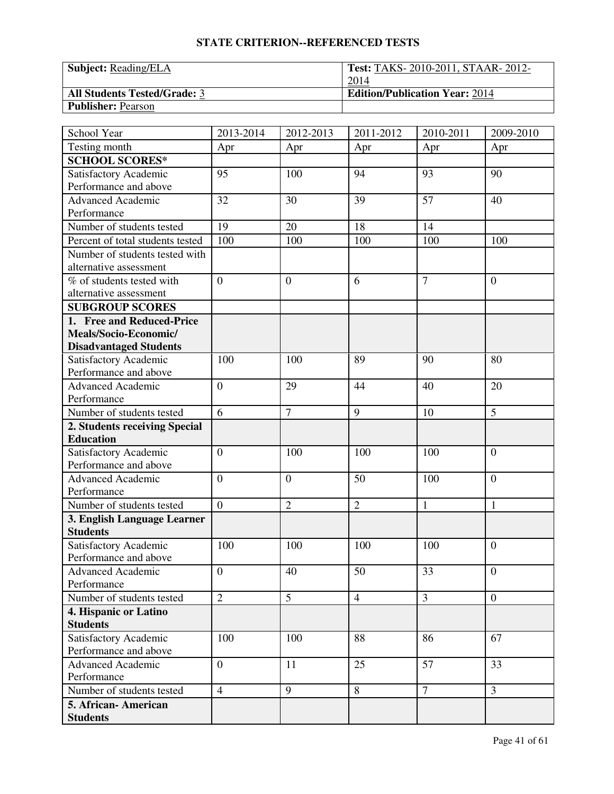| <b>Subject:</b> Reading/ELA         | <b>Test: TAKS-2010-2011, STAAR-2012-</b> |
|-------------------------------------|------------------------------------------|
|                                     | 2014                                     |
| <b>All Students Tested/Grade: 3</b> | <b>Edition/Publication Year: 2014</b>    |
| <b>Publisher: Pearson</b>           |                                          |

| School Year                      | 2013-2014        | 2012-2013      | 2011-2012      | 2010-2011      | 2009-2010      |
|----------------------------------|------------------|----------------|----------------|----------------|----------------|
| Testing month                    | Apr              | Apr            | Apr            | Apr            | Apr            |
| <b>SCHOOL SCORES*</b>            |                  |                |                |                |                |
| Satisfactory Academic            | 95               | 100            | 94             | 93             | 90             |
| Performance and above            |                  |                |                |                |                |
| <b>Advanced Academic</b>         | 32               | 30             | 39             | 57             | 40             |
| Performance                      |                  |                |                |                |                |
| Number of students tested        | 19               | 20             | 18             | 14             |                |
| Percent of total students tested | 100              | 100            | 100            | 100            | 100            |
| Number of students tested with   |                  |                |                |                |                |
| alternative assessment           |                  |                |                |                |                |
| % of students tested with        | $\overline{0}$   | $\overline{0}$ | 6              | $\overline{7}$ | $\overline{0}$ |
| alternative assessment           |                  |                |                |                |                |
| <b>SUBGROUP SCORES</b>           |                  |                |                |                |                |
| 1. Free and Reduced-Price        |                  |                |                |                |                |
| Meals/Socio-Economic/            |                  |                |                |                |                |
| <b>Disadvantaged Students</b>    |                  |                |                |                |                |
| Satisfactory Academic            | 100              | 100            | 89             | 90             | 80             |
| Performance and above            |                  |                |                |                |                |
| Advanced Academic                | $\overline{0}$   | 29             | 44             | 40             | 20             |
| Performance                      |                  |                |                |                |                |
| Number of students tested        | 6                | $\overline{7}$ | 9              | 10             | 5              |
| 2. Students receiving Special    |                  |                |                |                |                |
| <b>Education</b>                 |                  |                |                |                |                |
| Satisfactory Academic            | $\boldsymbol{0}$ | 100            | 100            | 100            | $\overline{0}$ |
| Performance and above            |                  |                |                |                |                |
| <b>Advanced Academic</b>         | $\overline{0}$   | $\overline{0}$ | 50             | 100            | $\overline{0}$ |
| Performance                      |                  |                |                |                |                |
| Number of students tested        | $\overline{0}$   | $\overline{2}$ | $\overline{2}$ | $\mathbf{1}$   | $\mathbf{1}$   |
| 3. English Language Learner      |                  |                |                |                |                |
| <b>Students</b>                  |                  |                |                |                |                |
| Satisfactory Academic            | 100              | 100            | 100            | 100            | $\overline{0}$ |
| Performance and above            |                  |                |                |                |                |
| <b>Advanced Academic</b>         | $\mathbf{0}$     | 40             | 50             | 33             | $\mathbf{0}$   |
| Performance                      |                  |                |                |                |                |
| Number of students tested        | $\overline{2}$   | 5              | $\overline{4}$ | $\overline{3}$ | $\overline{0}$ |
| 4. Hispanic or Latino            |                  |                |                |                |                |
| <b>Students</b>                  |                  |                |                |                |                |
| Satisfactory Academic            | 100              | 100            | 88             | 86             | 67             |
| Performance and above            |                  |                |                |                |                |
| <b>Advanced Academic</b>         | $\overline{0}$   | 11             | 25             | 57             | 33             |
| Performance                      |                  |                |                |                |                |
| Number of students tested        | $\overline{4}$   | 9              | 8              | $\overline{7}$ | $\overline{3}$ |
| 5. African-American              |                  |                |                |                |                |
| <b>Students</b>                  |                  |                |                |                |                |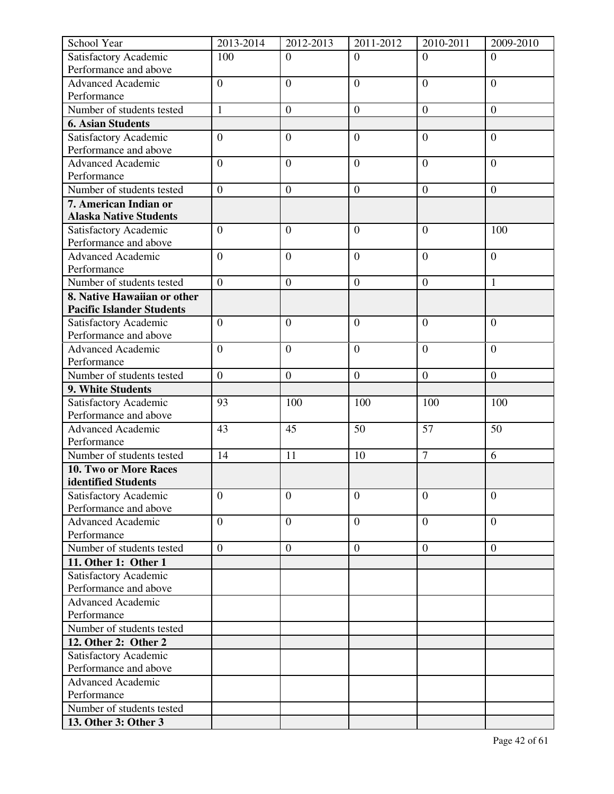| Satisfactory Academic<br>100<br>$\Omega$<br>$\Omega$<br>$\Omega$<br>$\Omega$<br>Performance and above<br>$\overline{0}$<br><b>Advanced Academic</b><br>$\overline{0}$<br>$\overline{0}$<br>$\overline{0}$<br>$\overline{0}$<br>Performance<br>Number of students tested<br>$\mathbf{1}$<br>$\boldsymbol{0}$<br>$\boldsymbol{0}$<br>$\boldsymbol{0}$<br>$\boldsymbol{0}$<br><b>6. Asian Students</b><br>$\boldsymbol{0}$<br>$\overline{0}$<br>$\overline{0}$<br>$\overline{0}$<br>Satisfactory Academic<br>$\overline{0}$<br>Performance and above<br><b>Advanced Academic</b><br>$\overline{0}$<br>$\overline{0}$<br>$\overline{0}$<br>$\overline{0}$<br>$\overline{0}$<br>Performance<br>Number of students tested<br>$\overline{0}$<br>$\boldsymbol{0}$<br>$\mathbf{0}$<br>$\boldsymbol{0}$<br>$\overline{0}$<br>7. American Indian or<br><b>Alaska Native Students</b><br>Satisfactory Academic<br>$\overline{0}$<br>100<br>$\overline{0}$<br>$\overline{0}$<br>$\mathbf{0}$<br>Performance and above<br><b>Advanced Academic</b><br>$\overline{0}$<br>$\overline{0}$<br>$\overline{0}$<br>$\overline{0}$<br>$\overline{0}$<br>Performance<br>$\overline{0}$<br>$\mathbf{0}$<br>$\mathbf{1}$<br>Number of students tested<br>$\overline{0}$<br>$\overline{0}$<br>8. Native Hawaiian or other<br><b>Pacific Islander Students</b><br>Satisfactory Academic<br>$\overline{0}$<br>$\overline{0}$<br>$\overline{0}$<br>$\mathbf{0}$<br>$\mathbf{0}$<br>Performance and above<br>$\overline{0}$<br><b>Advanced Academic</b><br>$\overline{0}$<br>$\overline{0}$<br>$\overline{0}$<br>$\overline{0}$<br>Performance<br>Number of students tested<br>$\boldsymbol{0}$<br>$\boldsymbol{0}$<br>$\boldsymbol{0}$<br>$\boldsymbol{0}$<br>$\overline{0}$<br>9. White Students<br>Satisfactory Academic<br>93<br>100<br>100<br>100<br>100<br>Performance and above<br>50<br>57<br>50<br><b>Advanced Academic</b><br>43<br>45<br>Performance<br>$\overline{7}$<br>Number of students tested<br>14<br>11<br>10<br>6<br>10. Two or More Races<br>identified Students<br>$\overline{0}$<br>Satisfactory Academic<br>$\overline{0}$<br>$\overline{0}$<br>$\overline{0}$<br>$\mathbf{0}$<br>Performance and above<br>$\overline{0}$<br><b>Advanced Academic</b><br>$\overline{0}$<br>$\boldsymbol{0}$<br>$\overline{0}$<br>$\overline{0}$<br>Performance<br>Number of students tested<br>$\overline{0}$<br>$\boldsymbol{0}$<br>$\boldsymbol{0}$<br>$\boldsymbol{0}$<br>$\overline{0}$<br>11. Other 1: Other 1<br>Satisfactory Academic<br>Performance and above<br><b>Advanced Academic</b><br>Performance<br>Number of students tested<br>12. Other 2: Other 2<br>Satisfactory Academic<br>Performance and above<br><b>Advanced Academic</b><br>Performance | School Year | 2013-2014 | 2012-2013 | 2011-2012 | 2010-2011 | 2009-2010 |
|----------------------------------------------------------------------------------------------------------------------------------------------------------------------------------------------------------------------------------------------------------------------------------------------------------------------------------------------------------------------------------------------------------------------------------------------------------------------------------------------------------------------------------------------------------------------------------------------------------------------------------------------------------------------------------------------------------------------------------------------------------------------------------------------------------------------------------------------------------------------------------------------------------------------------------------------------------------------------------------------------------------------------------------------------------------------------------------------------------------------------------------------------------------------------------------------------------------------------------------------------------------------------------------------------------------------------------------------------------------------------------------------------------------------------------------------------------------------------------------------------------------------------------------------------------------------------------------------------------------------------------------------------------------------------------------------------------------------------------------------------------------------------------------------------------------------------------------------------------------------------------------------------------------------------------------------------------------------------------------------------------------------------------------------------------------------------------------------------------------------------------------------------------------------------------------------------------------------------------------------------------------------------------------------------------------------------------------------------------------------------------------------------------------------------------------------------------------------------------------------------------------------------------------------------------------------------------------------------------------------------------------------------------------------------------------------------------------------------------------------|-------------|-----------|-----------|-----------|-----------|-----------|
|                                                                                                                                                                                                                                                                                                                                                                                                                                                                                                                                                                                                                                                                                                                                                                                                                                                                                                                                                                                                                                                                                                                                                                                                                                                                                                                                                                                                                                                                                                                                                                                                                                                                                                                                                                                                                                                                                                                                                                                                                                                                                                                                                                                                                                                                                                                                                                                                                                                                                                                                                                                                                                                                                                                                              |             |           |           |           |           |           |
|                                                                                                                                                                                                                                                                                                                                                                                                                                                                                                                                                                                                                                                                                                                                                                                                                                                                                                                                                                                                                                                                                                                                                                                                                                                                                                                                                                                                                                                                                                                                                                                                                                                                                                                                                                                                                                                                                                                                                                                                                                                                                                                                                                                                                                                                                                                                                                                                                                                                                                                                                                                                                                                                                                                                              |             |           |           |           |           |           |
|                                                                                                                                                                                                                                                                                                                                                                                                                                                                                                                                                                                                                                                                                                                                                                                                                                                                                                                                                                                                                                                                                                                                                                                                                                                                                                                                                                                                                                                                                                                                                                                                                                                                                                                                                                                                                                                                                                                                                                                                                                                                                                                                                                                                                                                                                                                                                                                                                                                                                                                                                                                                                                                                                                                                              |             |           |           |           |           |           |
|                                                                                                                                                                                                                                                                                                                                                                                                                                                                                                                                                                                                                                                                                                                                                                                                                                                                                                                                                                                                                                                                                                                                                                                                                                                                                                                                                                                                                                                                                                                                                                                                                                                                                                                                                                                                                                                                                                                                                                                                                                                                                                                                                                                                                                                                                                                                                                                                                                                                                                                                                                                                                                                                                                                                              |             |           |           |           |           |           |
|                                                                                                                                                                                                                                                                                                                                                                                                                                                                                                                                                                                                                                                                                                                                                                                                                                                                                                                                                                                                                                                                                                                                                                                                                                                                                                                                                                                                                                                                                                                                                                                                                                                                                                                                                                                                                                                                                                                                                                                                                                                                                                                                                                                                                                                                                                                                                                                                                                                                                                                                                                                                                                                                                                                                              |             |           |           |           |           |           |
|                                                                                                                                                                                                                                                                                                                                                                                                                                                                                                                                                                                                                                                                                                                                                                                                                                                                                                                                                                                                                                                                                                                                                                                                                                                                                                                                                                                                                                                                                                                                                                                                                                                                                                                                                                                                                                                                                                                                                                                                                                                                                                                                                                                                                                                                                                                                                                                                                                                                                                                                                                                                                                                                                                                                              |             |           |           |           |           |           |
|                                                                                                                                                                                                                                                                                                                                                                                                                                                                                                                                                                                                                                                                                                                                                                                                                                                                                                                                                                                                                                                                                                                                                                                                                                                                                                                                                                                                                                                                                                                                                                                                                                                                                                                                                                                                                                                                                                                                                                                                                                                                                                                                                                                                                                                                                                                                                                                                                                                                                                                                                                                                                                                                                                                                              |             |           |           |           |           |           |
|                                                                                                                                                                                                                                                                                                                                                                                                                                                                                                                                                                                                                                                                                                                                                                                                                                                                                                                                                                                                                                                                                                                                                                                                                                                                                                                                                                                                                                                                                                                                                                                                                                                                                                                                                                                                                                                                                                                                                                                                                                                                                                                                                                                                                                                                                                                                                                                                                                                                                                                                                                                                                                                                                                                                              |             |           |           |           |           |           |
|                                                                                                                                                                                                                                                                                                                                                                                                                                                                                                                                                                                                                                                                                                                                                                                                                                                                                                                                                                                                                                                                                                                                                                                                                                                                                                                                                                                                                                                                                                                                                                                                                                                                                                                                                                                                                                                                                                                                                                                                                                                                                                                                                                                                                                                                                                                                                                                                                                                                                                                                                                                                                                                                                                                                              |             |           |           |           |           |           |
|                                                                                                                                                                                                                                                                                                                                                                                                                                                                                                                                                                                                                                                                                                                                                                                                                                                                                                                                                                                                                                                                                                                                                                                                                                                                                                                                                                                                                                                                                                                                                                                                                                                                                                                                                                                                                                                                                                                                                                                                                                                                                                                                                                                                                                                                                                                                                                                                                                                                                                                                                                                                                                                                                                                                              |             |           |           |           |           |           |
|                                                                                                                                                                                                                                                                                                                                                                                                                                                                                                                                                                                                                                                                                                                                                                                                                                                                                                                                                                                                                                                                                                                                                                                                                                                                                                                                                                                                                                                                                                                                                                                                                                                                                                                                                                                                                                                                                                                                                                                                                                                                                                                                                                                                                                                                                                                                                                                                                                                                                                                                                                                                                                                                                                                                              |             |           |           |           |           |           |
|                                                                                                                                                                                                                                                                                                                                                                                                                                                                                                                                                                                                                                                                                                                                                                                                                                                                                                                                                                                                                                                                                                                                                                                                                                                                                                                                                                                                                                                                                                                                                                                                                                                                                                                                                                                                                                                                                                                                                                                                                                                                                                                                                                                                                                                                                                                                                                                                                                                                                                                                                                                                                                                                                                                                              |             |           |           |           |           |           |
|                                                                                                                                                                                                                                                                                                                                                                                                                                                                                                                                                                                                                                                                                                                                                                                                                                                                                                                                                                                                                                                                                                                                                                                                                                                                                                                                                                                                                                                                                                                                                                                                                                                                                                                                                                                                                                                                                                                                                                                                                                                                                                                                                                                                                                                                                                                                                                                                                                                                                                                                                                                                                                                                                                                                              |             |           |           |           |           |           |
|                                                                                                                                                                                                                                                                                                                                                                                                                                                                                                                                                                                                                                                                                                                                                                                                                                                                                                                                                                                                                                                                                                                                                                                                                                                                                                                                                                                                                                                                                                                                                                                                                                                                                                                                                                                                                                                                                                                                                                                                                                                                                                                                                                                                                                                                                                                                                                                                                                                                                                                                                                                                                                                                                                                                              |             |           |           |           |           |           |
|                                                                                                                                                                                                                                                                                                                                                                                                                                                                                                                                                                                                                                                                                                                                                                                                                                                                                                                                                                                                                                                                                                                                                                                                                                                                                                                                                                                                                                                                                                                                                                                                                                                                                                                                                                                                                                                                                                                                                                                                                                                                                                                                                                                                                                                                                                                                                                                                                                                                                                                                                                                                                                                                                                                                              |             |           |           |           |           |           |
|                                                                                                                                                                                                                                                                                                                                                                                                                                                                                                                                                                                                                                                                                                                                                                                                                                                                                                                                                                                                                                                                                                                                                                                                                                                                                                                                                                                                                                                                                                                                                                                                                                                                                                                                                                                                                                                                                                                                                                                                                                                                                                                                                                                                                                                                                                                                                                                                                                                                                                                                                                                                                                                                                                                                              |             |           |           |           |           |           |
|                                                                                                                                                                                                                                                                                                                                                                                                                                                                                                                                                                                                                                                                                                                                                                                                                                                                                                                                                                                                                                                                                                                                                                                                                                                                                                                                                                                                                                                                                                                                                                                                                                                                                                                                                                                                                                                                                                                                                                                                                                                                                                                                                                                                                                                                                                                                                                                                                                                                                                                                                                                                                                                                                                                                              |             |           |           |           |           |           |
|                                                                                                                                                                                                                                                                                                                                                                                                                                                                                                                                                                                                                                                                                                                                                                                                                                                                                                                                                                                                                                                                                                                                                                                                                                                                                                                                                                                                                                                                                                                                                                                                                                                                                                                                                                                                                                                                                                                                                                                                                                                                                                                                                                                                                                                                                                                                                                                                                                                                                                                                                                                                                                                                                                                                              |             |           |           |           |           |           |
|                                                                                                                                                                                                                                                                                                                                                                                                                                                                                                                                                                                                                                                                                                                                                                                                                                                                                                                                                                                                                                                                                                                                                                                                                                                                                                                                                                                                                                                                                                                                                                                                                                                                                                                                                                                                                                                                                                                                                                                                                                                                                                                                                                                                                                                                                                                                                                                                                                                                                                                                                                                                                                                                                                                                              |             |           |           |           |           |           |
|                                                                                                                                                                                                                                                                                                                                                                                                                                                                                                                                                                                                                                                                                                                                                                                                                                                                                                                                                                                                                                                                                                                                                                                                                                                                                                                                                                                                                                                                                                                                                                                                                                                                                                                                                                                                                                                                                                                                                                                                                                                                                                                                                                                                                                                                                                                                                                                                                                                                                                                                                                                                                                                                                                                                              |             |           |           |           |           |           |
|                                                                                                                                                                                                                                                                                                                                                                                                                                                                                                                                                                                                                                                                                                                                                                                                                                                                                                                                                                                                                                                                                                                                                                                                                                                                                                                                                                                                                                                                                                                                                                                                                                                                                                                                                                                                                                                                                                                                                                                                                                                                                                                                                                                                                                                                                                                                                                                                                                                                                                                                                                                                                                                                                                                                              |             |           |           |           |           |           |
|                                                                                                                                                                                                                                                                                                                                                                                                                                                                                                                                                                                                                                                                                                                                                                                                                                                                                                                                                                                                                                                                                                                                                                                                                                                                                                                                                                                                                                                                                                                                                                                                                                                                                                                                                                                                                                                                                                                                                                                                                                                                                                                                                                                                                                                                                                                                                                                                                                                                                                                                                                                                                                                                                                                                              |             |           |           |           |           |           |
|                                                                                                                                                                                                                                                                                                                                                                                                                                                                                                                                                                                                                                                                                                                                                                                                                                                                                                                                                                                                                                                                                                                                                                                                                                                                                                                                                                                                                                                                                                                                                                                                                                                                                                                                                                                                                                                                                                                                                                                                                                                                                                                                                                                                                                                                                                                                                                                                                                                                                                                                                                                                                                                                                                                                              |             |           |           |           |           |           |
|                                                                                                                                                                                                                                                                                                                                                                                                                                                                                                                                                                                                                                                                                                                                                                                                                                                                                                                                                                                                                                                                                                                                                                                                                                                                                                                                                                                                                                                                                                                                                                                                                                                                                                                                                                                                                                                                                                                                                                                                                                                                                                                                                                                                                                                                                                                                                                                                                                                                                                                                                                                                                                                                                                                                              |             |           |           |           |           |           |
|                                                                                                                                                                                                                                                                                                                                                                                                                                                                                                                                                                                                                                                                                                                                                                                                                                                                                                                                                                                                                                                                                                                                                                                                                                                                                                                                                                                                                                                                                                                                                                                                                                                                                                                                                                                                                                                                                                                                                                                                                                                                                                                                                                                                                                                                                                                                                                                                                                                                                                                                                                                                                                                                                                                                              |             |           |           |           |           |           |
|                                                                                                                                                                                                                                                                                                                                                                                                                                                                                                                                                                                                                                                                                                                                                                                                                                                                                                                                                                                                                                                                                                                                                                                                                                                                                                                                                                                                                                                                                                                                                                                                                                                                                                                                                                                                                                                                                                                                                                                                                                                                                                                                                                                                                                                                                                                                                                                                                                                                                                                                                                                                                                                                                                                                              |             |           |           |           |           |           |
|                                                                                                                                                                                                                                                                                                                                                                                                                                                                                                                                                                                                                                                                                                                                                                                                                                                                                                                                                                                                                                                                                                                                                                                                                                                                                                                                                                                                                                                                                                                                                                                                                                                                                                                                                                                                                                                                                                                                                                                                                                                                                                                                                                                                                                                                                                                                                                                                                                                                                                                                                                                                                                                                                                                                              |             |           |           |           |           |           |
|                                                                                                                                                                                                                                                                                                                                                                                                                                                                                                                                                                                                                                                                                                                                                                                                                                                                                                                                                                                                                                                                                                                                                                                                                                                                                                                                                                                                                                                                                                                                                                                                                                                                                                                                                                                                                                                                                                                                                                                                                                                                                                                                                                                                                                                                                                                                                                                                                                                                                                                                                                                                                                                                                                                                              |             |           |           |           |           |           |
|                                                                                                                                                                                                                                                                                                                                                                                                                                                                                                                                                                                                                                                                                                                                                                                                                                                                                                                                                                                                                                                                                                                                                                                                                                                                                                                                                                                                                                                                                                                                                                                                                                                                                                                                                                                                                                                                                                                                                                                                                                                                                                                                                                                                                                                                                                                                                                                                                                                                                                                                                                                                                                                                                                                                              |             |           |           |           |           |           |
|                                                                                                                                                                                                                                                                                                                                                                                                                                                                                                                                                                                                                                                                                                                                                                                                                                                                                                                                                                                                                                                                                                                                                                                                                                                                                                                                                                                                                                                                                                                                                                                                                                                                                                                                                                                                                                                                                                                                                                                                                                                                                                                                                                                                                                                                                                                                                                                                                                                                                                                                                                                                                                                                                                                                              |             |           |           |           |           |           |
|                                                                                                                                                                                                                                                                                                                                                                                                                                                                                                                                                                                                                                                                                                                                                                                                                                                                                                                                                                                                                                                                                                                                                                                                                                                                                                                                                                                                                                                                                                                                                                                                                                                                                                                                                                                                                                                                                                                                                                                                                                                                                                                                                                                                                                                                                                                                                                                                                                                                                                                                                                                                                                                                                                                                              |             |           |           |           |           |           |
|                                                                                                                                                                                                                                                                                                                                                                                                                                                                                                                                                                                                                                                                                                                                                                                                                                                                                                                                                                                                                                                                                                                                                                                                                                                                                                                                                                                                                                                                                                                                                                                                                                                                                                                                                                                                                                                                                                                                                                                                                                                                                                                                                                                                                                                                                                                                                                                                                                                                                                                                                                                                                                                                                                                                              |             |           |           |           |           |           |
|                                                                                                                                                                                                                                                                                                                                                                                                                                                                                                                                                                                                                                                                                                                                                                                                                                                                                                                                                                                                                                                                                                                                                                                                                                                                                                                                                                                                                                                                                                                                                                                                                                                                                                                                                                                                                                                                                                                                                                                                                                                                                                                                                                                                                                                                                                                                                                                                                                                                                                                                                                                                                                                                                                                                              |             |           |           |           |           |           |
|                                                                                                                                                                                                                                                                                                                                                                                                                                                                                                                                                                                                                                                                                                                                                                                                                                                                                                                                                                                                                                                                                                                                                                                                                                                                                                                                                                                                                                                                                                                                                                                                                                                                                                                                                                                                                                                                                                                                                                                                                                                                                                                                                                                                                                                                                                                                                                                                                                                                                                                                                                                                                                                                                                                                              |             |           |           |           |           |           |
|                                                                                                                                                                                                                                                                                                                                                                                                                                                                                                                                                                                                                                                                                                                                                                                                                                                                                                                                                                                                                                                                                                                                                                                                                                                                                                                                                                                                                                                                                                                                                                                                                                                                                                                                                                                                                                                                                                                                                                                                                                                                                                                                                                                                                                                                                                                                                                                                                                                                                                                                                                                                                                                                                                                                              |             |           |           |           |           |           |
|                                                                                                                                                                                                                                                                                                                                                                                                                                                                                                                                                                                                                                                                                                                                                                                                                                                                                                                                                                                                                                                                                                                                                                                                                                                                                                                                                                                                                                                                                                                                                                                                                                                                                                                                                                                                                                                                                                                                                                                                                                                                                                                                                                                                                                                                                                                                                                                                                                                                                                                                                                                                                                                                                                                                              |             |           |           |           |           |           |
|                                                                                                                                                                                                                                                                                                                                                                                                                                                                                                                                                                                                                                                                                                                                                                                                                                                                                                                                                                                                                                                                                                                                                                                                                                                                                                                                                                                                                                                                                                                                                                                                                                                                                                                                                                                                                                                                                                                                                                                                                                                                                                                                                                                                                                                                                                                                                                                                                                                                                                                                                                                                                                                                                                                                              |             |           |           |           |           |           |
|                                                                                                                                                                                                                                                                                                                                                                                                                                                                                                                                                                                                                                                                                                                                                                                                                                                                                                                                                                                                                                                                                                                                                                                                                                                                                                                                                                                                                                                                                                                                                                                                                                                                                                                                                                                                                                                                                                                                                                                                                                                                                                                                                                                                                                                                                                                                                                                                                                                                                                                                                                                                                                                                                                                                              |             |           |           |           |           |           |
|                                                                                                                                                                                                                                                                                                                                                                                                                                                                                                                                                                                                                                                                                                                                                                                                                                                                                                                                                                                                                                                                                                                                                                                                                                                                                                                                                                                                                                                                                                                                                                                                                                                                                                                                                                                                                                                                                                                                                                                                                                                                                                                                                                                                                                                                                                                                                                                                                                                                                                                                                                                                                                                                                                                                              |             |           |           |           |           |           |
|                                                                                                                                                                                                                                                                                                                                                                                                                                                                                                                                                                                                                                                                                                                                                                                                                                                                                                                                                                                                                                                                                                                                                                                                                                                                                                                                                                                                                                                                                                                                                                                                                                                                                                                                                                                                                                                                                                                                                                                                                                                                                                                                                                                                                                                                                                                                                                                                                                                                                                                                                                                                                                                                                                                                              |             |           |           |           |           |           |
|                                                                                                                                                                                                                                                                                                                                                                                                                                                                                                                                                                                                                                                                                                                                                                                                                                                                                                                                                                                                                                                                                                                                                                                                                                                                                                                                                                                                                                                                                                                                                                                                                                                                                                                                                                                                                                                                                                                                                                                                                                                                                                                                                                                                                                                                                                                                                                                                                                                                                                                                                                                                                                                                                                                                              |             |           |           |           |           |           |
|                                                                                                                                                                                                                                                                                                                                                                                                                                                                                                                                                                                                                                                                                                                                                                                                                                                                                                                                                                                                                                                                                                                                                                                                                                                                                                                                                                                                                                                                                                                                                                                                                                                                                                                                                                                                                                                                                                                                                                                                                                                                                                                                                                                                                                                                                                                                                                                                                                                                                                                                                                                                                                                                                                                                              |             |           |           |           |           |           |
|                                                                                                                                                                                                                                                                                                                                                                                                                                                                                                                                                                                                                                                                                                                                                                                                                                                                                                                                                                                                                                                                                                                                                                                                                                                                                                                                                                                                                                                                                                                                                                                                                                                                                                                                                                                                                                                                                                                                                                                                                                                                                                                                                                                                                                                                                                                                                                                                                                                                                                                                                                                                                                                                                                                                              |             |           |           |           |           |           |
|                                                                                                                                                                                                                                                                                                                                                                                                                                                                                                                                                                                                                                                                                                                                                                                                                                                                                                                                                                                                                                                                                                                                                                                                                                                                                                                                                                                                                                                                                                                                                                                                                                                                                                                                                                                                                                                                                                                                                                                                                                                                                                                                                                                                                                                                                                                                                                                                                                                                                                                                                                                                                                                                                                                                              |             |           |           |           |           |           |
|                                                                                                                                                                                                                                                                                                                                                                                                                                                                                                                                                                                                                                                                                                                                                                                                                                                                                                                                                                                                                                                                                                                                                                                                                                                                                                                                                                                                                                                                                                                                                                                                                                                                                                                                                                                                                                                                                                                                                                                                                                                                                                                                                                                                                                                                                                                                                                                                                                                                                                                                                                                                                                                                                                                                              |             |           |           |           |           |           |
|                                                                                                                                                                                                                                                                                                                                                                                                                                                                                                                                                                                                                                                                                                                                                                                                                                                                                                                                                                                                                                                                                                                                                                                                                                                                                                                                                                                                                                                                                                                                                                                                                                                                                                                                                                                                                                                                                                                                                                                                                                                                                                                                                                                                                                                                                                                                                                                                                                                                                                                                                                                                                                                                                                                                              |             |           |           |           |           |           |
|                                                                                                                                                                                                                                                                                                                                                                                                                                                                                                                                                                                                                                                                                                                                                                                                                                                                                                                                                                                                                                                                                                                                                                                                                                                                                                                                                                                                                                                                                                                                                                                                                                                                                                                                                                                                                                                                                                                                                                                                                                                                                                                                                                                                                                                                                                                                                                                                                                                                                                                                                                                                                                                                                                                                              |             |           |           |           |           |           |
| Number of students tested                                                                                                                                                                                                                                                                                                                                                                                                                                                                                                                                                                                                                                                                                                                                                                                                                                                                                                                                                                                                                                                                                                                                                                                                                                                                                                                                                                                                                                                                                                                                                                                                                                                                                                                                                                                                                                                                                                                                                                                                                                                                                                                                                                                                                                                                                                                                                                                                                                                                                                                                                                                                                                                                                                                    |             |           |           |           |           |           |
| 13. Other 3: Other 3                                                                                                                                                                                                                                                                                                                                                                                                                                                                                                                                                                                                                                                                                                                                                                                                                                                                                                                                                                                                                                                                                                                                                                                                                                                                                                                                                                                                                                                                                                                                                                                                                                                                                                                                                                                                                                                                                                                                                                                                                                                                                                                                                                                                                                                                                                                                                                                                                                                                                                                                                                                                                                                                                                                         |             |           |           |           |           |           |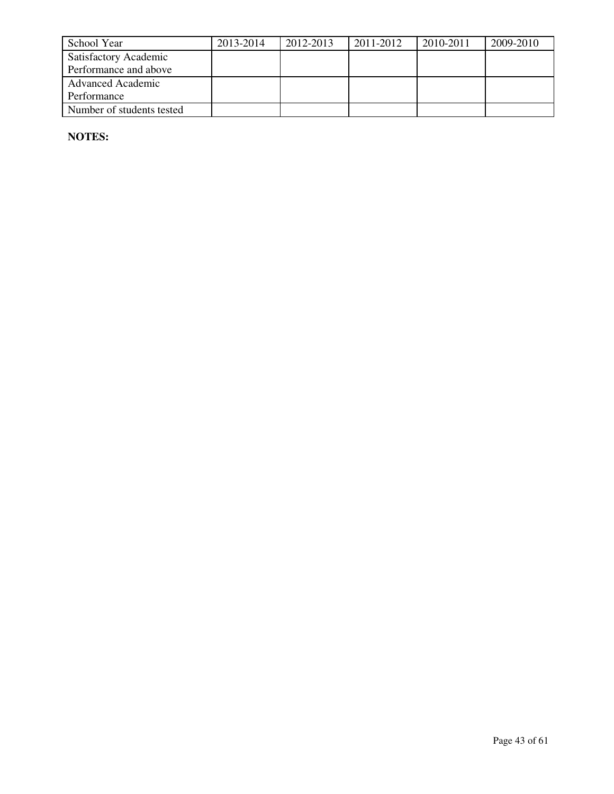| School Year                  | 2013-2014 | 2012-2013 | 2011-2012 | 2010-2011 | 2009-2010 |
|------------------------------|-----------|-----------|-----------|-----------|-----------|
| <b>Satisfactory Academic</b> |           |           |           |           |           |
| Performance and above        |           |           |           |           |           |
| <b>Advanced Academic</b>     |           |           |           |           |           |
| Performance                  |           |           |           |           |           |
| Number of students tested    |           |           |           |           |           |

**NOTES:**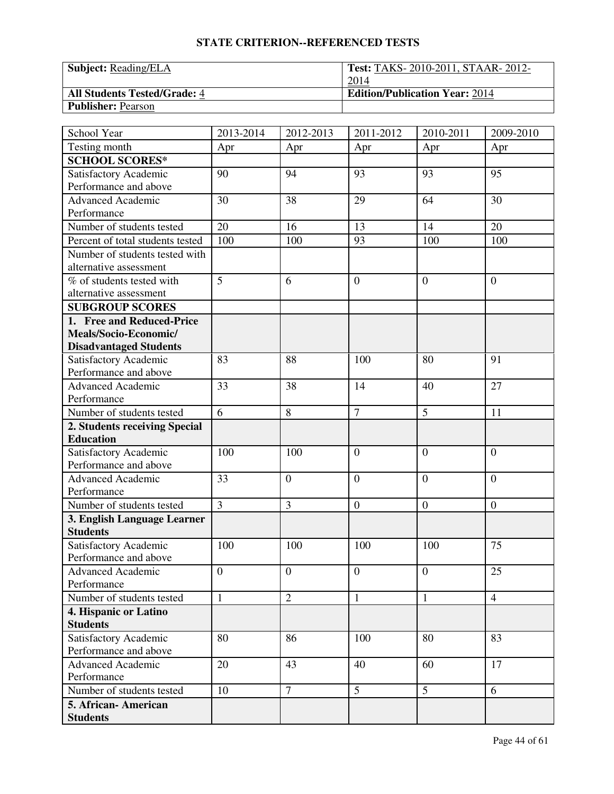| <b>Subject:</b> Reading/ELA         | <b>Test: TAKS-2010-2011, STAAR-2012-</b> |
|-------------------------------------|------------------------------------------|
|                                     | 2014                                     |
| <b>All Students Tested/Grade: 4</b> | <b>Edition/Publication Year: 2014</b>    |
| <b>Publisher: Pearson</b>           |                                          |

| School Year                      | 2013-2014      | 2012-2013      | 2011-2012        | 2010-2011        | 2009-2010        |
|----------------------------------|----------------|----------------|------------------|------------------|------------------|
| Testing month                    | Apr            | Apr            | Apr              | Apr              | Apr              |
| <b>SCHOOL SCORES*</b>            |                |                |                  |                  |                  |
| Satisfactory Academic            | 90             | 94             | 93               | 93               | 95               |
| Performance and above            |                |                |                  |                  |                  |
| <b>Advanced Academic</b>         | 30             | 38             | 29               | 64               | 30               |
| Performance                      |                |                |                  |                  |                  |
| Number of students tested        | 20             | 16             | 13               | 14               | 20               |
| Percent of total students tested | 100            | 100            | 93               | 100              | 100              |
| Number of students tested with   |                |                |                  |                  |                  |
| alternative assessment           |                |                |                  |                  |                  |
| % of students tested with        | $\overline{5}$ | 6              | $\overline{0}$   | $\theta$         | $\overline{0}$   |
| alternative assessment           |                |                |                  |                  |                  |
| <b>SUBGROUP SCORES</b>           |                |                |                  |                  |                  |
| 1. Free and Reduced-Price        |                |                |                  |                  |                  |
| Meals/Socio-Economic/            |                |                |                  |                  |                  |
| <b>Disadvantaged Students</b>    |                |                |                  |                  |                  |
| Satisfactory Academic            | 83             | 88             | 100              | 80               | 91               |
| Performance and above            |                |                |                  |                  |                  |
| Advanced Academic                | 33             | 38             | 14               | 40               | 27               |
| Performance                      |                |                |                  |                  |                  |
| Number of students tested        | 6              | 8              | $\overline{7}$   | 5                | 11               |
| 2. Students receiving Special    |                |                |                  |                  |                  |
| <b>Education</b>                 |                |                |                  |                  |                  |
| Satisfactory Academic            | 100            | 100            | $\overline{0}$   | $\boldsymbol{0}$ | $\overline{0}$   |
| Performance and above            |                |                |                  |                  |                  |
| <b>Advanced Academic</b>         | 33             | $\overline{0}$ | $\overline{0}$   | $\overline{0}$   | $\overline{0}$   |
| Performance                      |                |                |                  |                  |                  |
| Number of students tested        | $\overline{3}$ | 3              | $\boldsymbol{0}$ | $\boldsymbol{0}$ | $\boldsymbol{0}$ |
| 3. English Language Learner      |                |                |                  |                  |                  |
| <b>Students</b>                  |                |                |                  |                  |                  |
| Satisfactory Academic            | 100            | 100            | 100              | 100              | 75               |
| Performance and above            |                |                |                  |                  |                  |
| <b>Advanced Academic</b>         | $\mathbf{0}$   | $\mathbf{0}$   | $\overline{0}$   | $\overline{0}$   | 25               |
| Performance                      |                |                |                  |                  |                  |
| Number of students tested        | $\mathbf{1}$   | $\overline{2}$ | $\mathbf{1}$     | $\mathbf{1}$     | $\overline{4}$   |
| 4. Hispanic or Latino            |                |                |                  |                  |                  |
| <b>Students</b>                  |                |                |                  |                  |                  |
| Satisfactory Academic            | 80             | 86             | 100              | 80               | 83               |
| Performance and above            |                |                |                  |                  |                  |
| <b>Advanced Academic</b>         | 20             | 43             | 40               | 60               | 17               |
| Performance                      |                |                |                  |                  |                  |
| Number of students tested        | 10             | $\tau$         | 5                | 5                | 6                |
| 5. African-American              |                |                |                  |                  |                  |
| <b>Students</b>                  |                |                |                  |                  |                  |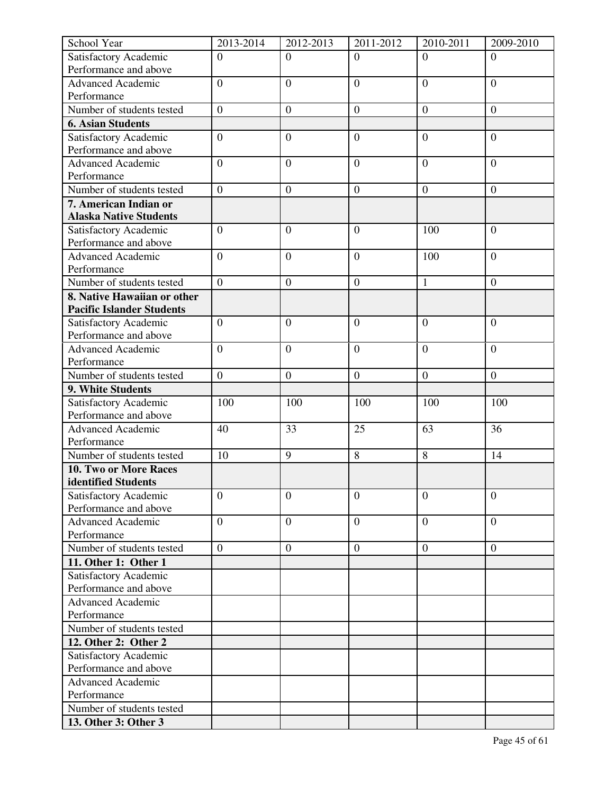| School Year                                       | 2013-2014        | 2012-2013        | 2011-2012        | 2010-2011        | 2009-2010        |
|---------------------------------------------------|------------------|------------------|------------------|------------------|------------------|
| Satisfactory Academic                             | $\overline{0}$   | $\overline{0}$   | $\overline{0}$   | $\Omega$         | $\Omega$         |
| Performance and above                             |                  |                  |                  |                  |                  |
| <b>Advanced Academic</b>                          | $\overline{0}$   | $\overline{0}$   | $\overline{0}$   | $\overline{0}$   | $\overline{0}$   |
| Performance                                       |                  |                  |                  |                  |                  |
| Number of students tested                         | $\boldsymbol{0}$ | $\boldsymbol{0}$ | $\boldsymbol{0}$ | $\boldsymbol{0}$ | $\boldsymbol{0}$ |
| <b>6. Asian Students</b>                          |                  |                  |                  |                  |                  |
| Satisfactory Academic                             | $\overline{0}$   | $\boldsymbol{0}$ | $\overline{0}$   | $\overline{0}$   | $\overline{0}$   |
| Performance and above                             |                  |                  |                  |                  |                  |
| <b>Advanced Academic</b>                          | $\overline{0}$   | $\overline{0}$   | $\overline{0}$   | $\overline{0}$   | $\overline{0}$   |
| Performance                                       |                  |                  |                  |                  |                  |
| Number of students tested                         | $\boldsymbol{0}$ | $\boldsymbol{0}$ | $\mathbf{0}$     | $\boldsymbol{0}$ | $\overline{0}$   |
| 7. American Indian or                             |                  |                  |                  |                  |                  |
| <b>Alaska Native Students</b>                     |                  |                  |                  |                  |                  |
| Satisfactory Academic                             | $\overline{0}$   | $\overline{0}$   | $\overline{0}$   | 100              | $\overline{0}$   |
| Performance and above                             |                  |                  |                  |                  |                  |
| <b>Advanced Academic</b>                          | $\boldsymbol{0}$ | $\mathbf{0}$     | $\overline{0}$   | 100              | $\overline{0}$   |
| Performance                                       |                  |                  |                  |                  |                  |
| Number of students tested                         | $\overline{0}$   | $\overline{0}$   | $\overline{0}$   | $\mathbf{1}$     | $\overline{0}$   |
| 8. Native Hawaiian or other                       |                  |                  |                  |                  |                  |
| <b>Pacific Islander Students</b>                  |                  |                  |                  |                  |                  |
| Satisfactory Academic                             | $\overline{0}$   | $\overline{0}$   | $\overline{0}$   | $\overline{0}$   | $\overline{0}$   |
| Performance and above                             |                  |                  |                  |                  |                  |
| <b>Advanced Academic</b>                          | $\overline{0}$   | $\overline{0}$   | $\overline{0}$   | $\overline{0}$   | $\overline{0}$   |
| Performance                                       |                  |                  |                  |                  |                  |
| Number of students tested                         | $\boldsymbol{0}$ | $\boldsymbol{0}$ | $\boldsymbol{0}$ | $\boldsymbol{0}$ | $\boldsymbol{0}$ |
| 9. White Students                                 |                  |                  |                  |                  |                  |
| Satisfactory Academic                             | 100              | 100              | 100              | 100              | 100              |
| Performance and above<br><b>Advanced Academic</b> |                  | 33               | 25               | 63               | 36               |
| Performance                                       | 40               |                  |                  |                  |                  |
| Number of students tested                         | 10               | 9                | 8                | 8                | 14               |
| 10. Two or More Races                             |                  |                  |                  |                  |                  |
| identified Students                               |                  |                  |                  |                  |                  |
| Satisfactory Academic                             | $\overline{0}$   | $\overline{0}$   | $\overline{0}$   | $\overline{0}$   | $\overline{0}$   |
| Performance and above                             |                  |                  |                  |                  |                  |
| <b>Advanced Academic</b>                          | $\overline{0}$   | $\overline{0}$   | $\overline{0}$   | $\overline{0}$   | $\Omega$         |
| Performance                                       |                  |                  |                  |                  |                  |
| Number of students tested                         | $\overline{0}$   | $\mathbf{0}$     | $\mathbf{0}$     | $\overline{0}$   | $\boldsymbol{0}$ |
| 11. Other 1: Other 1                              |                  |                  |                  |                  |                  |
| Satisfactory Academic                             |                  |                  |                  |                  |                  |
| Performance and above                             |                  |                  |                  |                  |                  |
| <b>Advanced Academic</b>                          |                  |                  |                  |                  |                  |
| Performance                                       |                  |                  |                  |                  |                  |
| Number of students tested                         |                  |                  |                  |                  |                  |
| 12. Other 2: Other 2                              |                  |                  |                  |                  |                  |
| Satisfactory Academic                             |                  |                  |                  |                  |                  |
| Performance and above                             |                  |                  |                  |                  |                  |
| <b>Advanced Academic</b>                          |                  |                  |                  |                  |                  |
| Performance                                       |                  |                  |                  |                  |                  |
| Number of students tested                         |                  |                  |                  |                  |                  |
| 13. Other 3: Other 3                              |                  |                  |                  |                  |                  |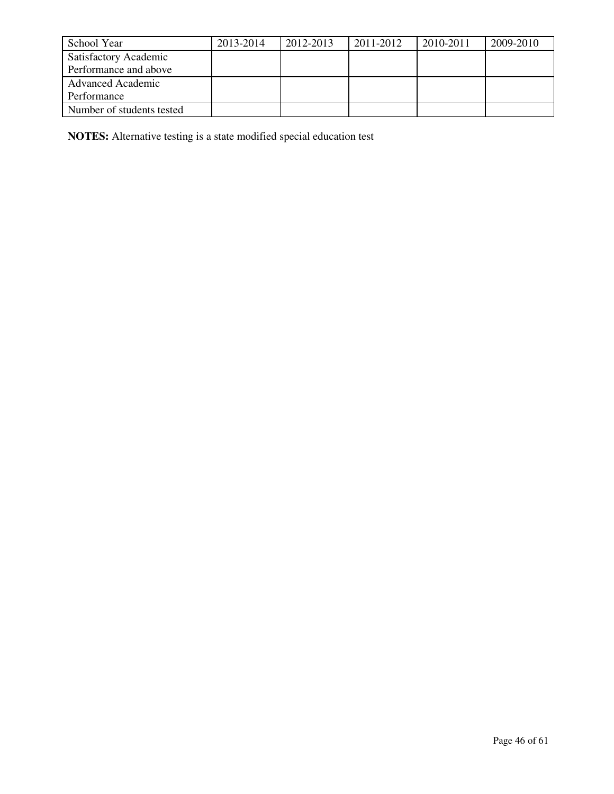| School Year                  | 2013-2014 | 2012-2013 | 2011-2012 | 2010-2011 | 2009-2010 |
|------------------------------|-----------|-----------|-----------|-----------|-----------|
| <b>Satisfactory Academic</b> |           |           |           |           |           |
| Performance and above        |           |           |           |           |           |
| <b>Advanced Academic</b>     |           |           |           |           |           |
| Performance                  |           |           |           |           |           |
| Number of students tested    |           |           |           |           |           |

**NOTES:** Alternative testing is a state modified special education test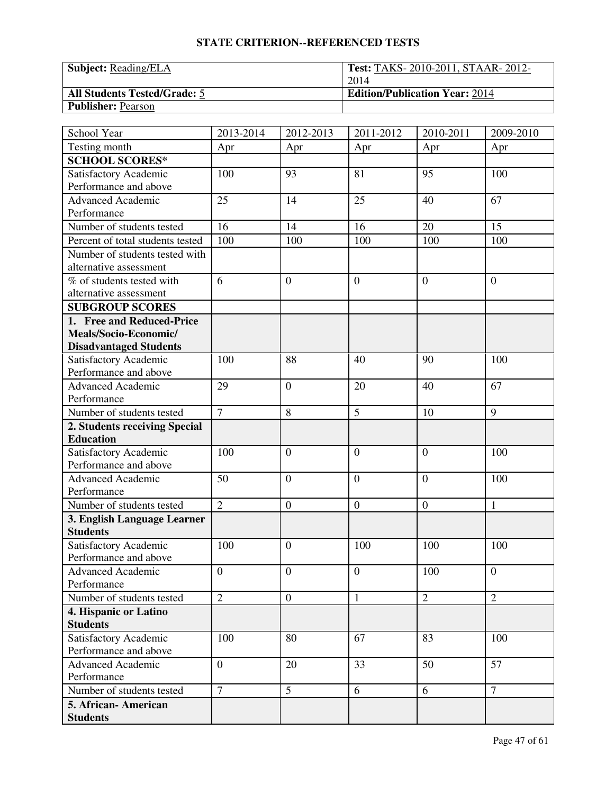| <b>Subject:</b> Reading/ELA         | <b>Test: TAKS-2010-2011, STAAR-2012-</b> |
|-------------------------------------|------------------------------------------|
|                                     | 2014                                     |
| <b>All Students Tested/Grade: 5</b> | <b>Edition/Publication Year: 2014</b>    |
| <b>Publisher: Pearson</b>           |                                          |

| School Year                             | 2013-2014        | 2012-2013        | 2011-2012      | 2010-2011      | 2009-2010      |
|-----------------------------------------|------------------|------------------|----------------|----------------|----------------|
| Testing month                           | Apr              | Apr              | Apr            | Apr            | Apr            |
| <b>SCHOOL SCORES*</b>                   |                  |                  |                |                |                |
| Satisfactory Academic                   | 100              | 93               | 81             | 95             | 100            |
| Performance and above                   |                  |                  |                |                |                |
| <b>Advanced Academic</b>                | 25               | 14               | 25             | 40             | 67             |
| Performance                             |                  |                  |                |                |                |
| Number of students tested               | 16               | 14               | 16             | 20             | 15             |
| Percent of total students tested        | 100              | 100              | 100            | 100            | 100            |
| Number of students tested with          |                  |                  |                |                |                |
| alternative assessment                  |                  |                  |                |                |                |
| $\overline{\%}$ of students tested with | 6                | $\overline{0}$   | $\overline{0}$ | $\theta$       | $\overline{0}$ |
| alternative assessment                  |                  |                  |                |                |                |
| <b>SUBGROUP SCORES</b>                  |                  |                  |                |                |                |
| 1. Free and Reduced-Price               |                  |                  |                |                |                |
| Meals/Socio-Economic/                   |                  |                  |                |                |                |
| <b>Disadvantaged Students</b>           |                  |                  |                |                |                |
| Satisfactory Academic                   | 100              | 88               | 40             | 90             | 100            |
| Performance and above                   |                  |                  |                |                |                |
| <b>Advanced Academic</b>                | 29               | $\mathbf{0}$     | 20             | 40             | 67             |
| Performance                             |                  |                  |                |                |                |
| Number of students tested               | $\overline{7}$   | 8                | 5              | 10             | 9              |
| 2. Students receiving Special           |                  |                  |                |                |                |
| <b>Education</b>                        |                  |                  |                |                |                |
| Satisfactory Academic                   | 100              | $\theta$         | $\overline{0}$ | $\theta$       | 100            |
| Performance and above                   |                  |                  |                |                |                |
| <b>Advanced Academic</b>                | 50               | $\overline{0}$   | $\overline{0}$ | $\theta$       | 100            |
| Performance                             |                  |                  |                |                |                |
| Number of students tested               | $\overline{2}$   | $\boldsymbol{0}$ | $\mathbf{0}$   | $\overline{0}$ | $\mathbf{1}$   |
| 3. English Language Learner             |                  |                  |                |                |                |
| <b>Students</b>                         |                  |                  |                |                |                |
| Satisfactory Academic                   | 100              | $\theta$         | 100            | 100            | 100            |
| Performance and above                   |                  |                  |                |                |                |
| Advanced Academic                       | $\boldsymbol{0}$ | $\boldsymbol{0}$ | $\overline{0}$ | 100            | $\overline{0}$ |
| Performance                             |                  |                  |                |                |                |
| Number of students tested               | $\overline{2}$   | $\overline{0}$   | $\mathbf{1}$   | $\overline{2}$ | $\overline{2}$ |
| 4. Hispanic or Latino                   |                  |                  |                |                |                |
| <b>Students</b>                         |                  |                  |                |                |                |
| Satisfactory Academic                   | 100              | 80               | 67             | 83             | 100            |
| Performance and above                   |                  |                  |                |                |                |
| <b>Advanced Academic</b>                | $\overline{0}$   | 20               | 33             | 50             | 57             |
| Performance                             |                  |                  |                |                |                |
| Number of students tested               | $\overline{7}$   | $\overline{5}$   | 6              | 6              | $\overline{7}$ |
| 5. African-American                     |                  |                  |                |                |                |
| <b>Students</b>                         |                  |                  |                |                |                |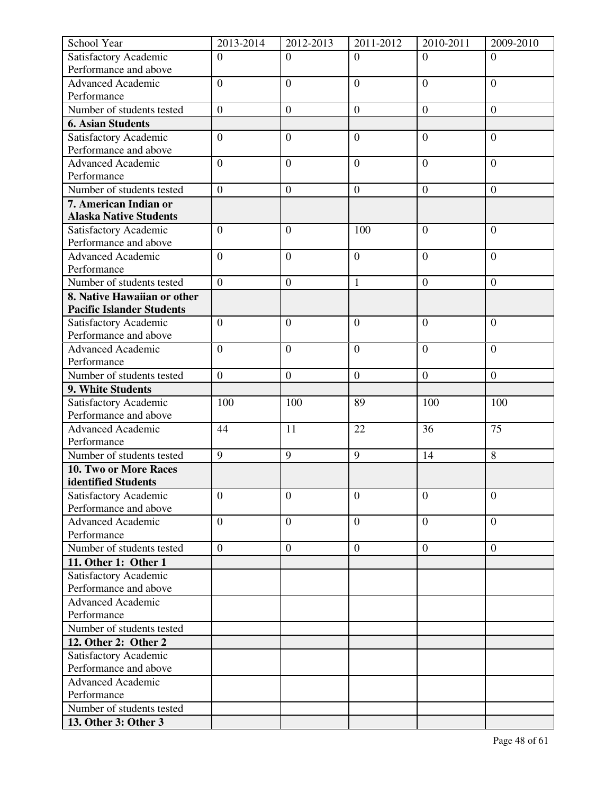| Satisfactory Academic<br>$\overline{0}$<br>$\Omega$<br>$\Omega$<br>$\Omega$<br>$\Omega$<br>Performance and above<br>$\overline{0}$<br><b>Advanced Academic</b><br>$\overline{0}$<br>$\overline{0}$<br>$\overline{0}$<br>$\overline{0}$<br>Performance<br>Number of students tested<br>$\overline{0}$<br>$\boldsymbol{0}$<br>$\boldsymbol{0}$<br>$\boldsymbol{0}$<br>$\boldsymbol{0}$<br><b>6. Asian Students</b><br>$\boldsymbol{0}$<br>$\overline{0}$<br>$\overline{0}$<br>Satisfactory Academic<br>$\overline{0}$<br>$\overline{0}$<br>Performance and above<br><b>Advanced Academic</b><br>$\overline{0}$<br>$\overline{0}$<br>$\overline{0}$<br>$\overline{0}$<br>$\overline{0}$<br>Performance<br>Number of students tested<br>$\overline{0}$<br>$\boldsymbol{0}$<br>$\mathbf{0}$<br>$\boldsymbol{0}$<br>$\overline{0}$<br>7. American Indian or<br><b>Alaska Native Students</b><br>Satisfactory Academic<br>$\overline{0}$<br>$\overline{0}$<br>$\overline{0}$<br>100<br>$\overline{0}$<br>Performance and above<br><b>Advanced Academic</b><br>$\overline{0}$<br>$\overline{0}$<br>$\overline{0}$<br>$\overline{0}$<br>$\overline{0}$<br>Performance<br>$\overline{0}$<br>Number of students tested<br>$\overline{0}$<br>$\mathbf{1}$<br>$\overline{0}$<br>$\boldsymbol{0}$<br>8. Native Hawaiian or other<br><b>Pacific Islander Students</b><br>Satisfactory Academic<br>$\overline{0}$<br>$\overline{0}$<br>$\overline{0}$<br>$\overline{0}$<br>$\overline{0}$<br>Performance and above<br>$\overline{0}$<br><b>Advanced Academic</b><br>$\overline{0}$<br>$\overline{0}$<br>$\overline{0}$<br>$\overline{0}$<br>Performance<br>Number of students tested<br>$\boldsymbol{0}$<br>$\boldsymbol{0}$<br>$\boldsymbol{0}$<br>$\boldsymbol{0}$<br>$\overline{0}$<br>9. White Students<br>Satisfactory Academic<br>100<br>100<br>89<br>100<br>100<br>Performance and above<br>75<br><b>Advanced Academic</b><br>44<br>11<br>22<br>36<br>Performance<br>$\overline{9}$<br>Number of students tested<br>9<br>9<br>14<br>8<br>10. Two or More Races<br>identified Students<br>$\overline{0}$<br>Satisfactory Academic<br>$\overline{0}$<br>$\overline{0}$<br>$\overline{0}$<br>$\overline{0}$<br>Performance and above<br>$\overline{0}$<br><b>Advanced Academic</b><br>$\overline{0}$<br>$\boldsymbol{0}$<br>$\overline{0}$<br>$\overline{0}$<br>Performance<br>Number of students tested<br>$\overline{0}$<br>$\boldsymbol{0}$<br>$\boldsymbol{0}$<br>$\boldsymbol{0}$<br>$\overline{0}$<br>11. Other 1: Other 1<br>Satisfactory Academic<br>Performance and above<br><b>Advanced Academic</b><br>Performance<br>Number of students tested<br>12. Other 2: Other 2<br>Satisfactory Academic<br>Performance and above<br><b>Advanced Academic</b><br>Performance<br>Number of students tested | School Year          | 2013-2014 | 2012-2013 | 2011-2012 | 2010-2011 | 2009-2010 |
|--------------------------------------------------------------------------------------------------------------------------------------------------------------------------------------------------------------------------------------------------------------------------------------------------------------------------------------------------------------------------------------------------------------------------------------------------------------------------------------------------------------------------------------------------------------------------------------------------------------------------------------------------------------------------------------------------------------------------------------------------------------------------------------------------------------------------------------------------------------------------------------------------------------------------------------------------------------------------------------------------------------------------------------------------------------------------------------------------------------------------------------------------------------------------------------------------------------------------------------------------------------------------------------------------------------------------------------------------------------------------------------------------------------------------------------------------------------------------------------------------------------------------------------------------------------------------------------------------------------------------------------------------------------------------------------------------------------------------------------------------------------------------------------------------------------------------------------------------------------------------------------------------------------------------------------------------------------------------------------------------------------------------------------------------------------------------------------------------------------------------------------------------------------------------------------------------------------------------------------------------------------------------------------------------------------------------------------------------------------------------------------------------------------------------------------------------------------------------------------------------------------------------------------------------------------------------------------------------------------------------------------------------------------------------------------------------------------------------------------------------------------------------------------------------|----------------------|-----------|-----------|-----------|-----------|-----------|
|                                                                                                                                                                                                                                                                                                                                                                                                                                                                                                                                                                                                                                                                                                                                                                                                                                                                                                                                                                                                                                                                                                                                                                                                                                                                                                                                                                                                                                                                                                                                                                                                                                                                                                                                                                                                                                                                                                                                                                                                                                                                                                                                                                                                                                                                                                                                                                                                                                                                                                                                                                                                                                                                                                                                                                                                  |                      |           |           |           |           |           |
|                                                                                                                                                                                                                                                                                                                                                                                                                                                                                                                                                                                                                                                                                                                                                                                                                                                                                                                                                                                                                                                                                                                                                                                                                                                                                                                                                                                                                                                                                                                                                                                                                                                                                                                                                                                                                                                                                                                                                                                                                                                                                                                                                                                                                                                                                                                                                                                                                                                                                                                                                                                                                                                                                                                                                                                                  |                      |           |           |           |           |           |
|                                                                                                                                                                                                                                                                                                                                                                                                                                                                                                                                                                                                                                                                                                                                                                                                                                                                                                                                                                                                                                                                                                                                                                                                                                                                                                                                                                                                                                                                                                                                                                                                                                                                                                                                                                                                                                                                                                                                                                                                                                                                                                                                                                                                                                                                                                                                                                                                                                                                                                                                                                                                                                                                                                                                                                                                  |                      |           |           |           |           |           |
|                                                                                                                                                                                                                                                                                                                                                                                                                                                                                                                                                                                                                                                                                                                                                                                                                                                                                                                                                                                                                                                                                                                                                                                                                                                                                                                                                                                                                                                                                                                                                                                                                                                                                                                                                                                                                                                                                                                                                                                                                                                                                                                                                                                                                                                                                                                                                                                                                                                                                                                                                                                                                                                                                                                                                                                                  |                      |           |           |           |           |           |
|                                                                                                                                                                                                                                                                                                                                                                                                                                                                                                                                                                                                                                                                                                                                                                                                                                                                                                                                                                                                                                                                                                                                                                                                                                                                                                                                                                                                                                                                                                                                                                                                                                                                                                                                                                                                                                                                                                                                                                                                                                                                                                                                                                                                                                                                                                                                                                                                                                                                                                                                                                                                                                                                                                                                                                                                  |                      |           |           |           |           |           |
|                                                                                                                                                                                                                                                                                                                                                                                                                                                                                                                                                                                                                                                                                                                                                                                                                                                                                                                                                                                                                                                                                                                                                                                                                                                                                                                                                                                                                                                                                                                                                                                                                                                                                                                                                                                                                                                                                                                                                                                                                                                                                                                                                                                                                                                                                                                                                                                                                                                                                                                                                                                                                                                                                                                                                                                                  |                      |           |           |           |           |           |
|                                                                                                                                                                                                                                                                                                                                                                                                                                                                                                                                                                                                                                                                                                                                                                                                                                                                                                                                                                                                                                                                                                                                                                                                                                                                                                                                                                                                                                                                                                                                                                                                                                                                                                                                                                                                                                                                                                                                                                                                                                                                                                                                                                                                                                                                                                                                                                                                                                                                                                                                                                                                                                                                                                                                                                                                  |                      |           |           |           |           |           |
|                                                                                                                                                                                                                                                                                                                                                                                                                                                                                                                                                                                                                                                                                                                                                                                                                                                                                                                                                                                                                                                                                                                                                                                                                                                                                                                                                                                                                                                                                                                                                                                                                                                                                                                                                                                                                                                                                                                                                                                                                                                                                                                                                                                                                                                                                                                                                                                                                                                                                                                                                                                                                                                                                                                                                                                                  |                      |           |           |           |           |           |
|                                                                                                                                                                                                                                                                                                                                                                                                                                                                                                                                                                                                                                                                                                                                                                                                                                                                                                                                                                                                                                                                                                                                                                                                                                                                                                                                                                                                                                                                                                                                                                                                                                                                                                                                                                                                                                                                                                                                                                                                                                                                                                                                                                                                                                                                                                                                                                                                                                                                                                                                                                                                                                                                                                                                                                                                  |                      |           |           |           |           |           |
|                                                                                                                                                                                                                                                                                                                                                                                                                                                                                                                                                                                                                                                                                                                                                                                                                                                                                                                                                                                                                                                                                                                                                                                                                                                                                                                                                                                                                                                                                                                                                                                                                                                                                                                                                                                                                                                                                                                                                                                                                                                                                                                                                                                                                                                                                                                                                                                                                                                                                                                                                                                                                                                                                                                                                                                                  |                      |           |           |           |           |           |
|                                                                                                                                                                                                                                                                                                                                                                                                                                                                                                                                                                                                                                                                                                                                                                                                                                                                                                                                                                                                                                                                                                                                                                                                                                                                                                                                                                                                                                                                                                                                                                                                                                                                                                                                                                                                                                                                                                                                                                                                                                                                                                                                                                                                                                                                                                                                                                                                                                                                                                                                                                                                                                                                                                                                                                                                  |                      |           |           |           |           |           |
|                                                                                                                                                                                                                                                                                                                                                                                                                                                                                                                                                                                                                                                                                                                                                                                                                                                                                                                                                                                                                                                                                                                                                                                                                                                                                                                                                                                                                                                                                                                                                                                                                                                                                                                                                                                                                                                                                                                                                                                                                                                                                                                                                                                                                                                                                                                                                                                                                                                                                                                                                                                                                                                                                                                                                                                                  |                      |           |           |           |           |           |
|                                                                                                                                                                                                                                                                                                                                                                                                                                                                                                                                                                                                                                                                                                                                                                                                                                                                                                                                                                                                                                                                                                                                                                                                                                                                                                                                                                                                                                                                                                                                                                                                                                                                                                                                                                                                                                                                                                                                                                                                                                                                                                                                                                                                                                                                                                                                                                                                                                                                                                                                                                                                                                                                                                                                                                                                  |                      |           |           |           |           |           |
|                                                                                                                                                                                                                                                                                                                                                                                                                                                                                                                                                                                                                                                                                                                                                                                                                                                                                                                                                                                                                                                                                                                                                                                                                                                                                                                                                                                                                                                                                                                                                                                                                                                                                                                                                                                                                                                                                                                                                                                                                                                                                                                                                                                                                                                                                                                                                                                                                                                                                                                                                                                                                                                                                                                                                                                                  |                      |           |           |           |           |           |
|                                                                                                                                                                                                                                                                                                                                                                                                                                                                                                                                                                                                                                                                                                                                                                                                                                                                                                                                                                                                                                                                                                                                                                                                                                                                                                                                                                                                                                                                                                                                                                                                                                                                                                                                                                                                                                                                                                                                                                                                                                                                                                                                                                                                                                                                                                                                                                                                                                                                                                                                                                                                                                                                                                                                                                                                  |                      |           |           |           |           |           |
|                                                                                                                                                                                                                                                                                                                                                                                                                                                                                                                                                                                                                                                                                                                                                                                                                                                                                                                                                                                                                                                                                                                                                                                                                                                                                                                                                                                                                                                                                                                                                                                                                                                                                                                                                                                                                                                                                                                                                                                                                                                                                                                                                                                                                                                                                                                                                                                                                                                                                                                                                                                                                                                                                                                                                                                                  |                      |           |           |           |           |           |
|                                                                                                                                                                                                                                                                                                                                                                                                                                                                                                                                                                                                                                                                                                                                                                                                                                                                                                                                                                                                                                                                                                                                                                                                                                                                                                                                                                                                                                                                                                                                                                                                                                                                                                                                                                                                                                                                                                                                                                                                                                                                                                                                                                                                                                                                                                                                                                                                                                                                                                                                                                                                                                                                                                                                                                                                  |                      |           |           |           |           |           |
|                                                                                                                                                                                                                                                                                                                                                                                                                                                                                                                                                                                                                                                                                                                                                                                                                                                                                                                                                                                                                                                                                                                                                                                                                                                                                                                                                                                                                                                                                                                                                                                                                                                                                                                                                                                                                                                                                                                                                                                                                                                                                                                                                                                                                                                                                                                                                                                                                                                                                                                                                                                                                                                                                                                                                                                                  |                      |           |           |           |           |           |
|                                                                                                                                                                                                                                                                                                                                                                                                                                                                                                                                                                                                                                                                                                                                                                                                                                                                                                                                                                                                                                                                                                                                                                                                                                                                                                                                                                                                                                                                                                                                                                                                                                                                                                                                                                                                                                                                                                                                                                                                                                                                                                                                                                                                                                                                                                                                                                                                                                                                                                                                                                                                                                                                                                                                                                                                  |                      |           |           |           |           |           |
|                                                                                                                                                                                                                                                                                                                                                                                                                                                                                                                                                                                                                                                                                                                                                                                                                                                                                                                                                                                                                                                                                                                                                                                                                                                                                                                                                                                                                                                                                                                                                                                                                                                                                                                                                                                                                                                                                                                                                                                                                                                                                                                                                                                                                                                                                                                                                                                                                                                                                                                                                                                                                                                                                                                                                                                                  |                      |           |           |           |           |           |
|                                                                                                                                                                                                                                                                                                                                                                                                                                                                                                                                                                                                                                                                                                                                                                                                                                                                                                                                                                                                                                                                                                                                                                                                                                                                                                                                                                                                                                                                                                                                                                                                                                                                                                                                                                                                                                                                                                                                                                                                                                                                                                                                                                                                                                                                                                                                                                                                                                                                                                                                                                                                                                                                                                                                                                                                  |                      |           |           |           |           |           |
|                                                                                                                                                                                                                                                                                                                                                                                                                                                                                                                                                                                                                                                                                                                                                                                                                                                                                                                                                                                                                                                                                                                                                                                                                                                                                                                                                                                                                                                                                                                                                                                                                                                                                                                                                                                                                                                                                                                                                                                                                                                                                                                                                                                                                                                                                                                                                                                                                                                                                                                                                                                                                                                                                                                                                                                                  |                      |           |           |           |           |           |
|                                                                                                                                                                                                                                                                                                                                                                                                                                                                                                                                                                                                                                                                                                                                                                                                                                                                                                                                                                                                                                                                                                                                                                                                                                                                                                                                                                                                                                                                                                                                                                                                                                                                                                                                                                                                                                                                                                                                                                                                                                                                                                                                                                                                                                                                                                                                                                                                                                                                                                                                                                                                                                                                                                                                                                                                  |                      |           |           |           |           |           |
|                                                                                                                                                                                                                                                                                                                                                                                                                                                                                                                                                                                                                                                                                                                                                                                                                                                                                                                                                                                                                                                                                                                                                                                                                                                                                                                                                                                                                                                                                                                                                                                                                                                                                                                                                                                                                                                                                                                                                                                                                                                                                                                                                                                                                                                                                                                                                                                                                                                                                                                                                                                                                                                                                                                                                                                                  |                      |           |           |           |           |           |
|                                                                                                                                                                                                                                                                                                                                                                                                                                                                                                                                                                                                                                                                                                                                                                                                                                                                                                                                                                                                                                                                                                                                                                                                                                                                                                                                                                                                                                                                                                                                                                                                                                                                                                                                                                                                                                                                                                                                                                                                                                                                                                                                                                                                                                                                                                                                                                                                                                                                                                                                                                                                                                                                                                                                                                                                  |                      |           |           |           |           |           |
|                                                                                                                                                                                                                                                                                                                                                                                                                                                                                                                                                                                                                                                                                                                                                                                                                                                                                                                                                                                                                                                                                                                                                                                                                                                                                                                                                                                                                                                                                                                                                                                                                                                                                                                                                                                                                                                                                                                                                                                                                                                                                                                                                                                                                                                                                                                                                                                                                                                                                                                                                                                                                                                                                                                                                                                                  |                      |           |           |           |           |           |
|                                                                                                                                                                                                                                                                                                                                                                                                                                                                                                                                                                                                                                                                                                                                                                                                                                                                                                                                                                                                                                                                                                                                                                                                                                                                                                                                                                                                                                                                                                                                                                                                                                                                                                                                                                                                                                                                                                                                                                                                                                                                                                                                                                                                                                                                                                                                                                                                                                                                                                                                                                                                                                                                                                                                                                                                  |                      |           |           |           |           |           |
|                                                                                                                                                                                                                                                                                                                                                                                                                                                                                                                                                                                                                                                                                                                                                                                                                                                                                                                                                                                                                                                                                                                                                                                                                                                                                                                                                                                                                                                                                                                                                                                                                                                                                                                                                                                                                                                                                                                                                                                                                                                                                                                                                                                                                                                                                                                                                                                                                                                                                                                                                                                                                                                                                                                                                                                                  |                      |           |           |           |           |           |
|                                                                                                                                                                                                                                                                                                                                                                                                                                                                                                                                                                                                                                                                                                                                                                                                                                                                                                                                                                                                                                                                                                                                                                                                                                                                                                                                                                                                                                                                                                                                                                                                                                                                                                                                                                                                                                                                                                                                                                                                                                                                                                                                                                                                                                                                                                                                                                                                                                                                                                                                                                                                                                                                                                                                                                                                  |                      |           |           |           |           |           |
|                                                                                                                                                                                                                                                                                                                                                                                                                                                                                                                                                                                                                                                                                                                                                                                                                                                                                                                                                                                                                                                                                                                                                                                                                                                                                                                                                                                                                                                                                                                                                                                                                                                                                                                                                                                                                                                                                                                                                                                                                                                                                                                                                                                                                                                                                                                                                                                                                                                                                                                                                                                                                                                                                                                                                                                                  |                      |           |           |           |           |           |
|                                                                                                                                                                                                                                                                                                                                                                                                                                                                                                                                                                                                                                                                                                                                                                                                                                                                                                                                                                                                                                                                                                                                                                                                                                                                                                                                                                                                                                                                                                                                                                                                                                                                                                                                                                                                                                                                                                                                                                                                                                                                                                                                                                                                                                                                                                                                                                                                                                                                                                                                                                                                                                                                                                                                                                                                  |                      |           |           |           |           |           |
|                                                                                                                                                                                                                                                                                                                                                                                                                                                                                                                                                                                                                                                                                                                                                                                                                                                                                                                                                                                                                                                                                                                                                                                                                                                                                                                                                                                                                                                                                                                                                                                                                                                                                                                                                                                                                                                                                                                                                                                                                                                                                                                                                                                                                                                                                                                                                                                                                                                                                                                                                                                                                                                                                                                                                                                                  |                      |           |           |           |           |           |
|                                                                                                                                                                                                                                                                                                                                                                                                                                                                                                                                                                                                                                                                                                                                                                                                                                                                                                                                                                                                                                                                                                                                                                                                                                                                                                                                                                                                                                                                                                                                                                                                                                                                                                                                                                                                                                                                                                                                                                                                                                                                                                                                                                                                                                                                                                                                                                                                                                                                                                                                                                                                                                                                                                                                                                                                  |                      |           |           |           |           |           |
|                                                                                                                                                                                                                                                                                                                                                                                                                                                                                                                                                                                                                                                                                                                                                                                                                                                                                                                                                                                                                                                                                                                                                                                                                                                                                                                                                                                                                                                                                                                                                                                                                                                                                                                                                                                                                                                                                                                                                                                                                                                                                                                                                                                                                                                                                                                                                                                                                                                                                                                                                                                                                                                                                                                                                                                                  |                      |           |           |           |           |           |
|                                                                                                                                                                                                                                                                                                                                                                                                                                                                                                                                                                                                                                                                                                                                                                                                                                                                                                                                                                                                                                                                                                                                                                                                                                                                                                                                                                                                                                                                                                                                                                                                                                                                                                                                                                                                                                                                                                                                                                                                                                                                                                                                                                                                                                                                                                                                                                                                                                                                                                                                                                                                                                                                                                                                                                                                  |                      |           |           |           |           |           |
|                                                                                                                                                                                                                                                                                                                                                                                                                                                                                                                                                                                                                                                                                                                                                                                                                                                                                                                                                                                                                                                                                                                                                                                                                                                                                                                                                                                                                                                                                                                                                                                                                                                                                                                                                                                                                                                                                                                                                                                                                                                                                                                                                                                                                                                                                                                                                                                                                                                                                                                                                                                                                                                                                                                                                                                                  |                      |           |           |           |           |           |
|                                                                                                                                                                                                                                                                                                                                                                                                                                                                                                                                                                                                                                                                                                                                                                                                                                                                                                                                                                                                                                                                                                                                                                                                                                                                                                                                                                                                                                                                                                                                                                                                                                                                                                                                                                                                                                                                                                                                                                                                                                                                                                                                                                                                                                                                                                                                                                                                                                                                                                                                                                                                                                                                                                                                                                                                  |                      |           |           |           |           |           |
|                                                                                                                                                                                                                                                                                                                                                                                                                                                                                                                                                                                                                                                                                                                                                                                                                                                                                                                                                                                                                                                                                                                                                                                                                                                                                                                                                                                                                                                                                                                                                                                                                                                                                                                                                                                                                                                                                                                                                                                                                                                                                                                                                                                                                                                                                                                                                                                                                                                                                                                                                                                                                                                                                                                                                                                                  |                      |           |           |           |           |           |
|                                                                                                                                                                                                                                                                                                                                                                                                                                                                                                                                                                                                                                                                                                                                                                                                                                                                                                                                                                                                                                                                                                                                                                                                                                                                                                                                                                                                                                                                                                                                                                                                                                                                                                                                                                                                                                                                                                                                                                                                                                                                                                                                                                                                                                                                                                                                                                                                                                                                                                                                                                                                                                                                                                                                                                                                  |                      |           |           |           |           |           |
|                                                                                                                                                                                                                                                                                                                                                                                                                                                                                                                                                                                                                                                                                                                                                                                                                                                                                                                                                                                                                                                                                                                                                                                                                                                                                                                                                                                                                                                                                                                                                                                                                                                                                                                                                                                                                                                                                                                                                                                                                                                                                                                                                                                                                                                                                                                                                                                                                                                                                                                                                                                                                                                                                                                                                                                                  |                      |           |           |           |           |           |
|                                                                                                                                                                                                                                                                                                                                                                                                                                                                                                                                                                                                                                                                                                                                                                                                                                                                                                                                                                                                                                                                                                                                                                                                                                                                                                                                                                                                                                                                                                                                                                                                                                                                                                                                                                                                                                                                                                                                                                                                                                                                                                                                                                                                                                                                                                                                                                                                                                                                                                                                                                                                                                                                                                                                                                                                  |                      |           |           |           |           |           |
|                                                                                                                                                                                                                                                                                                                                                                                                                                                                                                                                                                                                                                                                                                                                                                                                                                                                                                                                                                                                                                                                                                                                                                                                                                                                                                                                                                                                                                                                                                                                                                                                                                                                                                                                                                                                                                                                                                                                                                                                                                                                                                                                                                                                                                                                                                                                                                                                                                                                                                                                                                                                                                                                                                                                                                                                  |                      |           |           |           |           |           |
|                                                                                                                                                                                                                                                                                                                                                                                                                                                                                                                                                                                                                                                                                                                                                                                                                                                                                                                                                                                                                                                                                                                                                                                                                                                                                                                                                                                                                                                                                                                                                                                                                                                                                                                                                                                                                                                                                                                                                                                                                                                                                                                                                                                                                                                                                                                                                                                                                                                                                                                                                                                                                                                                                                                                                                                                  |                      |           |           |           |           |           |
|                                                                                                                                                                                                                                                                                                                                                                                                                                                                                                                                                                                                                                                                                                                                                                                                                                                                                                                                                                                                                                                                                                                                                                                                                                                                                                                                                                                                                                                                                                                                                                                                                                                                                                                                                                                                                                                                                                                                                                                                                                                                                                                                                                                                                                                                                                                                                                                                                                                                                                                                                                                                                                                                                                                                                                                                  |                      |           |           |           |           |           |
|                                                                                                                                                                                                                                                                                                                                                                                                                                                                                                                                                                                                                                                                                                                                                                                                                                                                                                                                                                                                                                                                                                                                                                                                                                                                                                                                                                                                                                                                                                                                                                                                                                                                                                                                                                                                                                                                                                                                                                                                                                                                                                                                                                                                                                                                                                                                                                                                                                                                                                                                                                                                                                                                                                                                                                                                  |                      |           |           |           |           |           |
|                                                                                                                                                                                                                                                                                                                                                                                                                                                                                                                                                                                                                                                                                                                                                                                                                                                                                                                                                                                                                                                                                                                                                                                                                                                                                                                                                                                                                                                                                                                                                                                                                                                                                                                                                                                                                                                                                                                                                                                                                                                                                                                                                                                                                                                                                                                                                                                                                                                                                                                                                                                                                                                                                                                                                                                                  |                      |           |           |           |           |           |
|                                                                                                                                                                                                                                                                                                                                                                                                                                                                                                                                                                                                                                                                                                                                                                                                                                                                                                                                                                                                                                                                                                                                                                                                                                                                                                                                                                                                                                                                                                                                                                                                                                                                                                                                                                                                                                                                                                                                                                                                                                                                                                                                                                                                                                                                                                                                                                                                                                                                                                                                                                                                                                                                                                                                                                                                  |                      |           |           |           |           |           |
|                                                                                                                                                                                                                                                                                                                                                                                                                                                                                                                                                                                                                                                                                                                                                                                                                                                                                                                                                                                                                                                                                                                                                                                                                                                                                                                                                                                                                                                                                                                                                                                                                                                                                                                                                                                                                                                                                                                                                                                                                                                                                                                                                                                                                                                                                                                                                                                                                                                                                                                                                                                                                                                                                                                                                                                                  |                      |           |           |           |           |           |
|                                                                                                                                                                                                                                                                                                                                                                                                                                                                                                                                                                                                                                                                                                                                                                                                                                                                                                                                                                                                                                                                                                                                                                                                                                                                                                                                                                                                                                                                                                                                                                                                                                                                                                                                                                                                                                                                                                                                                                                                                                                                                                                                                                                                                                                                                                                                                                                                                                                                                                                                                                                                                                                                                                                                                                                                  |                      |           |           |           |           |           |
|                                                                                                                                                                                                                                                                                                                                                                                                                                                                                                                                                                                                                                                                                                                                                                                                                                                                                                                                                                                                                                                                                                                                                                                                                                                                                                                                                                                                                                                                                                                                                                                                                                                                                                                                                                                                                                                                                                                                                                                                                                                                                                                                                                                                                                                                                                                                                                                                                                                                                                                                                                                                                                                                                                                                                                                                  | 13. Other 3: Other 3 |           |           |           |           |           |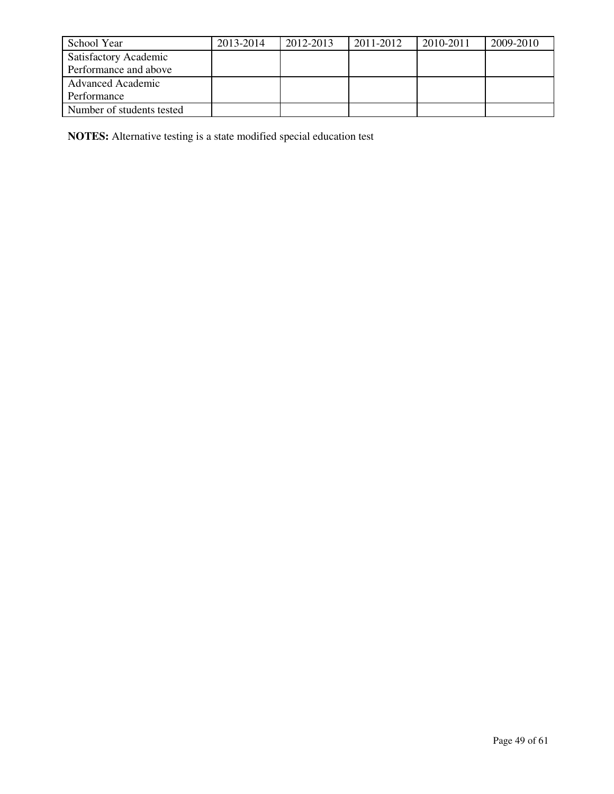| School Year                  | 2013-2014 | 2012-2013 | 2011-2012 | 2010-2011 | 2009-2010 |
|------------------------------|-----------|-----------|-----------|-----------|-----------|
| <b>Satisfactory Academic</b> |           |           |           |           |           |
| Performance and above        |           |           |           |           |           |
| <b>Advanced Academic</b>     |           |           |           |           |           |
| Performance                  |           |           |           |           |           |
| Number of students tested    |           |           |           |           |           |

**NOTES:** Alternative testing is a state modified special education test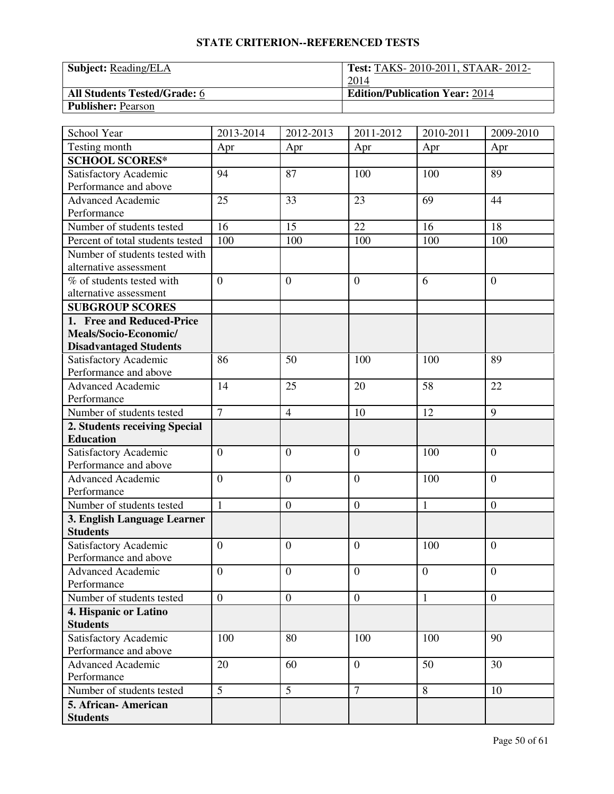| <b>Subject:</b> Reading/ELA         | <b>Test: TAKS-2010-2011, STAAR-2012-</b> |
|-------------------------------------|------------------------------------------|
|                                     | 2014                                     |
| <b>All Students Tested/Grade: 6</b> | <b>Edition/Publication Year: 2014</b>    |
| <b>Publisher: Pearson</b>           |                                          |

| School Year                      | 2013-2014        | 2012-2013        | 2011-2012        | 2010-2011      | 2009-2010        |
|----------------------------------|------------------|------------------|------------------|----------------|------------------|
| Testing month                    | Apr              | Apr              | Apr              | Apr            | Apr              |
| <b>SCHOOL SCORES*</b>            |                  |                  |                  |                |                  |
| Satisfactory Academic            | 94               | 87               | 100              | 100            | 89               |
| Performance and above            |                  |                  |                  |                |                  |
| <b>Advanced Academic</b>         | 25               | 33               | 23               | 69             | 44               |
| Performance                      |                  |                  |                  |                |                  |
| Number of students tested        | 16               | 15               | 22               | 16             | 18               |
| Percent of total students tested | 100              | 100              | 100              | 100            | 100              |
| Number of students tested with   |                  |                  |                  |                |                  |
| alternative assessment           |                  |                  |                  |                |                  |
| % of students tested with        | $\overline{0}$   | $\overline{0}$   | $\overline{0}$   | 6              | $\overline{0}$   |
| alternative assessment           |                  |                  |                  |                |                  |
| <b>SUBGROUP SCORES</b>           |                  |                  |                  |                |                  |
| 1. Free and Reduced-Price        |                  |                  |                  |                |                  |
| Meals/Socio-Economic/            |                  |                  |                  |                |                  |
| <b>Disadvantaged Students</b>    |                  |                  |                  |                |                  |
| Satisfactory Academic            | 86               | 50               | 100              | 100            | 89               |
| Performance and above            |                  |                  |                  |                |                  |
| Advanced Academic                | 14               | 25               | 20               | 58             | 22               |
| Performance                      |                  |                  |                  |                |                  |
| Number of students tested        | $\overline{7}$   | $\overline{4}$   | 10               | 12             | 9                |
| 2. Students receiving Special    |                  |                  |                  |                |                  |
| <b>Education</b>                 |                  |                  |                  |                |                  |
| Satisfactory Academic            | $\boldsymbol{0}$ | $\theta$         | $\overline{0}$   | 100            | $\overline{0}$   |
| Performance and above            |                  |                  |                  |                |                  |
| <b>Advanced Academic</b>         | $\overline{0}$   | $\overline{0}$   | $\overline{0}$   | 100            | $\overline{0}$   |
| Performance                      |                  |                  |                  |                |                  |
| Number of students tested        | $\mathbf{1}$     | $\boldsymbol{0}$ | $\boldsymbol{0}$ | 1              | $\boldsymbol{0}$ |
| 3. English Language Learner      |                  |                  |                  |                |                  |
| <b>Students</b>                  |                  |                  |                  |                |                  |
| Satisfactory Academic            | $\overline{0}$   | $\overline{0}$   | $\overline{0}$   | 100            | $\overline{0}$   |
| Performance and above            |                  |                  |                  |                |                  |
| <b>Advanced Academic</b>         | $\overline{0}$   | $\mathbf{0}$     | $\overline{0}$   | $\overline{0}$ | $\mathbf{0}$     |
| Performance                      |                  |                  |                  |                |                  |
| Number of students tested        | $\overline{0}$   | $\mathbf{0}$     | $\boldsymbol{0}$ | $\mathbf{1}$   | $\overline{0}$   |
| 4. Hispanic or Latino            |                  |                  |                  |                |                  |
| <b>Students</b>                  |                  |                  |                  |                |                  |
| Satisfactory Academic            | 100              | 80               | 100              | 100            | 90               |
| Performance and above            |                  |                  |                  |                |                  |
| <b>Advanced Academic</b>         | 20               | 60               | $\boldsymbol{0}$ | 50             | 30               |
| Performance                      |                  |                  |                  |                |                  |
| Number of students tested        | $\overline{5}$   | $\overline{5}$   | $\overline{7}$   | 8              | 10               |
| 5. African-American              |                  |                  |                  |                |                  |
| <b>Students</b>                  |                  |                  |                  |                |                  |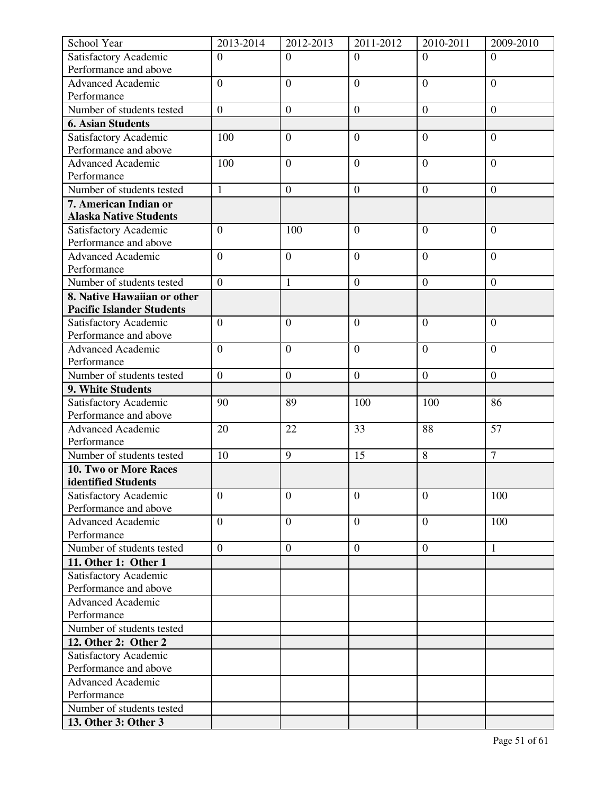| School Year                                                     | 2013-2014        | 2012-2013        | 2011-2012        | 2010-2011        | 2009-2010        |
|-----------------------------------------------------------------|------------------|------------------|------------------|------------------|------------------|
| Satisfactory Academic                                           | $\overline{0}$   | $\Omega$         | $\Omega$         | $\Omega$         | $\Omega$         |
| Performance and above                                           |                  |                  |                  |                  |                  |
| <b>Advanced Academic</b>                                        | $\overline{0}$   | $\overline{0}$   | $\overline{0}$   | $\overline{0}$   | $\overline{0}$   |
| Performance                                                     |                  |                  |                  |                  |                  |
| Number of students tested                                       | $\overline{0}$   | $\boldsymbol{0}$ | $\boldsymbol{0}$ | $\boldsymbol{0}$ | $\boldsymbol{0}$ |
| <b>6. Asian Students</b>                                        |                  |                  |                  |                  |                  |
| Satisfactory Academic                                           | 100              | $\overline{0}$   | $\overline{0}$   | $\overline{0}$   | $\overline{0}$   |
| Performance and above                                           |                  |                  |                  |                  |                  |
| <b>Advanced Academic</b>                                        | 100              | $\overline{0}$   | $\overline{0}$   | $\overline{0}$   | $\overline{0}$   |
| Performance                                                     |                  |                  |                  |                  |                  |
| Number of students tested                                       | $\mathbf{1}$     | $\boldsymbol{0}$ | $\mathbf{0}$     | $\boldsymbol{0}$ | $\overline{0}$   |
| 7. American Indian or                                           |                  |                  |                  |                  |                  |
| <b>Alaska Native Students</b>                                   |                  |                  |                  |                  |                  |
| Satisfactory Academic                                           | $\overline{0}$   | 100              | $\overline{0}$   | $\overline{0}$   | $\overline{0}$   |
| Performance and above                                           |                  |                  |                  |                  |                  |
| <b>Advanced Academic</b>                                        | $\overline{0}$   | $\overline{0}$   | $\overline{0}$   | $\overline{0}$   | $\overline{0}$   |
| Performance<br>Number of students tested                        | $\overline{0}$   |                  |                  |                  |                  |
|                                                                 |                  | $\mathbf{1}$     | $\overline{0}$   | $\overline{0}$   | $\boldsymbol{0}$ |
| 8. Native Hawaiian or other<br><b>Pacific Islander Students</b> |                  |                  |                  |                  |                  |
| Satisfactory Academic                                           | $\overline{0}$   | $\overline{0}$   | $\overline{0}$   | $\overline{0}$   | $\overline{0}$   |
| Performance and above                                           |                  |                  |                  |                  |                  |
| <b>Advanced Academic</b>                                        | $\overline{0}$   | $\overline{0}$   | $\overline{0}$   | $\overline{0}$   | $\overline{0}$   |
| Performance                                                     |                  |                  |                  |                  |                  |
| Number of students tested                                       | $\boldsymbol{0}$ | $\mathbf{0}$     | $\boldsymbol{0}$ | $\boldsymbol{0}$ | $\overline{0}$   |
| 9. White Students                                               |                  |                  |                  |                  |                  |
| Satisfactory Academic                                           | 90               | 89               | 100              | 100              | 86               |
| Performance and above                                           |                  |                  |                  |                  |                  |
| <b>Advanced Academic</b>                                        | 20               | 22               | 33               | 88               | 57               |
| Performance                                                     |                  |                  |                  |                  |                  |
| Number of students tested                                       | 10               | 9                | 15               | 8                | $\overline{7}$   |
| 10. Two or More Races                                           |                  |                  |                  |                  |                  |
| identified Students                                             |                  |                  |                  |                  |                  |
| Satisfactory Academic                                           | $\overline{0}$   | $\overline{0}$   | $\overline{0}$   | $\overline{0}$   | 100              |
| Performance and above                                           |                  |                  |                  |                  |                  |
| <b>Advanced Academic</b>                                        | $\overline{0}$   | $\mathbf{0}$     | $\overline{0}$   | $\overline{0}$   | 100              |
| Performance                                                     |                  |                  |                  |                  |                  |
| Number of students tested                                       | $\overline{0}$   | $\boldsymbol{0}$ | $\boldsymbol{0}$ | $\boldsymbol{0}$ | $\mathbf{1}$     |
| 11. Other 1: Other 1                                            |                  |                  |                  |                  |                  |
| Satisfactory Academic                                           |                  |                  |                  |                  |                  |
| Performance and above                                           |                  |                  |                  |                  |                  |
| Advanced Academic                                               |                  |                  |                  |                  |                  |
| Performance                                                     |                  |                  |                  |                  |                  |
| Number of students tested                                       |                  |                  |                  |                  |                  |
| 12. Other 2: Other 2                                            |                  |                  |                  |                  |                  |
| Satisfactory Academic                                           |                  |                  |                  |                  |                  |
| Performance and above                                           |                  |                  |                  |                  |                  |
| <b>Advanced Academic</b>                                        |                  |                  |                  |                  |                  |
| Performance                                                     |                  |                  |                  |                  |                  |
| Number of students tested                                       |                  |                  |                  |                  |                  |
| 13. Other 3: Other 3                                            |                  |                  |                  |                  |                  |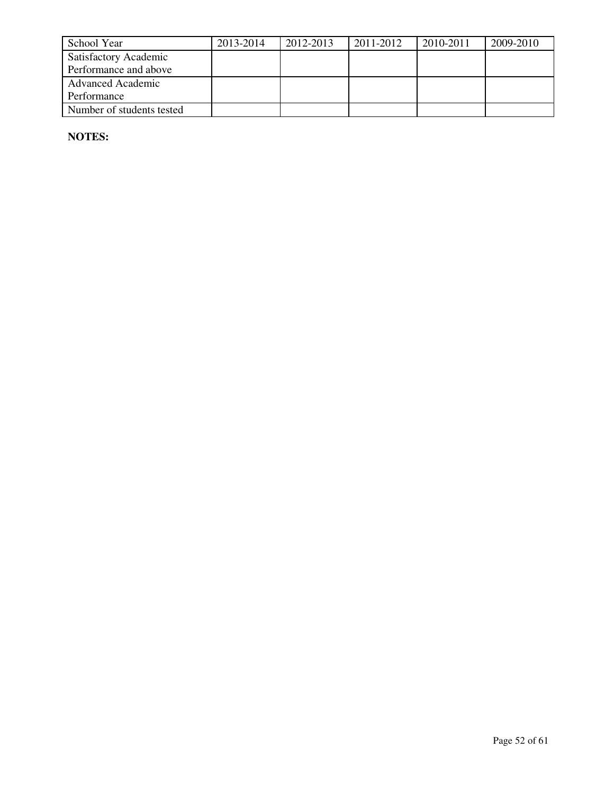| School Year                  | 2013-2014 | 2012-2013 | 2011-2012 | 2010-2011 | 2009-2010 |
|------------------------------|-----------|-----------|-----------|-----------|-----------|
| <b>Satisfactory Academic</b> |           |           |           |           |           |
| Performance and above        |           |           |           |           |           |
| <b>Advanced Academic</b>     |           |           |           |           |           |
| Performance                  |           |           |           |           |           |
| Number of students tested    |           |           |           |           |           |

**NOTES:**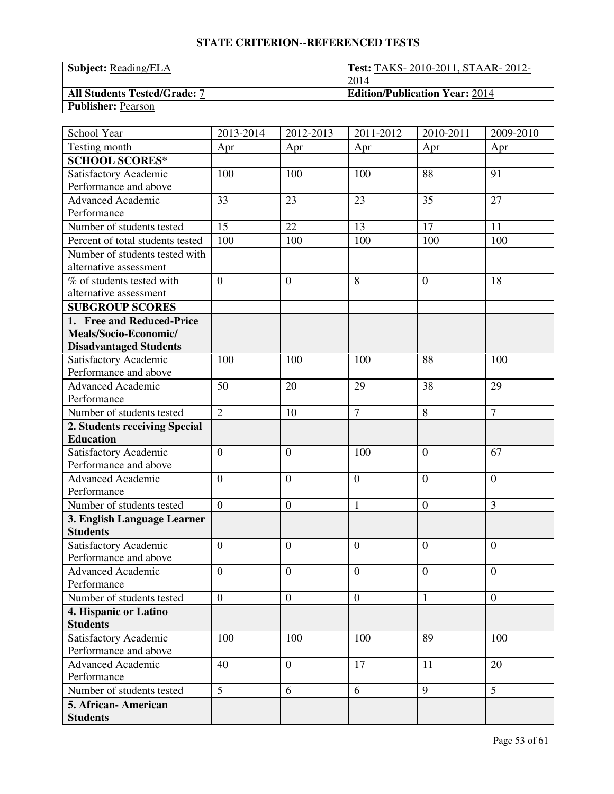| <b>Subject:</b> Reading/ELA         | <b>Test: TAKS-2010-2011, STAAR-2012-</b> |
|-------------------------------------|------------------------------------------|
|                                     | 2014                                     |
| <b>All Students Tested/Grade: 7</b> | <b>Edition/Publication Year: 2014</b>    |
| <b>Publisher: Pearson</b>           |                                          |

| School Year                                    | 2013-2014        | 2012-2013        | 2011-2012        | 2010-2011        | 2009-2010      |
|------------------------------------------------|------------------|------------------|------------------|------------------|----------------|
| Testing month                                  | Apr              | Apr              | Apr              | Apr              | Apr            |
| <b>SCHOOL SCORES*</b>                          |                  |                  |                  |                  |                |
| Satisfactory Academic                          | 100              | 100              | 100              | 88               | 91             |
| Performance and above                          |                  |                  |                  |                  |                |
| <b>Advanced Academic</b>                       | 33               | 23               | 23               | 35               | 27             |
| Performance                                    |                  |                  |                  |                  |                |
| Number of students tested                      | 15               | 22               | 13               | 17               | 11             |
| Percent of total students tested               | 100              | 100              | 100              | 100              | 100            |
| Number of students tested with                 |                  |                  |                  |                  |                |
| alternative assessment                         |                  |                  |                  |                  |                |
| % of students tested with                      | $\overline{0}$   | $\overline{0}$   | 8                | $\theta$         | 18             |
| alternative assessment                         |                  |                  |                  |                  |                |
| <b>SUBGROUP SCORES</b>                         |                  |                  |                  |                  |                |
| 1. Free and Reduced-Price                      |                  |                  |                  |                  |                |
| Meals/Socio-Economic/                          |                  |                  |                  |                  |                |
| <b>Disadvantaged Students</b>                  |                  |                  |                  |                  |                |
| Satisfactory Academic                          | 100              | 100              | 100              | 88               | 100            |
| Performance and above                          |                  |                  |                  |                  |                |
| Advanced Academic                              | 50               | 20               | 29               | 38               | 29             |
| Performance                                    |                  |                  |                  |                  |                |
| Number of students tested                      | $\overline{2}$   | 10               | $\overline{7}$   | 8                | $\overline{7}$ |
| 2. Students receiving Special                  |                  |                  |                  |                  |                |
| <b>Education</b>                               |                  |                  |                  |                  |                |
| Satisfactory Academic                          | $\boldsymbol{0}$ | $\theta$         | 100              | $\boldsymbol{0}$ | 67             |
| Performance and above                          |                  |                  |                  |                  |                |
| <b>Advanced Academic</b>                       | $\overline{0}$   | $\overline{0}$   | $\overline{0}$   | $\overline{0}$   | $\overline{0}$ |
| Performance                                    |                  |                  |                  |                  |                |
| Number of students tested                      | $\overline{0}$   | $\boldsymbol{0}$ | $\mathbf{1}$     | $\boldsymbol{0}$ | 3              |
| 3. English Language Learner                    |                  |                  |                  |                  |                |
| <b>Students</b>                                |                  |                  |                  |                  |                |
| Satisfactory Academic                          | $\overline{0}$   | $\overline{0}$   | $\overline{0}$   | $\theta$         | $\overline{0}$ |
| Performance and above                          |                  |                  |                  |                  |                |
| <b>Advanced Academic</b>                       | $\overline{0}$   | $\mathbf{0}$     | $\overline{0}$   | $\overline{0}$   | $\mathbf{0}$   |
| Performance<br>Number of students tested       | $\overline{0}$   |                  | $\boldsymbol{0}$ |                  |                |
|                                                |                  | $\mathbf{0}$     |                  | $\mathbf{1}$     | $\overline{0}$ |
| 4. Hispanic or Latino<br><b>Students</b>       |                  |                  |                  |                  |                |
|                                                |                  |                  |                  |                  |                |
| Satisfactory Academic<br>Performance and above | 100              | 100              | 100              | 89               | 100            |
| <b>Advanced Academic</b>                       | 40               | $\mathbf{0}$     | 17               | 11               | 20             |
| Performance                                    |                  |                  |                  |                  |                |
| Number of students tested                      | $\overline{5}$   | 6                | 6                | 9                | $\overline{5}$ |
| 5. African-American                            |                  |                  |                  |                  |                |
| <b>Students</b>                                |                  |                  |                  |                  |                |
|                                                |                  |                  |                  |                  |                |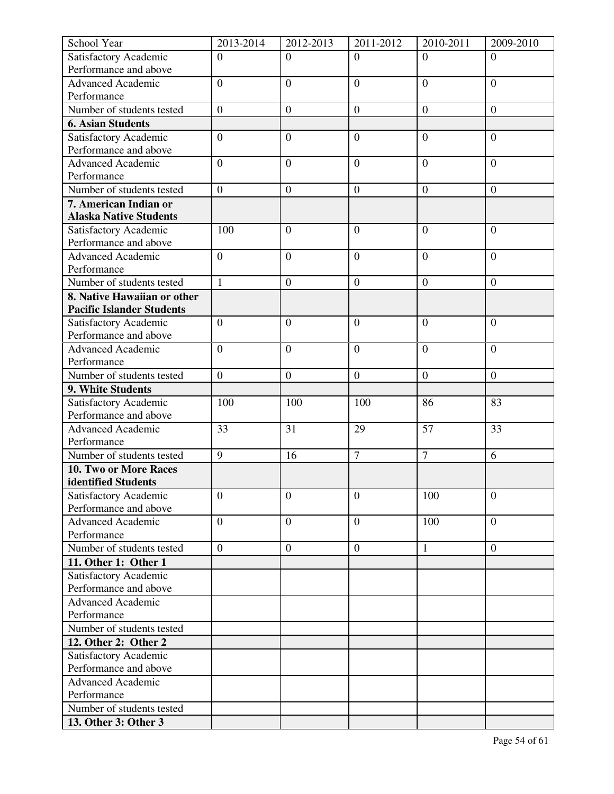| School Year                                                     | 2013-2014        | 2012-2013        | 2011-2012        | 2010-2011        | 2009-2010        |
|-----------------------------------------------------------------|------------------|------------------|------------------|------------------|------------------|
| Satisfactory Academic                                           | $\overline{0}$   | $\Omega$         | $\Omega$         | $\Omega$         | $\Omega$         |
| Performance and above                                           |                  |                  |                  |                  |                  |
| <b>Advanced Academic</b>                                        | $\overline{0}$   | $\overline{0}$   | $\overline{0}$   | $\overline{0}$   | $\overline{0}$   |
| Performance                                                     |                  |                  |                  |                  |                  |
| Number of students tested                                       | $\overline{0}$   | $\boldsymbol{0}$ | $\boldsymbol{0}$ | $\boldsymbol{0}$ | $\boldsymbol{0}$ |
| <b>6. Asian Students</b>                                        |                  |                  |                  |                  |                  |
| Satisfactory Academic                                           | $\boldsymbol{0}$ | $\overline{0}$   | $\overline{0}$   | $\overline{0}$   | $\overline{0}$   |
| Performance and above                                           |                  |                  |                  |                  |                  |
| <b>Advanced Academic</b>                                        | $\overline{0}$   | $\overline{0}$   | $\overline{0}$   | $\overline{0}$   | $\overline{0}$   |
| Performance                                                     |                  |                  |                  |                  |                  |
| Number of students tested                                       | $\overline{0}$   | $\boldsymbol{0}$ | $\mathbf{0}$     | $\boldsymbol{0}$ | $\overline{0}$   |
| 7. American Indian or                                           |                  |                  |                  |                  |                  |
| <b>Alaska Native Students</b>                                   |                  |                  |                  |                  |                  |
| Satisfactory Academic                                           | 100              | $\overline{0}$   | $\overline{0}$   | $\overline{0}$   | $\overline{0}$   |
| Performance and above                                           |                  |                  |                  |                  |                  |
| <b>Advanced Academic</b>                                        | $\overline{0}$   | $\overline{0}$   | $\overline{0}$   | $\overline{0}$   | $\overline{0}$   |
| Performance<br>Number of students tested                        | $\mathbf{1}$     |                  |                  |                  |                  |
|                                                                 |                  | $\overline{0}$   | $\overline{0}$   | $\overline{0}$   | $\boldsymbol{0}$ |
| 8. Native Hawaiian or other<br><b>Pacific Islander Students</b> |                  |                  |                  |                  |                  |
| Satisfactory Academic                                           | $\overline{0}$   | $\overline{0}$   | $\overline{0}$   | $\overline{0}$   | $\overline{0}$   |
| Performance and above                                           |                  |                  |                  |                  |                  |
| <b>Advanced Academic</b>                                        | $\overline{0}$   | $\overline{0}$   | $\overline{0}$   | $\overline{0}$   | $\overline{0}$   |
| Performance                                                     |                  |                  |                  |                  |                  |
| Number of students tested                                       | $\boldsymbol{0}$ | $\mathbf{0}$     | $\boldsymbol{0}$ | $\boldsymbol{0}$ | $\overline{0}$   |
| 9. White Students                                               |                  |                  |                  |                  |                  |
| Satisfactory Academic                                           | 100              | 100              | 100              | 86               | 83               |
| Performance and above                                           |                  |                  |                  |                  |                  |
| <b>Advanced Academic</b>                                        | 33               | 31               | 29               | 57               | 33               |
| Performance                                                     |                  |                  |                  |                  |                  |
| Number of students tested                                       | $\overline{9}$   | 16               | $\overline{7}$   | $\overline{7}$   | 6                |
| 10. Two or More Races                                           |                  |                  |                  |                  |                  |
| identified Students                                             |                  |                  |                  |                  |                  |
| Satisfactory Academic                                           | $\overline{0}$   | $\overline{0}$   | $\overline{0}$   | 100              | $\overline{0}$   |
| Performance and above                                           |                  |                  |                  |                  |                  |
| <b>Advanced Academic</b>                                        | $\overline{0}$   | $\overline{0}$   | $\overline{0}$   | 100              | $\overline{0}$   |
| Performance                                                     |                  |                  |                  |                  |                  |
| Number of students tested                                       | $\overline{0}$   | $\boldsymbol{0}$ | $\boldsymbol{0}$ | $\mathbf{1}$     | $\boldsymbol{0}$ |
| 11. Other 1: Other 1                                            |                  |                  |                  |                  |                  |
| Satisfactory Academic                                           |                  |                  |                  |                  |                  |
| Performance and above                                           |                  |                  |                  |                  |                  |
| Advanced Academic                                               |                  |                  |                  |                  |                  |
| Performance                                                     |                  |                  |                  |                  |                  |
| Number of students tested                                       |                  |                  |                  |                  |                  |
| 12. Other 2: Other 2                                            |                  |                  |                  |                  |                  |
| Satisfactory Academic                                           |                  |                  |                  |                  |                  |
| Performance and above                                           |                  |                  |                  |                  |                  |
| <b>Advanced Academic</b>                                        |                  |                  |                  |                  |                  |
| Performance                                                     |                  |                  |                  |                  |                  |
| Number of students tested                                       |                  |                  |                  |                  |                  |
| 13. Other 3: Other 3                                            |                  |                  |                  |                  |                  |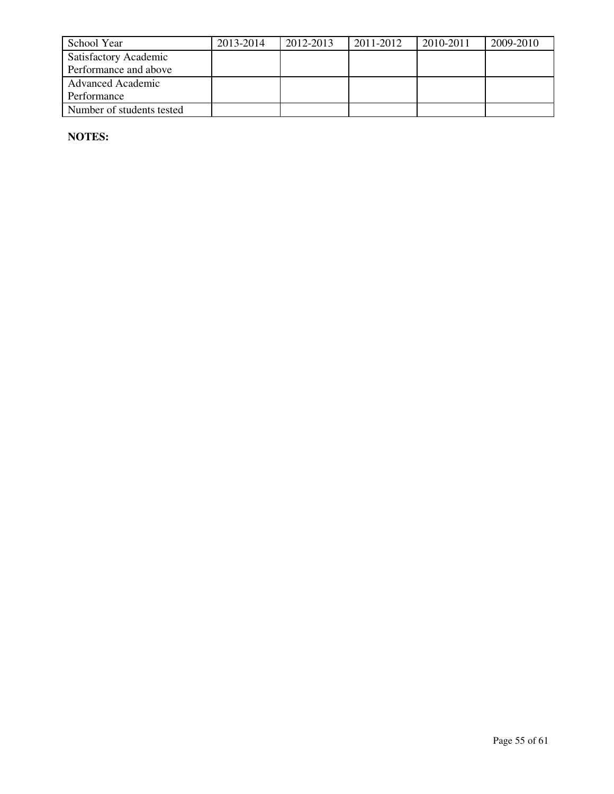| School Year                  | 2013-2014 | 2012-2013 | 2011-2012 | 2010-2011 | 2009-2010 |
|------------------------------|-----------|-----------|-----------|-----------|-----------|
| <b>Satisfactory Academic</b> |           |           |           |           |           |
| Performance and above        |           |           |           |           |           |
| <b>Advanced Academic</b>     |           |           |           |           |           |
| Performance                  |           |           |           |           |           |
| Number of students tested    |           |           |           |           |           |

**NOTES:**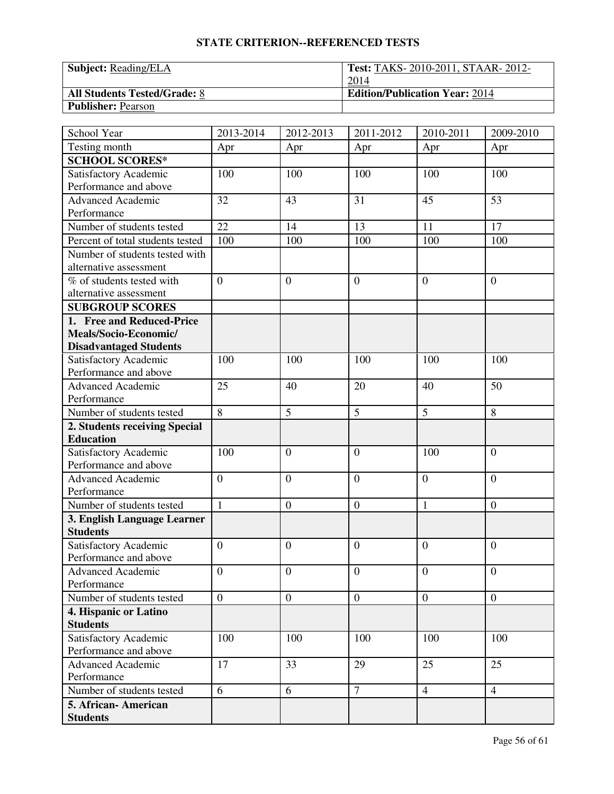| <b>Subject:</b> Reading/ELA         | <b>Test: TAKS-2010-2011, STAAR-2012-</b> |
|-------------------------------------|------------------------------------------|
|                                     | 2014                                     |
| <b>All Students Tested/Grade: 8</b> | <b>Edition/Publication Year: 2014</b>    |
| <b>Publisher: Pearson</b>           |                                          |

| School Year                      | 2013-2014       | 2012-2013        | 2011-2012        | 2010-2011      | 2009-2010        |
|----------------------------------|-----------------|------------------|------------------|----------------|------------------|
| Testing month                    | Apr             | Apr              | Apr              | Apr            | Apr              |
| <b>SCHOOL SCORES*</b>            |                 |                  |                  |                |                  |
| Satisfactory Academic            | 100             | 100              | 100              | 100            | 100              |
| Performance and above            |                 |                  |                  |                |                  |
| <b>Advanced Academic</b>         | 32              | 43               | 31               | 45             | 53               |
| Performance                      |                 |                  |                  |                |                  |
| Number of students tested        | $\overline{22}$ | 14               | 13               | 11             | $\overline{17}$  |
| Percent of total students tested | 100             | 100              | 100              | 100            | 100              |
| Number of students tested with   |                 |                  |                  |                |                  |
| alternative assessment           |                 |                  |                  |                |                  |
| % of students tested with        | $\overline{0}$  | $\overline{0}$   | $\overline{0}$   | $\theta$       | $\overline{0}$   |
| alternative assessment           |                 |                  |                  |                |                  |
| <b>SUBGROUP SCORES</b>           |                 |                  |                  |                |                  |
| 1. Free and Reduced-Price        |                 |                  |                  |                |                  |
| Meals/Socio-Economic/            |                 |                  |                  |                |                  |
| <b>Disadvantaged Students</b>    |                 |                  |                  |                |                  |
| Satisfactory Academic            | 100             | 100              | 100              | 100            | 100              |
| Performance and above            |                 |                  |                  |                |                  |
| Advanced Academic                | 25              | 40               | 20               | 40             | 50               |
| Performance                      |                 |                  |                  |                |                  |
| Number of students tested        | $\overline{8}$  | 5                | 5                | 5              | 8                |
| 2. Students receiving Special    |                 |                  |                  |                |                  |
| <b>Education</b>                 |                 |                  |                  |                |                  |
| Satisfactory Academic            | 100             | $\theta$         | $\overline{0}$   | 100            | $\overline{0}$   |
| Performance and above            |                 |                  |                  |                |                  |
| <b>Advanced Academic</b>         | $\overline{0}$  | $\overline{0}$   | $\overline{0}$   | $\overline{0}$ | $\overline{0}$   |
| Performance                      |                 |                  |                  |                |                  |
| Number of students tested        | $\mathbf{1}$    | $\boldsymbol{0}$ | $\boldsymbol{0}$ | 1              | $\boldsymbol{0}$ |
| 3. English Language Learner      |                 |                  |                  |                |                  |
| <b>Students</b>                  |                 |                  |                  |                |                  |
| Satisfactory Academic            | $\overline{0}$  | $\theta$         | $\overline{0}$   | $\theta$       | $\overline{0}$   |
| Performance and above            |                 |                  |                  |                |                  |
| <b>Advanced Academic</b>         | $\overline{0}$  | $\overline{0}$   | $\overline{0}$   | $\mathbf{0}$   | $\mathbf{0}$     |
| Performance                      |                 |                  |                  |                |                  |
| Number of students tested        | $\overline{0}$  | $\overline{0}$   | $\boldsymbol{0}$ | $\mathbf{0}$   | $\overline{0}$   |
| 4. Hispanic or Latino            |                 |                  |                  |                |                  |
| <b>Students</b>                  |                 |                  |                  |                |                  |
| Satisfactory Academic            | 100             | 100              | 100              | 100            | 100              |
| Performance and above            |                 |                  |                  |                |                  |
| <b>Advanced Academic</b>         | 17              | 33               | 29               | 25             | 25               |
| Performance                      |                 |                  |                  |                |                  |
| Number of students tested        | 6               | 6                | $\tau$           | $\overline{4}$ | $\overline{4}$   |
| 5. African- American             |                 |                  |                  |                |                  |
| <b>Students</b>                  |                 |                  |                  |                |                  |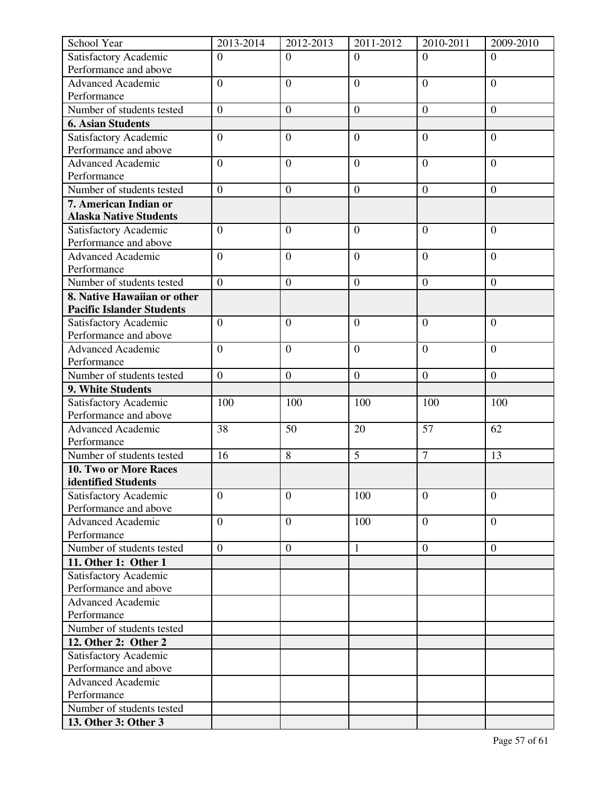| School Year                                  | 2013-2014        | 2012-2013        | 2011-2012        | 2010-2011        | 2009-2010        |
|----------------------------------------------|------------------|------------------|------------------|------------------|------------------|
| Satisfactory Academic                        | $\overline{0}$   | $\Omega$         | $\Omega$         | $\Omega$         | $\Omega$         |
| Performance and above                        |                  |                  |                  |                  |                  |
| <b>Advanced Academic</b>                     | $\overline{0}$   | $\overline{0}$   | $\overline{0}$   | $\overline{0}$   | $\overline{0}$   |
| Performance                                  |                  |                  |                  |                  |                  |
| Number of students tested                    | $\overline{0}$   | $\boldsymbol{0}$ | $\boldsymbol{0}$ | $\boldsymbol{0}$ | $\boldsymbol{0}$ |
| <b>6. Asian Students</b>                     |                  |                  |                  |                  |                  |
| Satisfactory Academic                        | $\boldsymbol{0}$ | $\overline{0}$   | $\overline{0}$   | $\overline{0}$   | $\overline{0}$   |
| Performance and above                        |                  |                  |                  |                  |                  |
| <b>Advanced Academic</b>                     | $\overline{0}$   | $\overline{0}$   | $\overline{0}$   | $\overline{0}$   | $\overline{0}$   |
| Performance                                  |                  |                  |                  |                  |                  |
| Number of students tested                    | $\overline{0}$   | $\boldsymbol{0}$ | $\mathbf{0}$     | $\boldsymbol{0}$ | $\overline{0}$   |
| 7. American Indian or                        |                  |                  |                  |                  |                  |
| <b>Alaska Native Students</b>                |                  |                  |                  |                  |                  |
| Satisfactory Academic                        | $\overline{0}$   | $\overline{0}$   | $\overline{0}$   | $\overline{0}$   | $\overline{0}$   |
| Performance and above                        |                  |                  |                  |                  |                  |
| <b>Advanced Academic</b>                     | $\overline{0}$   | $\overline{0}$   | $\overline{0}$   | $\overline{0}$   | $\overline{0}$   |
| Performance                                  |                  |                  |                  |                  |                  |
| Number of students tested                    | $\overline{0}$   | $\overline{0}$   | $\overline{0}$   | $\overline{0}$   | $\boldsymbol{0}$ |
| 8. Native Hawaiian or other                  |                  |                  |                  |                  |                  |
| <b>Pacific Islander Students</b>             |                  |                  |                  |                  |                  |
| Satisfactory Academic                        | $\overline{0}$   | $\overline{0}$   | $\overline{0}$   | $\overline{0}$   | $\overline{0}$   |
| Performance and above                        |                  |                  |                  |                  |                  |
| <b>Advanced Academic</b>                     | $\overline{0}$   | $\overline{0}$   | $\overline{0}$   | $\overline{0}$   | $\overline{0}$   |
| Performance                                  |                  |                  |                  |                  |                  |
| Number of students tested                    | $\boldsymbol{0}$ | $\mathbf{0}$     | $\boldsymbol{0}$ | $\boldsymbol{0}$ | $\overline{0}$   |
| 9. White Students                            |                  |                  |                  |                  |                  |
| Satisfactory Academic                        | 100              | 100              | 100              | 100              | 100              |
| Performance and above                        |                  |                  |                  |                  | 62               |
| <b>Advanced Academic</b><br>Performance      | 38               | 50               | 20               | 57               |                  |
| Number of students tested                    | 16               | 8                | $\overline{5}$   | $\overline{7}$   | 13               |
|                                              |                  |                  |                  |                  |                  |
| 10. Two or More Races<br>identified Students |                  |                  |                  |                  |                  |
| Satisfactory Academic                        | $\overline{0}$   | $\overline{0}$   | 100              | $\overline{0}$   | $\overline{0}$   |
| Performance and above                        |                  |                  |                  |                  |                  |
| <b>Advanced Academic</b>                     | $\overline{0}$   | $\mathbf{0}$     | 100              | $\overline{0}$   | $\overline{0}$   |
| Performance                                  |                  |                  |                  |                  |                  |
| Number of students tested                    | $\overline{0}$   | $\boldsymbol{0}$ | $\mathbf{1}$     | $\boldsymbol{0}$ | $\boldsymbol{0}$ |
| 11. Other 1: Other 1                         |                  |                  |                  |                  |                  |
| Satisfactory Academic                        |                  |                  |                  |                  |                  |
| Performance and above                        |                  |                  |                  |                  |                  |
| Advanced Academic                            |                  |                  |                  |                  |                  |
| Performance                                  |                  |                  |                  |                  |                  |
| Number of students tested                    |                  |                  |                  |                  |                  |
| 12. Other 2: Other 2                         |                  |                  |                  |                  |                  |
| Satisfactory Academic                        |                  |                  |                  |                  |                  |
| Performance and above                        |                  |                  |                  |                  |                  |
| <b>Advanced Academic</b>                     |                  |                  |                  |                  |                  |
| Performance                                  |                  |                  |                  |                  |                  |
| Number of students tested                    |                  |                  |                  |                  |                  |
| 13. Other 3: Other 3                         |                  |                  |                  |                  |                  |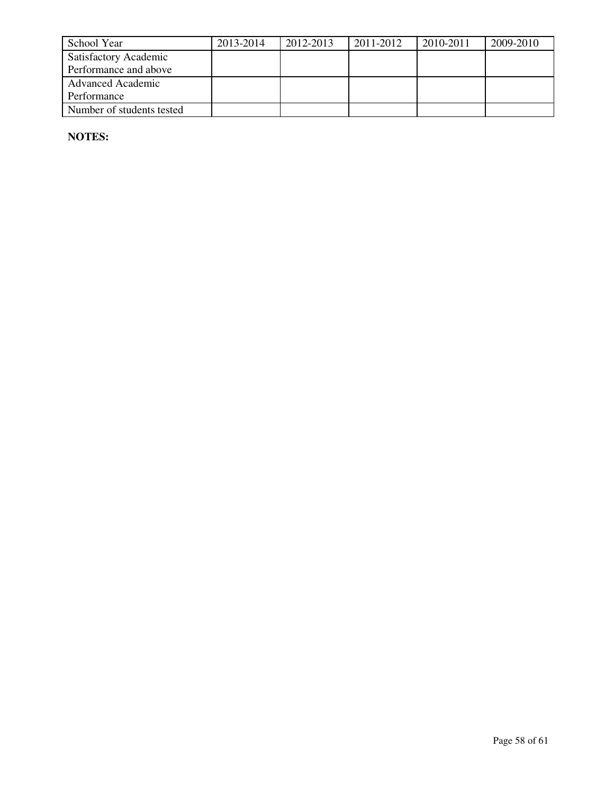| School Year                  | 2013-2014 | 2012-2013 | 2011-2012 | 2010-2011 | 2009-2010 |
|------------------------------|-----------|-----------|-----------|-----------|-----------|
| <b>Satisfactory Academic</b> |           |           |           |           |           |
| Performance and above        |           |           |           |           |           |
| <b>Advanced Academic</b>     |           |           |           |           |           |
| Performance                  |           |           |           |           |           |
| Number of students tested    |           |           |           |           |           |

**NOTES:**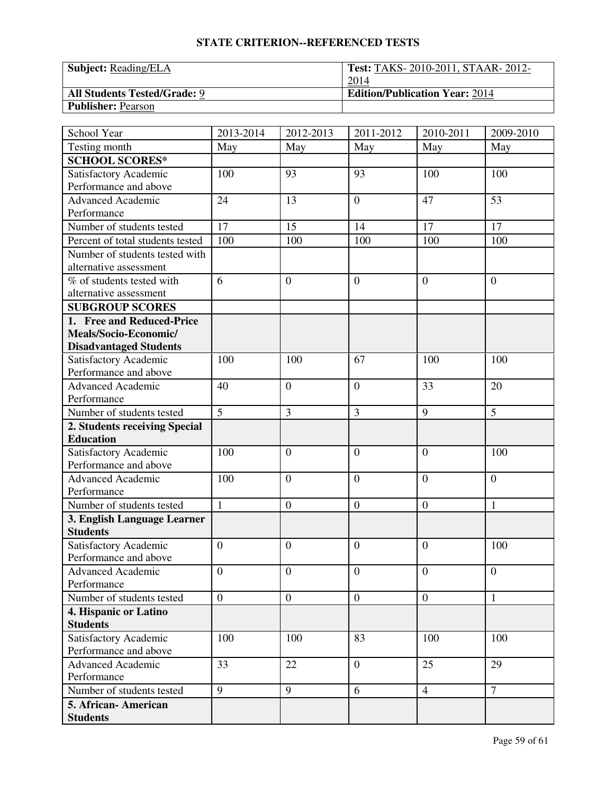| <b>Subject:</b> Reading/ELA         | <b>Test: TAKS-2010-2011, STAAR-2012-</b> |
|-------------------------------------|------------------------------------------|
|                                     | 2014                                     |
| <b>All Students Tested/Grade: 9</b> | <b>Edition/Publication Year: 2014</b>    |
| <b>Publisher: Pearson</b>           |                                          |

| School Year                      | 2013-2014        | 2012-2013        | 2011-2012        | 2010-2011        | 2009-2010        |
|----------------------------------|------------------|------------------|------------------|------------------|------------------|
| Testing month                    | May              | May              | May              | May              | May              |
| <b>SCHOOL SCORES*</b>            |                  |                  |                  |                  |                  |
| Satisfactory Academic            | 100              | 93               | 93               | 100              | 100              |
| Performance and above            |                  |                  |                  |                  |                  |
| <b>Advanced Academic</b>         | 24               | 13               | $\overline{0}$   | 47               | 53               |
| Performance                      |                  |                  |                  |                  |                  |
| Number of students tested        | 17               | 15               | 14               | 17               | 17               |
| Percent of total students tested | 100              | 100              | 100              | 100              | 100              |
| Number of students tested with   |                  |                  |                  |                  |                  |
| alternative assessment           |                  |                  |                  |                  |                  |
| % of students tested with        | 6                | $\overline{0}$   | $\overline{0}$   | $\overline{0}$   | $\boldsymbol{0}$ |
| alternative assessment           |                  |                  |                  |                  |                  |
| <b>SUBGROUP SCORES</b>           |                  |                  |                  |                  |                  |
| 1. Free and Reduced-Price        |                  |                  |                  |                  |                  |
| Meals/Socio-Economic/            |                  |                  |                  |                  |                  |
| <b>Disadvantaged Students</b>    |                  |                  |                  |                  |                  |
| Satisfactory Academic            | 100              | 100              | 67               | 100              | 100              |
| Performance and above            |                  |                  |                  |                  |                  |
| <b>Advanced Academic</b>         | 40               | $\theta$         | $\overline{0}$   | 33               | 20               |
| Performance                      |                  |                  |                  |                  |                  |
| Number of students tested        | $\overline{5}$   | $\overline{3}$   | 3                | 9                | $\overline{5}$   |
| 2. Students receiving Special    |                  |                  |                  |                  |                  |
| <b>Education</b>                 |                  |                  |                  |                  |                  |
| Satisfactory Academic            | 100              | $\overline{0}$   | $\overline{0}$   | $\overline{0}$   | 100              |
| Performance and above            |                  |                  |                  |                  |                  |
| <b>Advanced Academic</b>         | 100              | $\overline{0}$   | $\overline{0}$   | $\overline{0}$   | $\overline{0}$   |
| Performance                      |                  |                  |                  |                  |                  |
| Number of students tested        | $\mathbf{1}$     | $\boldsymbol{0}$ | $\boldsymbol{0}$ | $\boldsymbol{0}$ | $\mathbf{1}$     |
| 3. English Language Learner      |                  |                  |                  |                  |                  |
| <b>Students</b>                  |                  |                  |                  |                  |                  |
| Satisfactory Academic            | $\overline{0}$   | $\overline{0}$   | $\overline{0}$   | $\overline{0}$   | 100              |
| Performance and above            |                  |                  |                  |                  |                  |
| <b>Advanced Academic</b>         | $\boldsymbol{0}$ | $\boldsymbol{0}$ | $\boldsymbol{0}$ | $\boldsymbol{0}$ | $\boldsymbol{0}$ |
| Performance                      |                  |                  |                  |                  |                  |
| Number of students tested        | $\overline{0}$   | $\mathbf{0}$     | $\boldsymbol{0}$ | $\overline{0}$   | $\mathbf{1}$     |
| 4. Hispanic or Latino            |                  |                  |                  |                  |                  |
| <b>Students</b>                  |                  |                  |                  |                  |                  |
| Satisfactory Academic            | 100              | 100              | 83               | 100              | 100              |
| Performance and above            |                  |                  |                  |                  |                  |
| <b>Advanced Academic</b>         | 33               | 22               | $\overline{0}$   | 25               | 29               |
| Performance                      |                  |                  |                  |                  |                  |
| Number of students tested        | 9                | 9                | 6                | $\overline{4}$   | $\overline{7}$   |
| 5. African- American             |                  |                  |                  |                  |                  |
| <b>Students</b>                  |                  |                  |                  |                  |                  |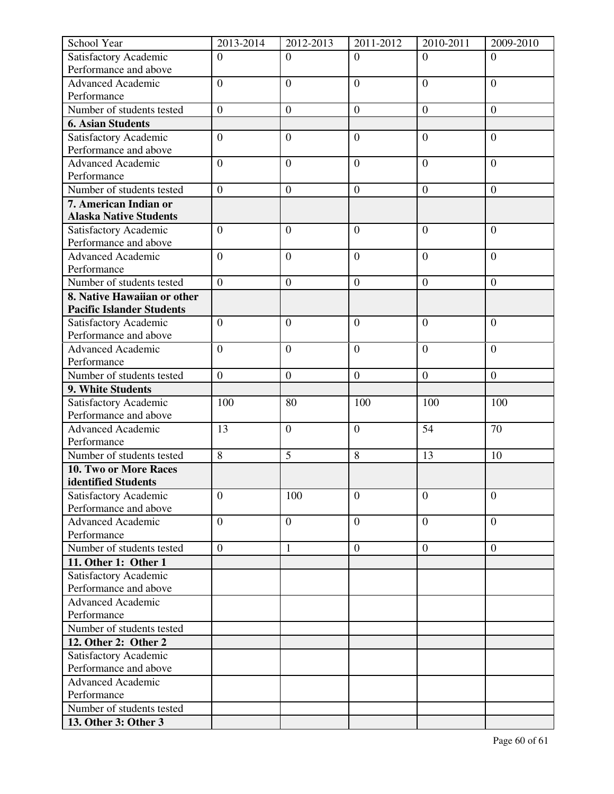| School Year                                    | 2013-2014        | 2012-2013        | 2011-2012        | 2010-2011        | 2009-2010        |
|------------------------------------------------|------------------|------------------|------------------|------------------|------------------|
| Satisfactory Academic                          | $\overline{0}$   | $\Omega$         | $\Omega$         | $\Omega$         | $\Omega$         |
| Performance and above                          |                  |                  |                  |                  |                  |
| <b>Advanced Academic</b>                       | $\overline{0}$   | $\overline{0}$   | $\overline{0}$   | $\overline{0}$   | $\overline{0}$   |
| Performance                                    |                  |                  |                  |                  |                  |
| Number of students tested                      | $\overline{0}$   | $\boldsymbol{0}$ | $\boldsymbol{0}$ | $\boldsymbol{0}$ | $\boldsymbol{0}$ |
| <b>6. Asian Students</b>                       |                  |                  |                  |                  |                  |
| Satisfactory Academic                          | $\boldsymbol{0}$ | $\overline{0}$   | $\overline{0}$   | $\overline{0}$   | $\overline{0}$   |
| Performance and above                          |                  |                  |                  |                  |                  |
| <b>Advanced Academic</b>                       | $\overline{0}$   | $\overline{0}$   | $\overline{0}$   | $\overline{0}$   | $\overline{0}$   |
| Performance                                    |                  |                  |                  |                  |                  |
| Number of students tested                      | $\overline{0}$   | $\boldsymbol{0}$ | $\mathbf{0}$     | $\boldsymbol{0}$ | $\overline{0}$   |
| 7. American Indian or                          |                  |                  |                  |                  |                  |
| <b>Alaska Native Students</b>                  |                  |                  |                  |                  |                  |
| Satisfactory Academic                          | $\overline{0}$   | $\overline{0}$   | $\overline{0}$   | $\overline{0}$   | $\overline{0}$   |
| Performance and above                          |                  |                  |                  |                  |                  |
| <b>Advanced Academic</b>                       | $\overline{0}$   | $\overline{0}$   | $\overline{0}$   | $\overline{0}$   | $\overline{0}$   |
| Performance                                    |                  |                  |                  |                  |                  |
| Number of students tested                      | $\overline{0}$   | $\overline{0}$   | $\overline{0}$   | $\overline{0}$   | $\boldsymbol{0}$ |
| 8. Native Hawaiian or other                    |                  |                  |                  |                  |                  |
| <b>Pacific Islander Students</b>               |                  |                  |                  |                  |                  |
| Satisfactory Academic                          | $\overline{0}$   | $\overline{0}$   | $\overline{0}$   | $\overline{0}$   | $\overline{0}$   |
| Performance and above                          | $\overline{0}$   |                  |                  |                  |                  |
| <b>Advanced Academic</b><br>Performance        |                  | $\overline{0}$   | $\overline{0}$   | $\overline{0}$   | $\overline{0}$   |
| Number of students tested                      | $\boldsymbol{0}$ | $\boldsymbol{0}$ | $\boldsymbol{0}$ | $\boldsymbol{0}$ | $\overline{0}$   |
| 9. White Students                              |                  |                  |                  |                  |                  |
|                                                | 100              | 80               | 100              | 100              | 100              |
| Satisfactory Academic<br>Performance and above |                  |                  |                  |                  |                  |
| <b>Advanced Academic</b>                       | 13               | $\overline{0}$   | $\boldsymbol{0}$ | 54               | 70               |
| Performance                                    |                  |                  |                  |                  |                  |
| Number of students tested                      | 8                | 5                | 8                | 13               | 10               |
| 10. Two or More Races                          |                  |                  |                  |                  |                  |
| identified Students                            |                  |                  |                  |                  |                  |
| Satisfactory Academic                          | $\overline{0}$   | 100              | $\overline{0}$   | $\overline{0}$   | $\overline{0}$   |
| Performance and above                          |                  |                  |                  |                  |                  |
| <b>Advanced Academic</b>                       | $\overline{0}$   | $\boldsymbol{0}$ | $\overline{0}$   | $\overline{0}$   | $\overline{0}$   |
| Performance                                    |                  |                  |                  |                  |                  |
| Number of students tested                      | $\overline{0}$   | $\mathbf{1}$     | $\boldsymbol{0}$ | $\boldsymbol{0}$ | $\overline{0}$   |
| 11. Other 1: Other 1                           |                  |                  |                  |                  |                  |
| Satisfactory Academic                          |                  |                  |                  |                  |                  |
| Performance and above                          |                  |                  |                  |                  |                  |
| <b>Advanced Academic</b>                       |                  |                  |                  |                  |                  |
| Performance                                    |                  |                  |                  |                  |                  |
| Number of students tested                      |                  |                  |                  |                  |                  |
| 12. Other 2: Other 2                           |                  |                  |                  |                  |                  |
| Satisfactory Academic                          |                  |                  |                  |                  |                  |
| Performance and above                          |                  |                  |                  |                  |                  |
| <b>Advanced Academic</b>                       |                  |                  |                  |                  |                  |
| Performance                                    |                  |                  |                  |                  |                  |
| Number of students tested                      |                  |                  |                  |                  |                  |
| 13. Other 3: Other 3                           |                  |                  |                  |                  |                  |